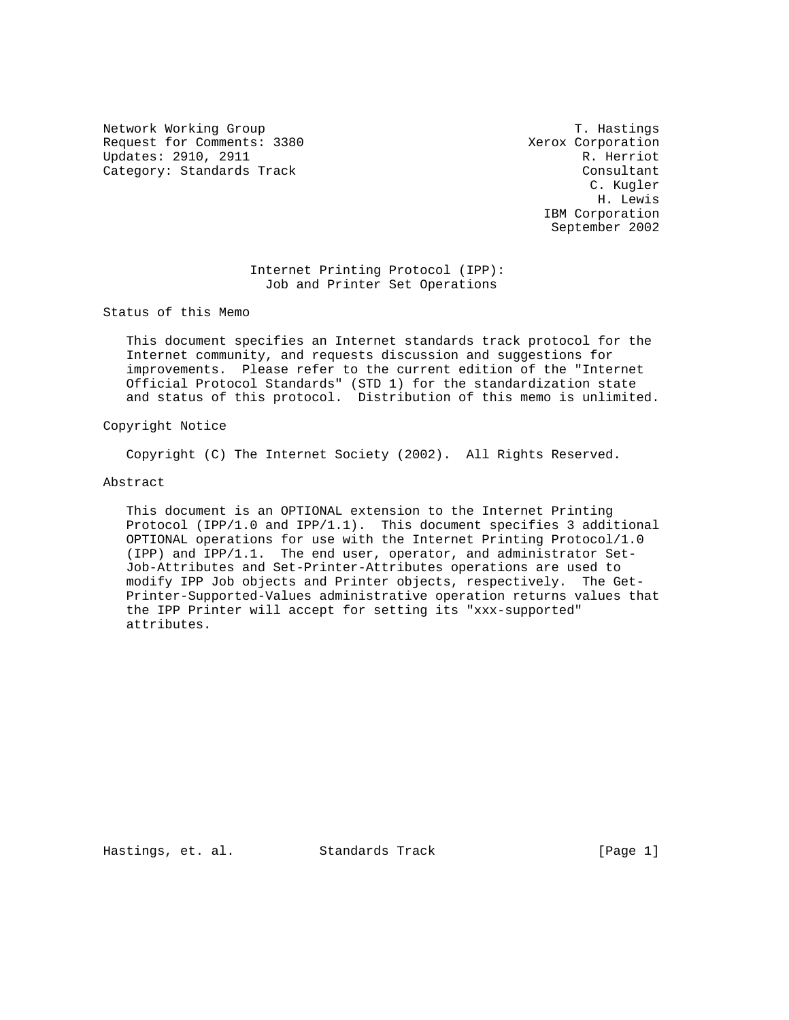Network Working Group T. Hastings Request for Comments: 3380 Xerox Corporation Updates: 2910, 2911 R. Herriot Category: Standards Track Consultant Consultant

 C. Kugler H. Lewis IBM Corporation September 2002

## Internet Printing Protocol (IPP): Job and Printer Set Operations

Status of this Memo

 This document specifies an Internet standards track protocol for the Internet community, and requests discussion and suggestions for improvements. Please refer to the current edition of the "Internet Official Protocol Standards" (STD 1) for the standardization state and status of this protocol. Distribution of this memo is unlimited.

## Copyright Notice

Copyright (C) The Internet Society (2002). All Rights Reserved.

### Abstract

 This document is an OPTIONAL extension to the Internet Printing Protocol (IPP/1.0 and IPP/1.1). This document specifies 3 additional OPTIONAL operations for use with the Internet Printing Protocol/1.0 (IPP) and IPP/1.1. The end user, operator, and administrator Set- Job-Attributes and Set-Printer-Attributes operations are used to modify IPP Job objects and Printer objects, respectively. The Get- Printer-Supported-Values administrative operation returns values that the IPP Printer will accept for setting its "xxx-supported" attributes.

Hastings, et. al. Standards Track [Page 1]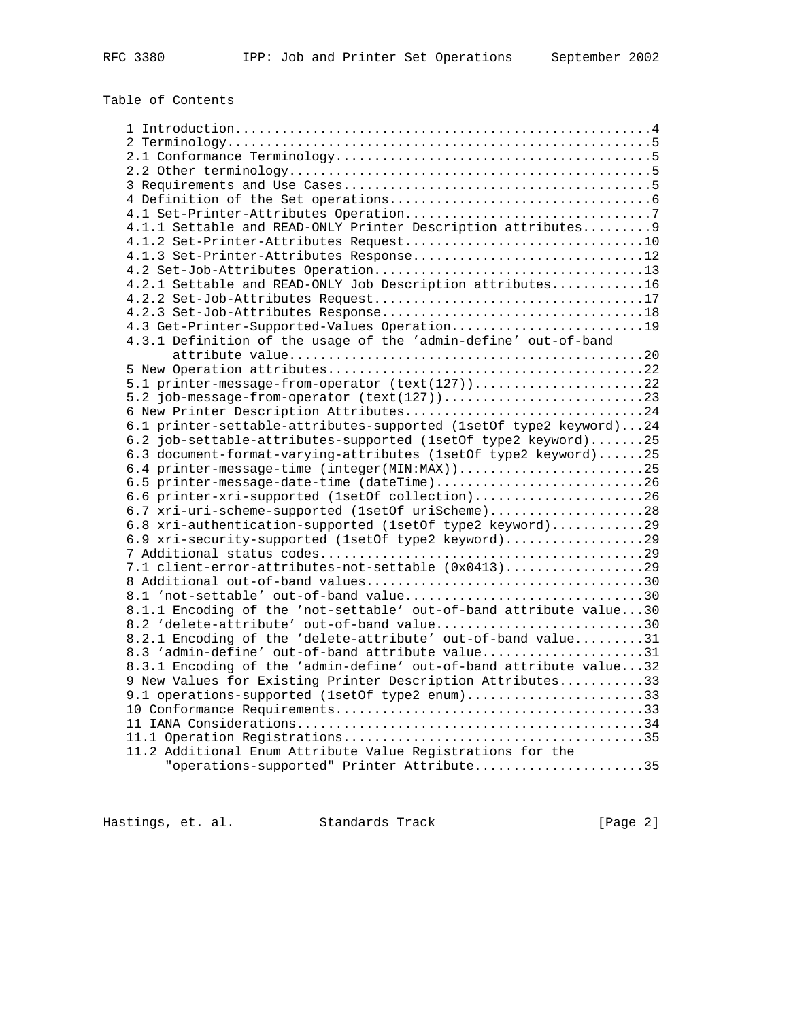# Table of Contents

| 4.1.1 Settable and READ-ONLY Printer Description attributes 9      |  |
|--------------------------------------------------------------------|--|
|                                                                    |  |
| 4.1.3 Set-Printer-Attributes Response12                            |  |
|                                                                    |  |
| 4.2.1 Settable and READ-ONLY Job Description attributes16          |  |
|                                                                    |  |
|                                                                    |  |
| 4.3 Get-Printer-Supported-Values Operation19                       |  |
| 4.3.1 Definition of the usage of the 'admin-define' out-of-band    |  |
|                                                                    |  |
| 5.1 printer-message-from-operator (text(127))22                    |  |
|                                                                    |  |
| 6 New Printer Description Attributes24                             |  |
| 6.1 printer-settable-attributes-supported (1setOf type2 keyword)24 |  |
| 6.2 job-settable-attributes-supported (1setOf type2 keyword)25     |  |
| 6.3 document-format-varying-attributes (1setOf type2 keyword)25    |  |
| 6.4 printer-message-time (integer(MIN:MAX))25                      |  |
| 6.5 printer-message-date-time (dateTime)26                         |  |
| 6.6 printer-xri-supported (1setOf collection)26                    |  |
| 6.7 xri-uri-scheme-supported (1setOf uriScheme)28                  |  |
| 6.8 xri-authentication-supported (1setOf type2 keyword)29          |  |
| 6.9 xri-security-supported (1setOf type2 keyword)29                |  |
|                                                                    |  |
| 7.1 client-error-attributes-not-settable $(0x0413)$ 29             |  |
|                                                                    |  |
| 8.1 'not-settable' out-of-band value30                             |  |
| 8.1.1 Encoding of the 'not-settable' out-of-band attribute value30 |  |
| 8.2 'delete-attribute' out-of-band value30                         |  |
| 8.2.1 Encoding of the 'delete-attribute' out-of-band value31       |  |
| 8.3 'admin-define' out-of-band attribute value31                   |  |
| 8.3.1 Encoding of the 'admin-define' out-of-band attribute value32 |  |
| 9 New Values for Existing Printer Description Attributes33         |  |
| 9.1 operations-supported (1setOf type2 enum)33                     |  |
|                                                                    |  |
|                                                                    |  |
| 11.2 Additional Enum Attribute Value Registrations for the         |  |
| "operations-supported" Printer Attribute35                         |  |
|                                                                    |  |
|                                                                    |  |

Hastings, et. al. Standards Track [Page 2]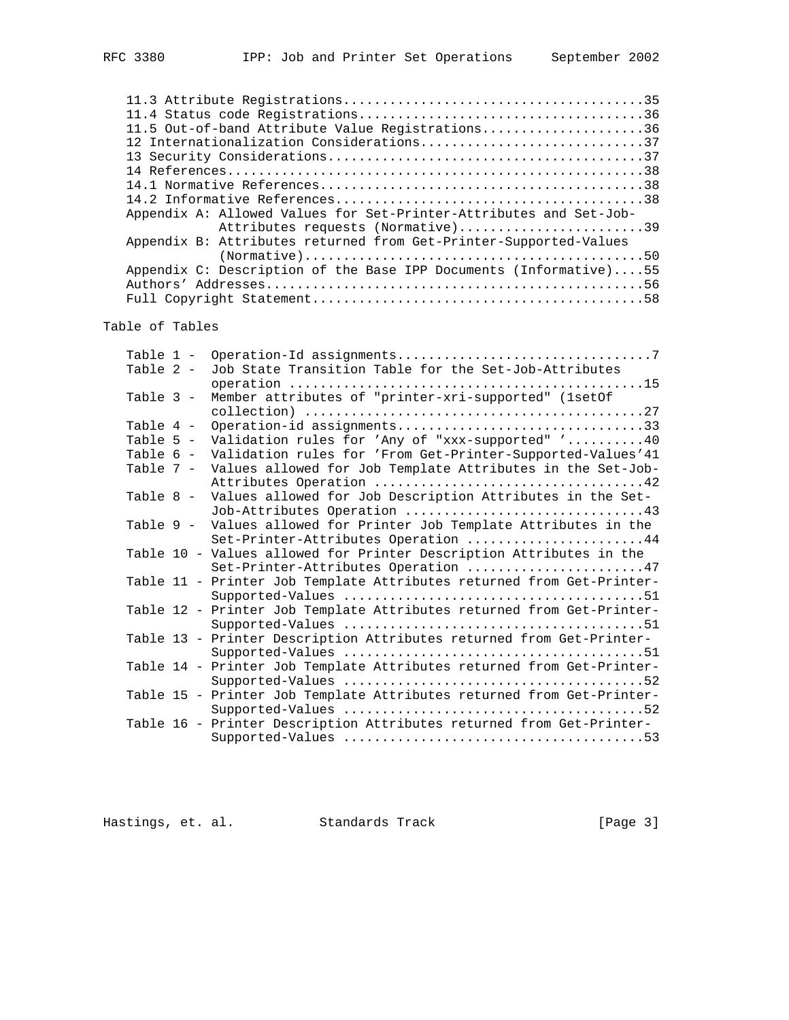| 11.5 Out-of-band Attribute Value Registrations36                                                        |  |
|---------------------------------------------------------------------------------------------------------|--|
| 12 Internationalization Considerations37                                                                |  |
|                                                                                                         |  |
|                                                                                                         |  |
|                                                                                                         |  |
|                                                                                                         |  |
| Appendix A: Allowed Values for Set-Printer-Attributes and Set-Job-<br>Attributes requests (Normative)39 |  |
| Appendix B: Attributes returned from Get-Printer-Supported-Values                                       |  |
| Appendix C: Description of the Base IPP Documents (Informative)55                                       |  |
|                                                                                                         |  |

## Table of Tables

| Table 1 -   |  |                                                                       |
|-------------|--|-----------------------------------------------------------------------|
| Table 2 -   |  | Job State Transition Table for the Set-Job-Attributes                 |
|             |  |                                                                       |
| Table 3 -   |  | Member attributes of "printer-xri-supported" (1setOf                  |
|             |  |                                                                       |
| Table 4 -   |  | Operation-id assignments33                                            |
| Table $5 -$ |  | Validation rules for 'Any of "xxx-supported" '40                      |
| Table 6 -   |  | Validation rules for 'From Get-Printer-Supported-Values'41            |
| Table 7 -   |  | Values allowed for Job Template Attributes in the Set-Job-            |
|             |  |                                                                       |
| Table 8 -   |  | Values allowed for Job Description Attributes in the Set-             |
|             |  | Job-Attributes Operation 43                                           |
| Table 9 -   |  | Values allowed for Printer Job Template Attributes in the             |
|             |  | Set-Printer-Attributes Operation 44                                   |
|             |  | Table 10 - Values allowed for Printer Description Attributes in the   |
|             |  | Set-Printer-Attributes Operation 47                                   |
|             |  | Table 11 - Printer Job Template Attributes returned from Get-Printer- |
|             |  |                                                                       |
|             |  | Table 12 - Printer Job Template Attributes returned from Get-Printer- |
|             |  |                                                                       |
|             |  | Table 13 - Printer Description Attributes returned from Get-Printer-  |
|             |  |                                                                       |
|             |  | Table 14 - Printer Job Template Attributes returned from Get-Printer- |
|             |  |                                                                       |
|             |  | Table 15 - Printer Job Template Attributes returned from Get-Printer- |
|             |  |                                                                       |
|             |  | Table 16 - Printer Description Attributes returned from Get-Printer-  |
|             |  |                                                                       |

Hastings, et. al. Standards Track [Page 3]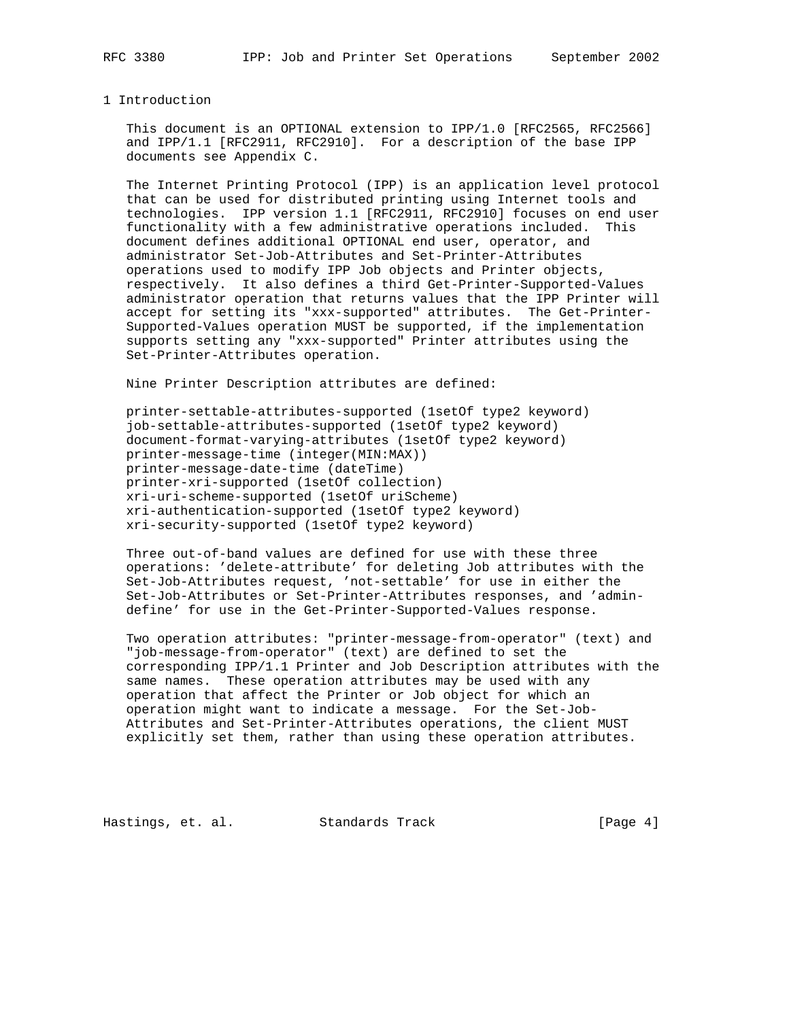#### 1 Introduction

 This document is an OPTIONAL extension to IPP/1.0 [RFC2565, RFC2566] and IPP/1.1 [RFC2911, RFC2910]. For a description of the base IPP documents see Appendix C.

 The Internet Printing Protocol (IPP) is an application level protocol that can be used for distributed printing using Internet tools and technologies. IPP version 1.1 [RFC2911, RFC2910] focuses on end user functionality with a few administrative operations included. This document defines additional OPTIONAL end user, operator, and administrator Set-Job-Attributes and Set-Printer-Attributes operations used to modify IPP Job objects and Printer objects, respectively. It also defines a third Get-Printer-Supported-Values administrator operation that returns values that the IPP Printer will accept for setting its "xxx-supported" attributes. The Get-Printer- Supported-Values operation MUST be supported, if the implementation supports setting any "xxx-supported" Printer attributes using the Set-Printer-Attributes operation.

Nine Printer Description attributes are defined:

 printer-settable-attributes-supported (1setOf type2 keyword) job-settable-attributes-supported (1setOf type2 keyword) document-format-varying-attributes (1setOf type2 keyword) printer-message-time (integer(MIN:MAX)) printer-message-date-time (dateTime) printer-xri-supported (1setOf collection) xri-uri-scheme-supported (1setOf uriScheme) xri-authentication-supported (1setOf type2 keyword) xri-security-supported (1setOf type2 keyword)

 Three out-of-band values are defined for use with these three operations: 'delete-attribute' for deleting Job attributes with the Set-Job-Attributes request, 'not-settable' for use in either the Set-Job-Attributes or Set-Printer-Attributes responses, and 'admin define' for use in the Get-Printer-Supported-Values response.

 Two operation attributes: "printer-message-from-operator" (text) and "job-message-from-operator" (text) are defined to set the corresponding IPP/1.1 Printer and Job Description attributes with the same names. These operation attributes may be used with any operation that affect the Printer or Job object for which an operation might want to indicate a message. For the Set-Job- Attributes and Set-Printer-Attributes operations, the client MUST explicitly set them, rather than using these operation attributes.

Hastings, et. al. Standards Track [Page 4]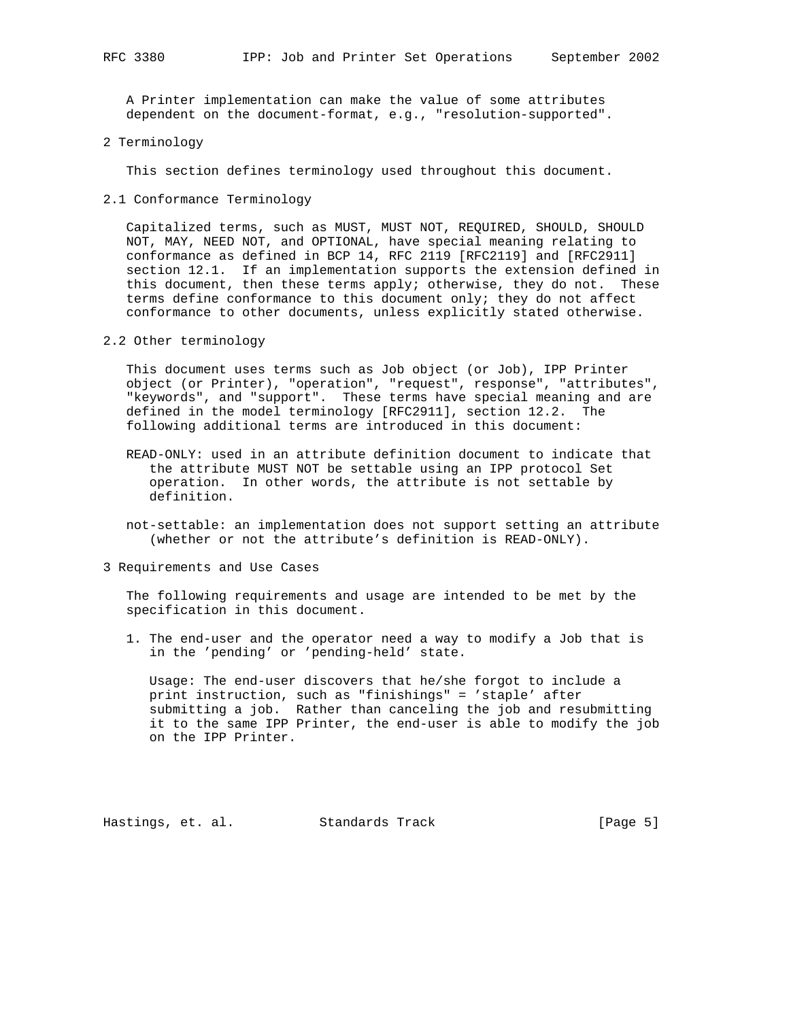A Printer implementation can make the value of some attributes dependent on the document-format, e.g., "resolution-supported".

2 Terminology

This section defines terminology used throughout this document.

2.1 Conformance Terminology

 Capitalized terms, such as MUST, MUST NOT, REQUIRED, SHOULD, SHOULD NOT, MAY, NEED NOT, and OPTIONAL, have special meaning relating to conformance as defined in BCP 14, RFC 2119 [RFC2119] and [RFC2911] section 12.1. If an implementation supports the extension defined in this document, then these terms apply; otherwise, they do not. These terms define conformance to this document only; they do not affect conformance to other documents, unless explicitly stated otherwise.

2.2 Other terminology

 This document uses terms such as Job object (or Job), IPP Printer object (or Printer), "operation", "request", response", "attributes", "keywords", and "support". These terms have special meaning and are defined in the model terminology [RFC2911], section 12.2. The following additional terms are introduced in this document:

- READ-ONLY: used in an attribute definition document to indicate that the attribute MUST NOT be settable using an IPP protocol Set operation. In other words, the attribute is not settable by definition.
- not-settable: an implementation does not support setting an attribute (whether or not the attribute's definition is READ-ONLY).
- 3 Requirements and Use Cases

 The following requirements and usage are intended to be met by the specification in this document.

 1. The end-user and the operator need a way to modify a Job that is in the 'pending' or 'pending-held' state.

 Usage: The end-user discovers that he/she forgot to include a print instruction, such as "finishings" = 'staple' after submitting a job. Rather than canceling the job and resubmitting it to the same IPP Printer, the end-user is able to modify the job on the IPP Printer.

Hastings, et. al. Standards Track [Page 5]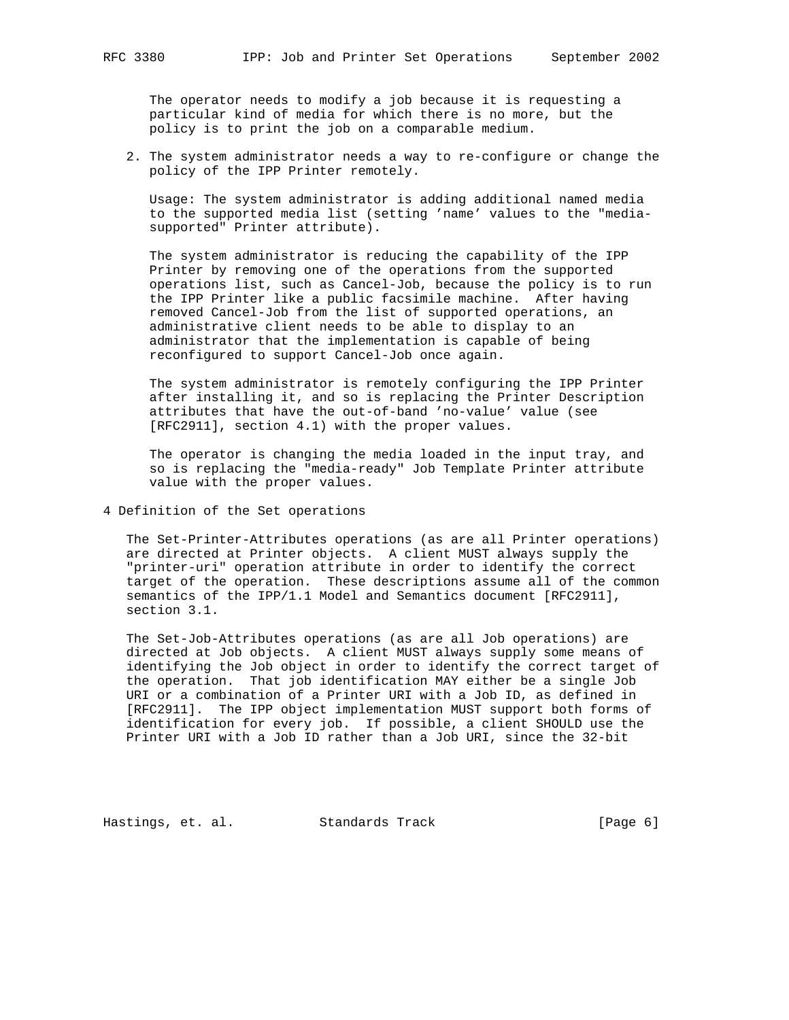The operator needs to modify a job because it is requesting a particular kind of media for which there is no more, but the policy is to print the job on a comparable medium.

 2. The system administrator needs a way to re-configure or change the policy of the IPP Printer remotely.

 Usage: The system administrator is adding additional named media to the supported media list (setting 'name' values to the "media supported" Printer attribute).

 The system administrator is reducing the capability of the IPP Printer by removing one of the operations from the supported operations list, such as Cancel-Job, because the policy is to run the IPP Printer like a public facsimile machine. After having removed Cancel-Job from the list of supported operations, an administrative client needs to be able to display to an administrator that the implementation is capable of being reconfigured to support Cancel-Job once again.

 The system administrator is remotely configuring the IPP Printer after installing it, and so is replacing the Printer Description attributes that have the out-of-band 'no-value' value (see [RFC2911], section 4.1) with the proper values.

 The operator is changing the media loaded in the input tray, and so is replacing the "media-ready" Job Template Printer attribute value with the proper values.

4 Definition of the Set operations

 The Set-Printer-Attributes operations (as are all Printer operations) are directed at Printer objects. A client MUST always supply the "printer-uri" operation attribute in order to identify the correct target of the operation. These descriptions assume all of the common semantics of the IPP/1.1 Model and Semantics document [RFC2911], section 3.1.

 The Set-Job-Attributes operations (as are all Job operations) are directed at Job objects. A client MUST always supply some means of identifying the Job object in order to identify the correct target of the operation. That job identification MAY either be a single Job URI or a combination of a Printer URI with a Job ID, as defined in [RFC2911]. The IPP object implementation MUST support both forms of identification for every job. If possible, a client SHOULD use the Printer URI with a Job ID rather than a Job URI, since the 32-bit

Hastings, et. al. Standards Track [Page 6]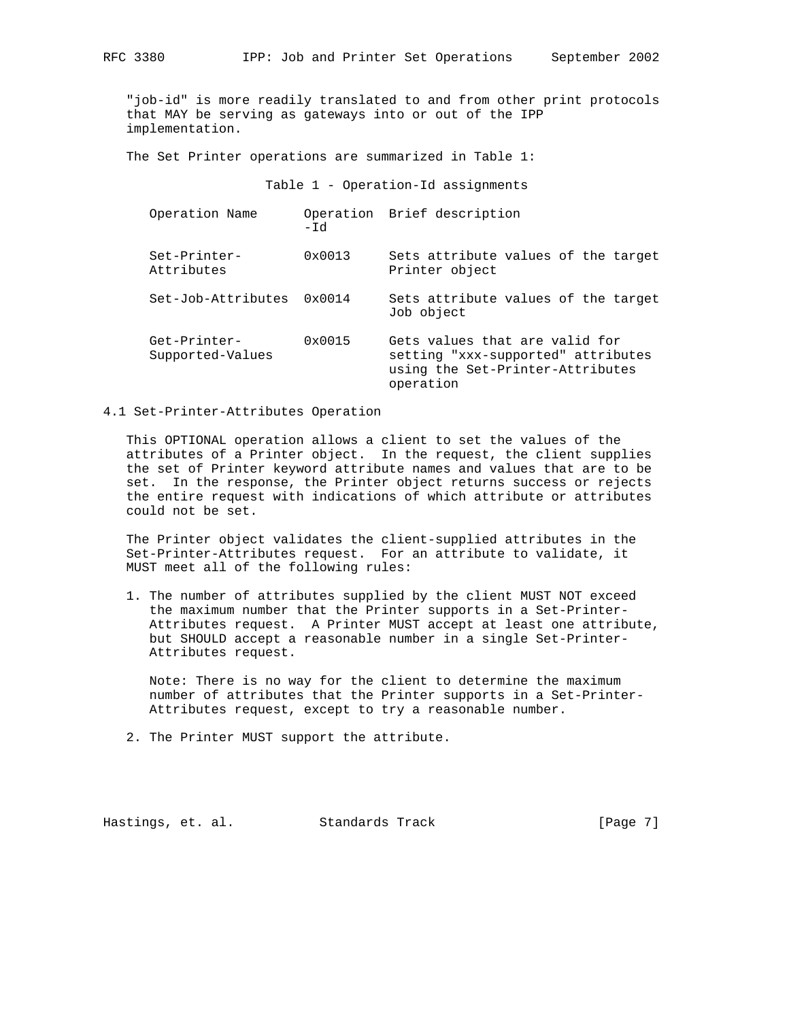"job-id" is more readily translated to and from other print protocols that MAY be serving as gateways into or out of the IPP implementation.

The Set Printer operations are summarized in Table 1:

Table 1 - Operation-Id assignments

| Operation Name                   | -Id             | Operation Brief description                                                                                           |
|----------------------------------|-----------------|-----------------------------------------------------------------------------------------------------------------------|
| Set-Printer-<br>Attributes       | $0 \times 0013$ | Sets attribute values of the target<br>Printer object                                                                 |
| Set-Job-Attributes               | $0 \times 0014$ | Sets attribute values of the target<br>Job object                                                                     |
| Get-Printer-<br>Supported-Values | 0x0015          | Gets values that are valid for<br>setting "xxx-supported" attributes<br>using the Set-Printer-Attributes<br>operation |

4.1 Set-Printer-Attributes Operation

 This OPTIONAL operation allows a client to set the values of the attributes of a Printer object. In the request, the client supplies the set of Printer keyword attribute names and values that are to be set. In the response, the Printer object returns success or rejects the entire request with indications of which attribute or attributes could not be set.

 The Printer object validates the client-supplied attributes in the Set-Printer-Attributes request. For an attribute to validate, it MUST meet all of the following rules:

 1. The number of attributes supplied by the client MUST NOT exceed the maximum number that the Printer supports in a Set-Printer- Attributes request. A Printer MUST accept at least one attribute, but SHOULD accept a reasonable number in a single Set-Printer- Attributes request.

 Note: There is no way for the client to determine the maximum number of attributes that the Printer supports in a Set-Printer- Attributes request, except to try a reasonable number.

2. The Printer MUST support the attribute.

Hastings, et. al. Standards Track [Page 7]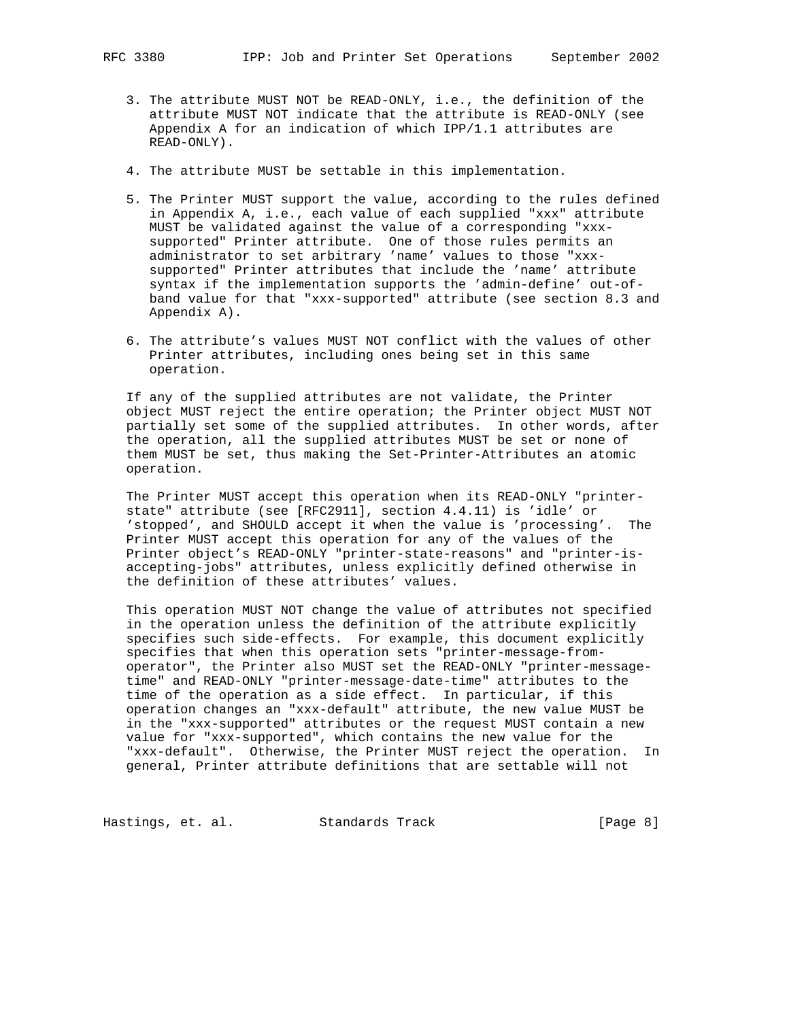- - 3. The attribute MUST NOT be READ-ONLY, i.e., the definition of the attribute MUST NOT indicate that the attribute is READ-ONLY (see Appendix A for an indication of which IPP/1.1 attributes are READ-ONLY).
	- 4. The attribute MUST be settable in this implementation.
	- 5. The Printer MUST support the value, according to the rules defined in Appendix A, i.e., each value of each supplied "xxx" attribute MUST be validated against the value of a corresponding "xxx supported" Printer attribute. One of those rules permits an administrator to set arbitrary 'name' values to those "xxx supported" Printer attributes that include the 'name' attribute syntax if the implementation supports the 'admin-define' out-of band value for that "xxx-supported" attribute (see section 8.3 and Appendix A).
	- 6. The attribute's values MUST NOT conflict with the values of other Printer attributes, including ones being set in this same operation.

 If any of the supplied attributes are not validate, the Printer object MUST reject the entire operation; the Printer object MUST NOT partially set some of the supplied attributes. In other words, after the operation, all the supplied attributes MUST be set or none of them MUST be set, thus making the Set-Printer-Attributes an atomic operation.

 The Printer MUST accept this operation when its READ-ONLY "printer state" attribute (see [RFC2911], section 4.4.11) is 'idle' or 'stopped', and SHOULD accept it when the value is 'processing'. The Printer MUST accept this operation for any of the values of the Printer object's READ-ONLY "printer-state-reasons" and "printer-is accepting-jobs" attributes, unless explicitly defined otherwise in the definition of these attributes' values.

 This operation MUST NOT change the value of attributes not specified in the operation unless the definition of the attribute explicitly specifies such side-effects. For example, this document explicitly specifies that when this operation sets "printer-message-from operator", the Printer also MUST set the READ-ONLY "printer-message time" and READ-ONLY "printer-message-date-time" attributes to the time of the operation as a side effect. In particular, if this operation changes an "xxx-default" attribute, the new value MUST be in the "xxx-supported" attributes or the request MUST contain a new value for "xxx-supported", which contains the new value for the "xxx-default". Otherwise, the Printer MUST reject the operation. In general, Printer attribute definitions that are settable will not

Hastings, et. al. Standards Track [Page 8]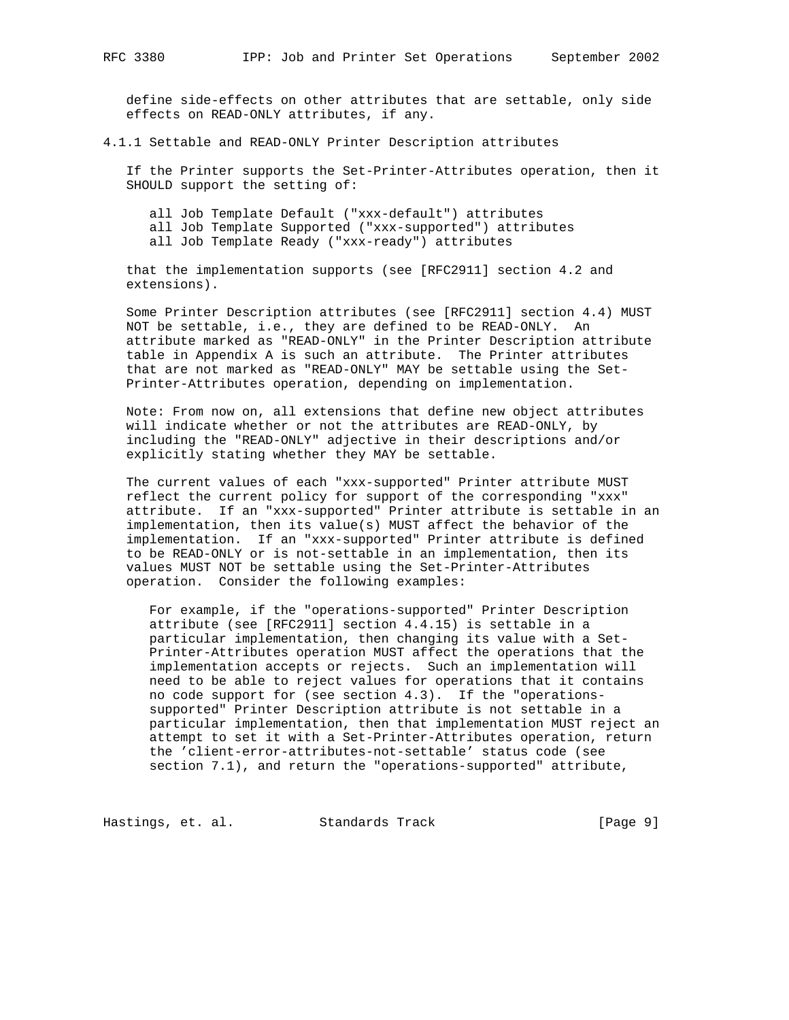define side-effects on other attributes that are settable, only side effects on READ-ONLY attributes, if any.

4.1.1 Settable and READ-ONLY Printer Description attributes

 If the Printer supports the Set-Printer-Attributes operation, then it SHOULD support the setting of:

 all Job Template Default ("xxx-default") attributes all Job Template Supported ("xxx-supported") attributes all Job Template Ready ("xxx-ready") attributes

 that the implementation supports (see [RFC2911] section 4.2 and extensions).

 Some Printer Description attributes (see [RFC2911] section 4.4) MUST NOT be settable, i.e., they are defined to be READ-ONLY. An attribute marked as "READ-ONLY" in the Printer Description attribute table in Appendix A is such an attribute. The Printer attributes that are not marked as "READ-ONLY" MAY be settable using the Set- Printer-Attributes operation, depending on implementation.

 Note: From now on, all extensions that define new object attributes will indicate whether or not the attributes are READ-ONLY, by including the "READ-ONLY" adjective in their descriptions and/or explicitly stating whether they MAY be settable.

 The current values of each "xxx-supported" Printer attribute MUST reflect the current policy for support of the corresponding "xxx" attribute. If an "xxx-supported" Printer attribute is settable in an implementation, then its value(s) MUST affect the behavior of the implementation. If an "xxx-supported" Printer attribute is defined to be READ-ONLY or is not-settable in an implementation, then its values MUST NOT be settable using the Set-Printer-Attributes operation. Consider the following examples:

 For example, if the "operations-supported" Printer Description attribute (see [RFC2911] section 4.4.15) is settable in a particular implementation, then changing its value with a Set- Printer-Attributes operation MUST affect the operations that the implementation accepts or rejects. Such an implementation will need to be able to reject values for operations that it contains no code support for (see section 4.3). If the "operations supported" Printer Description attribute is not settable in a particular implementation, then that implementation MUST reject an attempt to set it with a Set-Printer-Attributes operation, return the 'client-error-attributes-not-settable' status code (see section 7.1), and return the "operations-supported" attribute,

Hastings, et. al. Standards Track [Page 9]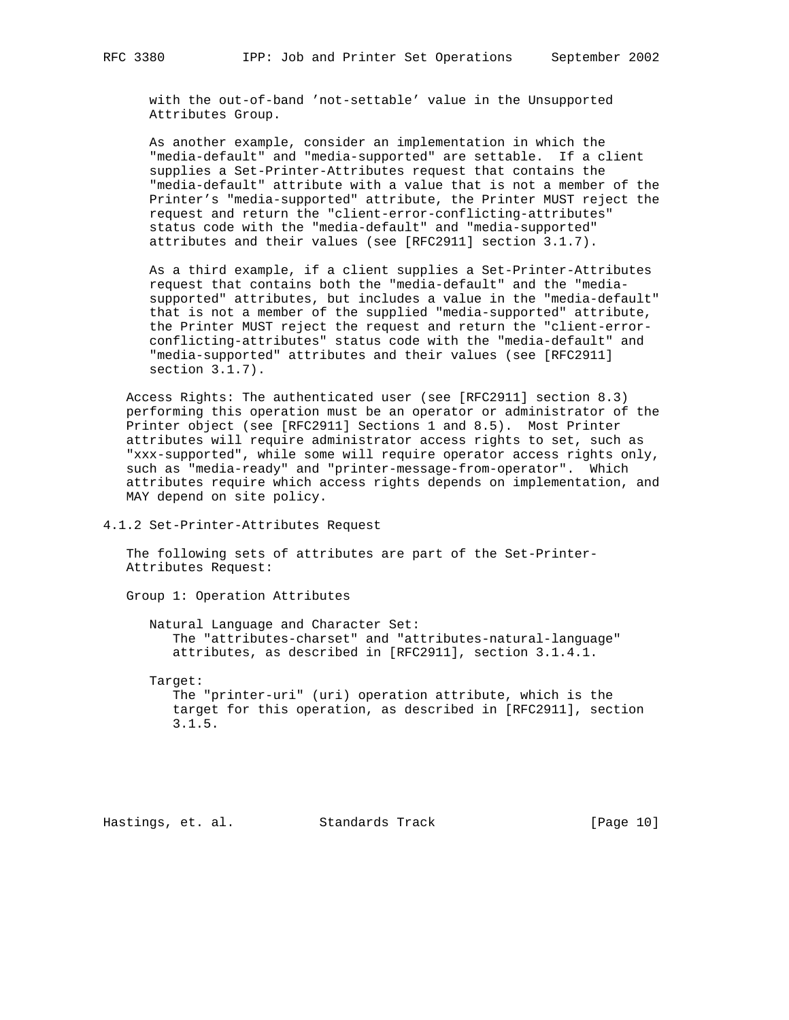with the out-of-band 'not-settable' value in the Unsupported Attributes Group.

 As another example, consider an implementation in which the "media-default" and "media-supported" are settable. If a client supplies a Set-Printer-Attributes request that contains the "media-default" attribute with a value that is not a member of the Printer's "media-supported" attribute, the Printer MUST reject the request and return the "client-error-conflicting-attributes" status code with the "media-default" and "media-supported" attributes and their values (see [RFC2911] section 3.1.7).

 As a third example, if a client supplies a Set-Printer-Attributes request that contains both the "media-default" and the "media supported" attributes, but includes a value in the "media-default" that is not a member of the supplied "media-supported" attribute, the Printer MUST reject the request and return the "client-error conflicting-attributes" status code with the "media-default" and "media-supported" attributes and their values (see [RFC2911] section 3.1.7).

 Access Rights: The authenticated user (see [RFC2911] section 8.3) performing this operation must be an operator or administrator of the Printer object (see [RFC2911] Sections 1 and 8.5). Most Printer attributes will require administrator access rights to set, such as "xxx-supported", while some will require operator access rights only, such as "media-ready" and "printer-message-from-operator". Which attributes require which access rights depends on implementation, and MAY depend on site policy.

4.1.2 Set-Printer-Attributes Request

 The following sets of attributes are part of the Set-Printer- Attributes Request:

Group 1: Operation Attributes

 Natural Language and Character Set: The "attributes-charset" and "attributes-natural-language" attributes, as described in [RFC2911], section 3.1.4.1.

Target:

 The "printer-uri" (uri) operation attribute, which is the target for this operation, as described in [RFC2911], section 3.1.5.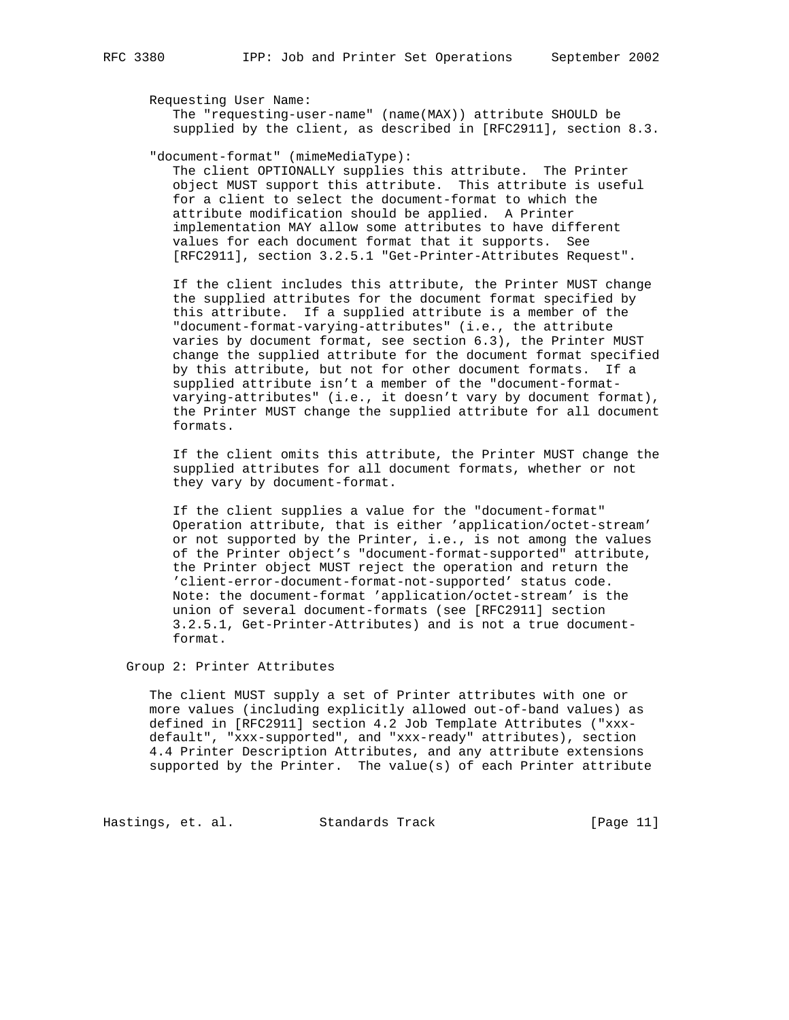Requesting User Name:

 The "requesting-user-name" (name(MAX)) attribute SHOULD be supplied by the client, as described in [RFC2911], section 8.3.

"document-format" (mimeMediaType):

 The client OPTIONALLY supplies this attribute. The Printer object MUST support this attribute. This attribute is useful for a client to select the document-format to which the attribute modification should be applied. A Printer implementation MAY allow some attributes to have different values for each document format that it supports. See [RFC2911], section 3.2.5.1 "Get-Printer-Attributes Request".

 If the client includes this attribute, the Printer MUST change the supplied attributes for the document format specified by this attribute. If a supplied attribute is a member of the "document-format-varying-attributes" (i.e., the attribute varies by document format, see section 6.3), the Printer MUST change the supplied attribute for the document format specified by this attribute, but not for other document formats. If a supplied attribute isn't a member of the "document-format varying-attributes" (i.e., it doesn't vary by document format), the Printer MUST change the supplied attribute for all document formats.

 If the client omits this attribute, the Printer MUST change the supplied attributes for all document formats, whether or not they vary by document-format.

 If the client supplies a value for the "document-format" Operation attribute, that is either 'application/octet-stream' or not supported by the Printer, i.e., is not among the values of the Printer object's "document-format-supported" attribute, the Printer object MUST reject the operation and return the 'client-error-document-format-not-supported' status code. Note: the document-format 'application/octet-stream' is the union of several document-formats (see [RFC2911] section 3.2.5.1, Get-Printer-Attributes) and is not a true document format.

Group 2: Printer Attributes

 The client MUST supply a set of Printer attributes with one or more values (including explicitly allowed out-of-band values) as defined in [RFC2911] section 4.2 Job Template Attributes ("xxx default", "xxx-supported", and "xxx-ready" attributes), section 4.4 Printer Description Attributes, and any attribute extensions supported by the Printer. The value(s) of each Printer attribute

Hastings, et. al. Standards Track [Page 11]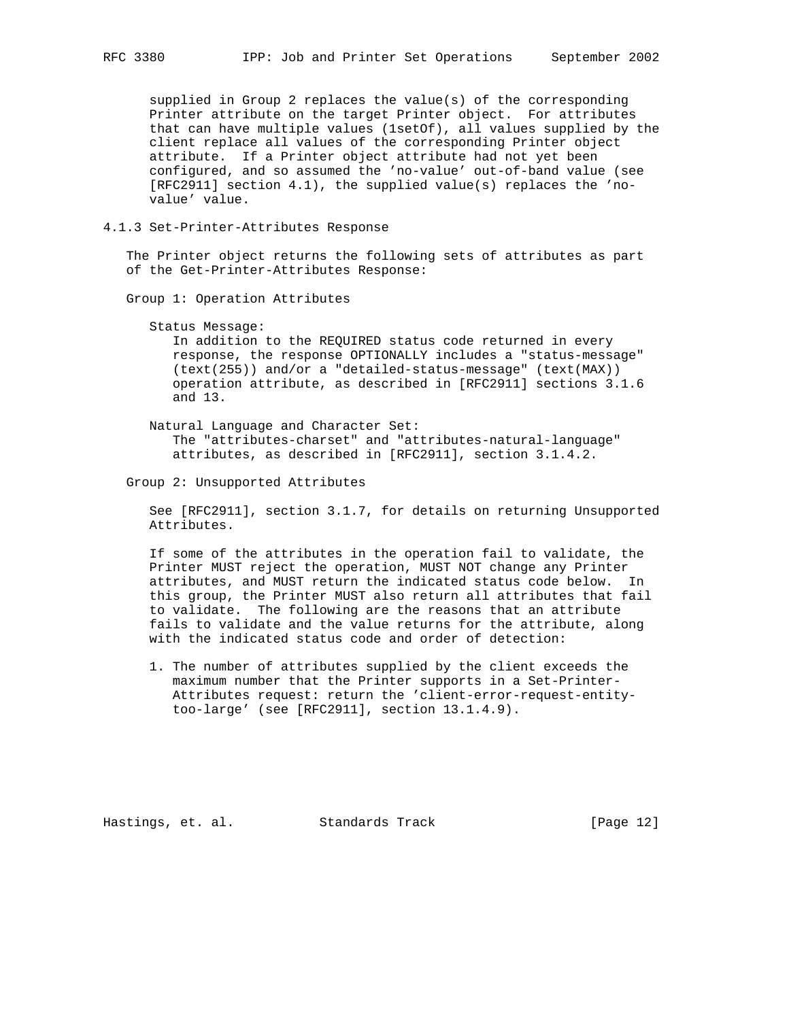supplied in Group 2 replaces the value(s) of the corresponding Printer attribute on the target Printer object. For attributes that can have multiple values (1setOf), all values supplied by the client replace all values of the corresponding Printer object attribute. If a Printer object attribute had not yet been configured, and so assumed the 'no-value' out-of-band value (see [RFC2911] section 4.1), the supplied value(s) replaces the 'no value' value.

## 4.1.3 Set-Printer-Attributes Response

 The Printer object returns the following sets of attributes as part of the Get-Printer-Attributes Response:

Group 1: Operation Attributes

#### Status Message:

 In addition to the REQUIRED status code returned in every response, the response OPTIONALLY includes a "status-message" (text(255)) and/or a "detailed-status-message" (text(MAX)) operation attribute, as described in [RFC2911] sections 3.1.6 and 13.

 Natural Language and Character Set: The "attributes-charset" and "attributes-natural-language" attributes, as described in [RFC2911], section 3.1.4.2.

#### Group 2: Unsupported Attributes

 See [RFC2911], section 3.1.7, for details on returning Unsupported Attributes.

 If some of the attributes in the operation fail to validate, the Printer MUST reject the operation, MUST NOT change any Printer attributes, and MUST return the indicated status code below. In this group, the Printer MUST also return all attributes that fail to validate. The following are the reasons that an attribute fails to validate and the value returns for the attribute, along with the indicated status code and order of detection:

 1. The number of attributes supplied by the client exceeds the maximum number that the Printer supports in a Set-Printer- Attributes request: return the 'client-error-request-entity too-large' (see [RFC2911], section 13.1.4.9).

Hastings, et. al. Standards Track [Page 12]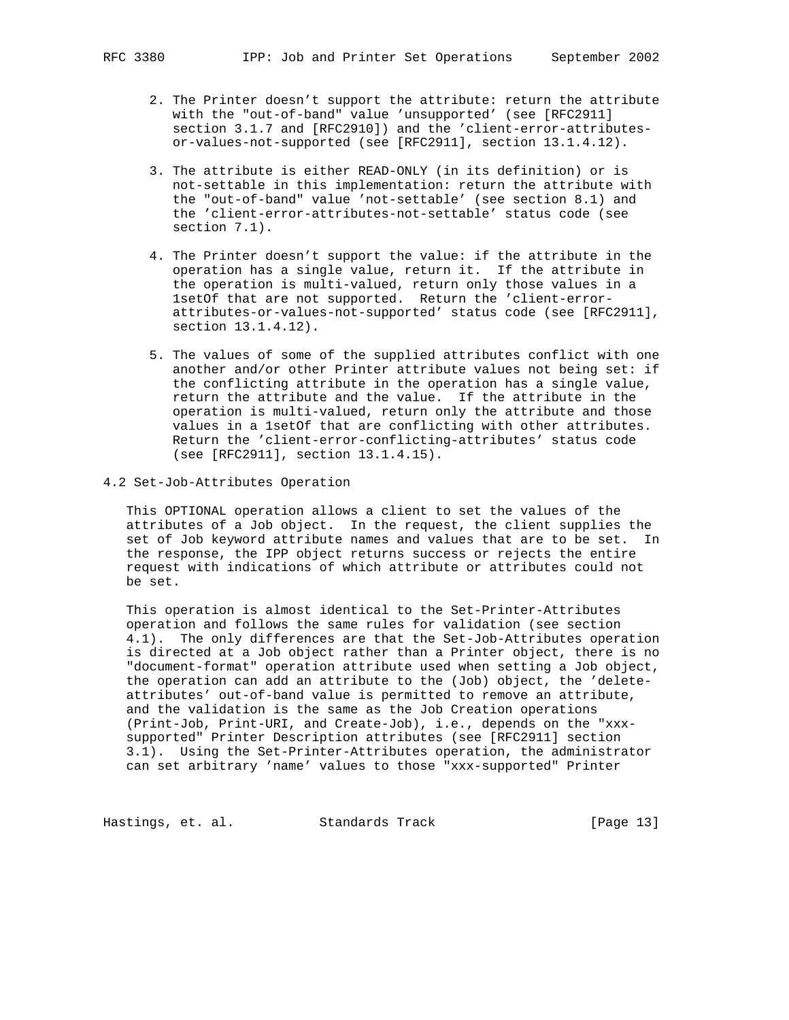- 2. The Printer doesn't support the attribute: return the attribute with the "out-of-band" value 'unsupported' (see [RFC2911] section 3.1.7 and [RFC2910]) and the 'client-error-attributes or-values-not-supported (see [RFC2911], section 13.1.4.12).
- 3. The attribute is either READ-ONLY (in its definition) or is not-settable in this implementation: return the attribute with the "out-of-band" value 'not-settable' (see section 8.1) and the 'client-error-attributes-not-settable' status code (see section 7.1).
- 4. The Printer doesn't support the value: if the attribute in the operation has a single value, return it. If the attribute in the operation is multi-valued, return only those values in a 1setOf that are not supported. Return the 'client-error attributes-or-values-not-supported' status code (see [RFC2911], section 13.1.4.12).
- 5. The values of some of the supplied attributes conflict with one another and/or other Printer attribute values not being set: if the conflicting attribute in the operation has a single value, return the attribute and the value. If the attribute in the operation is multi-valued, return only the attribute and those values in a 1setOf that are conflicting with other attributes. Return the 'client-error-conflicting-attributes' status code (see [RFC2911], section 13.1.4.15).
- 4.2 Set-Job-Attributes Operation

 This OPTIONAL operation allows a client to set the values of the attributes of a Job object. In the request, the client supplies the set of Job keyword attribute names and values that are to be set. In the response, the IPP object returns success or rejects the entire request with indications of which attribute or attributes could not be set.

 This operation is almost identical to the Set-Printer-Attributes operation and follows the same rules for validation (see section 4.1). The only differences are that the Set-Job-Attributes operation is directed at a Job object rather than a Printer object, there is no "document-format" operation attribute used when setting a Job object, the operation can add an attribute to the (Job) object, the 'delete attributes' out-of-band value is permitted to remove an attribute, and the validation is the same as the Job Creation operations (Print-Job, Print-URI, and Create-Job), i.e., depends on the "xxx supported" Printer Description attributes (see [RFC2911] section 3.1). Using the Set-Printer-Attributes operation, the administrator can set arbitrary 'name' values to those "xxx-supported" Printer

Hastings, et. al. Standards Track [Page 13]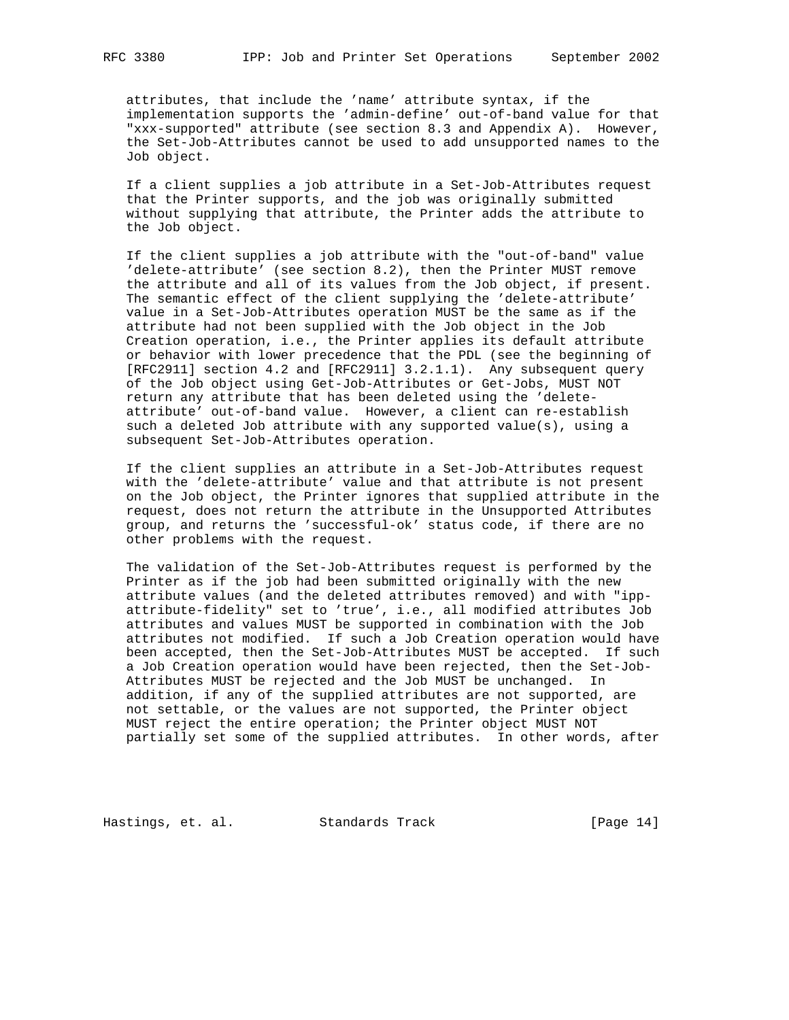attributes, that include the 'name' attribute syntax, if the implementation supports the 'admin-define' out-of-band value for that "xxx-supported" attribute (see section 8.3 and Appendix A). However, the Set-Job-Attributes cannot be used to add unsupported names to the Job object.

 If a client supplies a job attribute in a Set-Job-Attributes request that the Printer supports, and the job was originally submitted without supplying that attribute, the Printer adds the attribute to the Job object.

 If the client supplies a job attribute with the "out-of-band" value 'delete-attribute' (see section 8.2), then the Printer MUST remove the attribute and all of its values from the Job object, if present. The semantic effect of the client supplying the 'delete-attribute' value in a Set-Job-Attributes operation MUST be the same as if the attribute had not been supplied with the Job object in the Job Creation operation, i.e., the Printer applies its default attribute or behavior with lower precedence that the PDL (see the beginning of [RFC2911] section 4.2 and [RFC2911] 3.2.1.1). Any subsequent query of the Job object using Get-Job-Attributes or Get-Jobs, MUST NOT return any attribute that has been deleted using the 'delete attribute' out-of-band value. However, a client can re-establish such a deleted Job attribute with any supported value(s), using a subsequent Set-Job-Attributes operation.

 If the client supplies an attribute in a Set-Job-Attributes request with the 'delete-attribute' value and that attribute is not present on the Job object, the Printer ignores that supplied attribute in the request, does not return the attribute in the Unsupported Attributes group, and returns the 'successful-ok' status code, if there are no other problems with the request.

 The validation of the Set-Job-Attributes request is performed by the Printer as if the job had been submitted originally with the new attribute values (and the deleted attributes removed) and with "ipp attribute-fidelity" set to 'true', i.e., all modified attributes Job attributes and values MUST be supported in combination with the Job attributes not modified. If such a Job Creation operation would have been accepted, then the Set-Job-Attributes MUST be accepted. If such a Job Creation operation would have been rejected, then the Set-Job- Attributes MUST be rejected and the Job MUST be unchanged. In addition, if any of the supplied attributes are not supported, are not settable, or the values are not supported, the Printer object MUST reject the entire operation; the Printer object MUST NOT partially set some of the supplied attributes. In other words, after

Hastings, et. al. Standards Track [Page 14]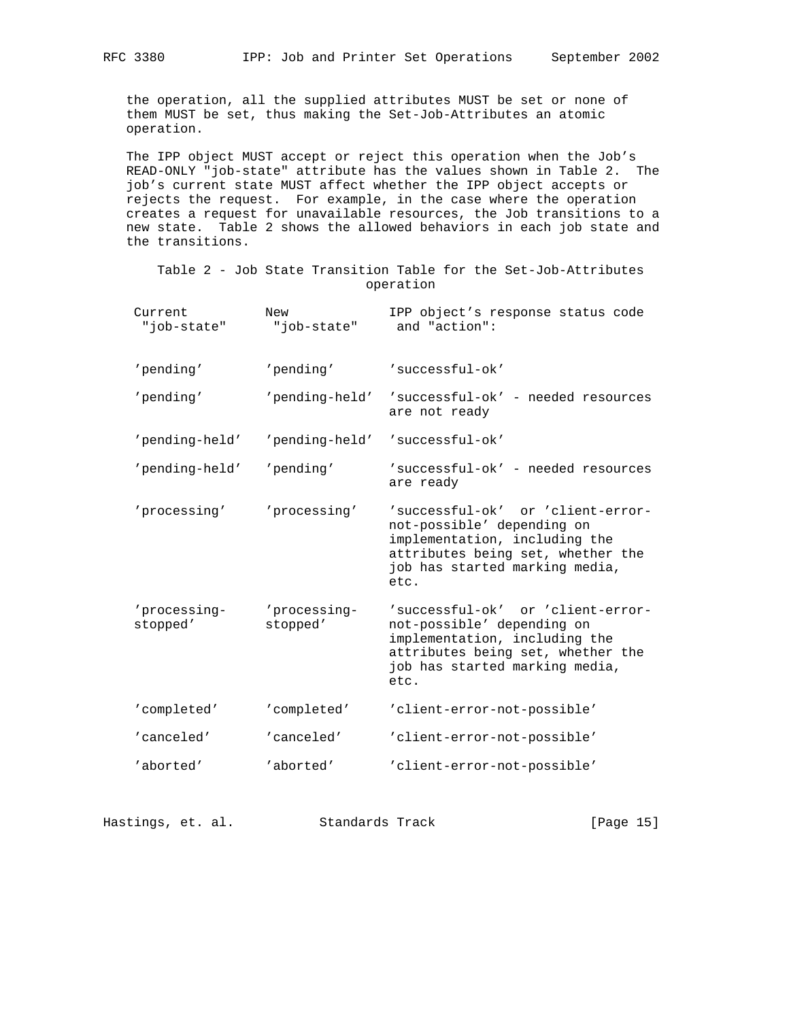the operation, all the supplied attributes MUST be set or none of them MUST be set, thus making the Set-Job-Attributes an atomic operation.

 The IPP object MUST accept or reject this operation when the Job's READ-ONLY "job-state" attribute has the values shown in Table 2. The job's current state MUST affect whether the IPP object accepts or rejects the request. For example, in the case where the operation creates a request for unavailable resources, the Job transitions to a new state. Table 2 shows the allowed behaviors in each job state and the transitions.

 Table 2 - Job State Transition Table for the Set-Job-Attributes operation

| IPP object's response status code<br>Current<br>New<br>and "action":<br>"job-state"<br>"job-state"                                                                                                                                      |  |
|-----------------------------------------------------------------------------------------------------------------------------------------------------------------------------------------------------------------------------------------|--|
| 'pending'<br>'pending'<br>'successful-ok'                                                                                                                                                                                               |  |
| 'pending'<br>'pending-held'<br>'successful-ok' - needed resources<br>are not ready                                                                                                                                                      |  |
| 'successful-ok'<br>'pending-held'<br>'pending-held'                                                                                                                                                                                     |  |
| 'pending-held'<br>'pending'<br>'successful-ok' - needed resources<br>are ready                                                                                                                                                          |  |
| 'processing'<br>'successful-ok' or 'client-error-<br>'processing'<br>not-possible' depending on<br>implementation, including the<br>attributes being set, whether the<br>job has started marking media,<br>etc.                         |  |
| 'processing-<br>'processing-<br>'successful-ok' or 'client-error-<br>stopped'<br>stopped'<br>not-possible' depending on<br>implementation, including the<br>attributes being set, whether the<br>job has started marking media,<br>etc. |  |
| 'completed'<br>'completed'<br>'client-error-not-possible'                                                                                                                                                                               |  |
| 'canceled'<br>'canceled'<br>'client-error-not-possible'                                                                                                                                                                                 |  |
| 'aborted'<br>'aborted'<br>'client-error-not-possible'                                                                                                                                                                                   |  |

Hastings, et. al. Standards Track [Page 15]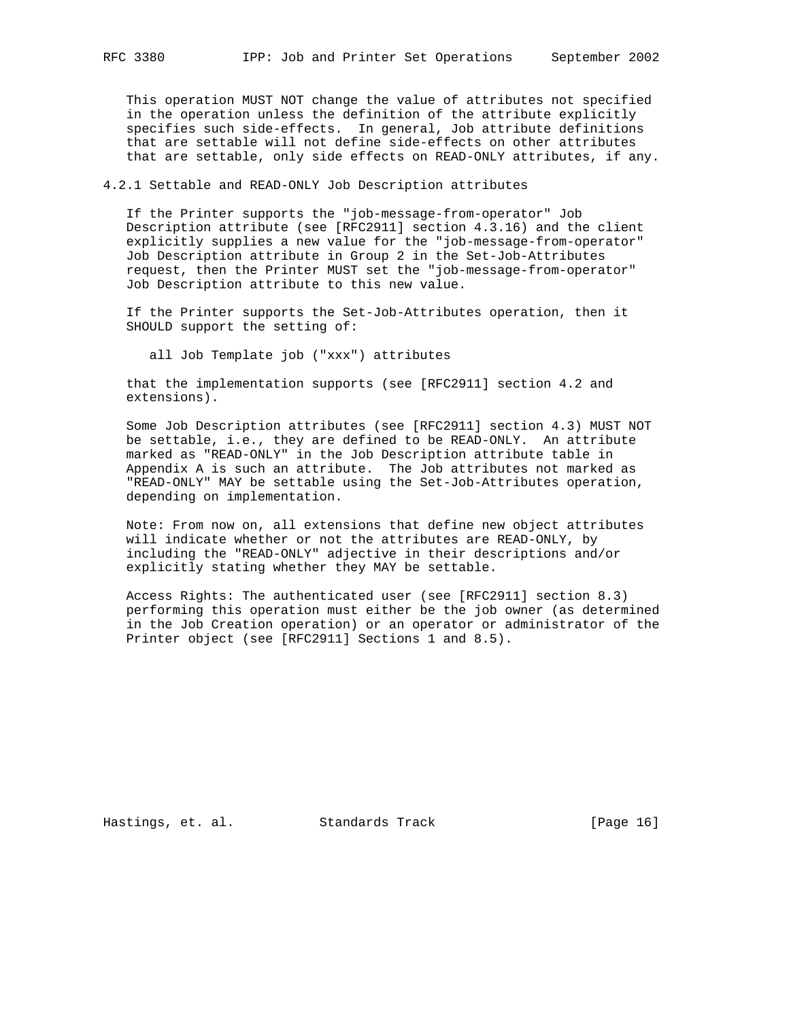This operation MUST NOT change the value of attributes not specified in the operation unless the definition of the attribute explicitly specifies such side-effects. In general, Job attribute definitions that are settable will not define side-effects on other attributes that are settable, only side effects on READ-ONLY attributes, if any.

4.2.1 Settable and READ-ONLY Job Description attributes

 If the Printer supports the "job-message-from-operator" Job Description attribute (see [RFC2911] section 4.3.16) and the client explicitly supplies a new value for the "job-message-from-operator" Job Description attribute in Group 2 in the Set-Job-Attributes request, then the Printer MUST set the "job-message-from-operator" Job Description attribute to this new value.

 If the Printer supports the Set-Job-Attributes operation, then it SHOULD support the setting of:

all Job Template job ("xxx") attributes

 that the implementation supports (see [RFC2911] section 4.2 and extensions).

 Some Job Description attributes (see [RFC2911] section 4.3) MUST NOT be settable, i.e., they are defined to be READ-ONLY. An attribute marked as "READ-ONLY" in the Job Description attribute table in Appendix A is such an attribute. The Job attributes not marked as "READ-ONLY" MAY be settable using the Set-Job-Attributes operation, depending on implementation.

 Note: From now on, all extensions that define new object attributes will indicate whether or not the attributes are READ-ONLY, by including the "READ-ONLY" adjective in their descriptions and/or explicitly stating whether they MAY be settable.

 Access Rights: The authenticated user (see [RFC2911] section 8.3) performing this operation must either be the job owner (as determined in the Job Creation operation) or an operator or administrator of the Printer object (see [RFC2911] Sections 1 and 8.5).

Hastings, et. al. Standards Track [Page 16]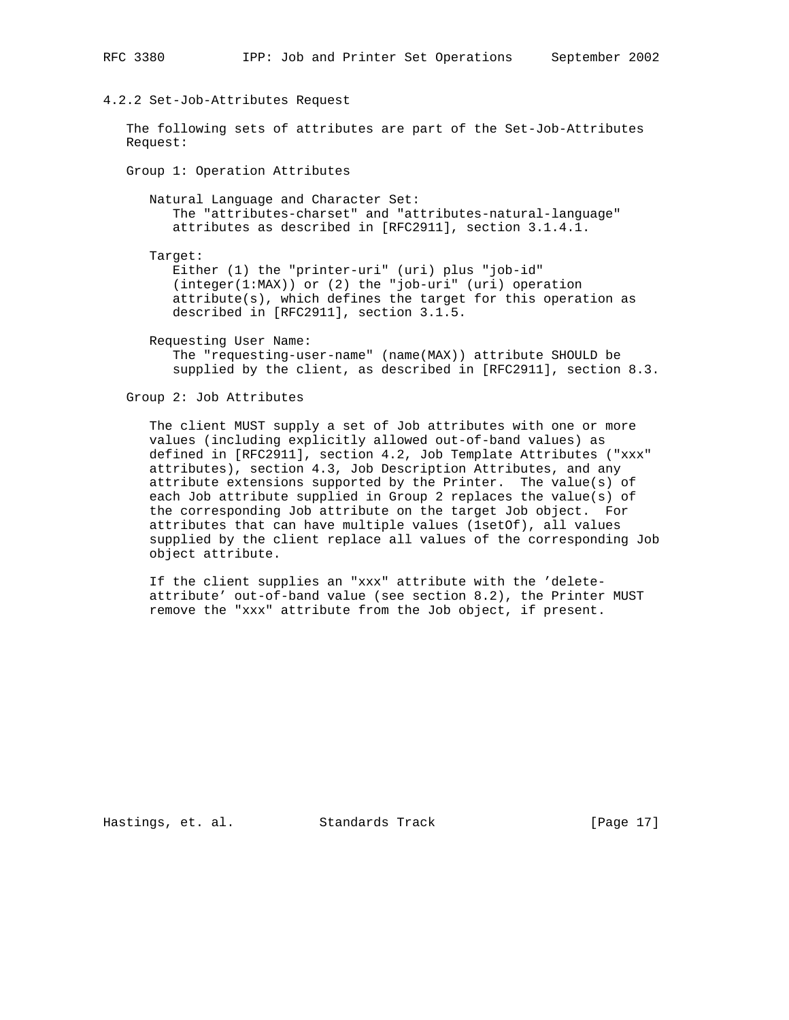### 4.2.2 Set-Job-Attributes Request

 The following sets of attributes are part of the Set-Job-Attributes Request:

Group 1: Operation Attributes

 Natural Language and Character Set: The "attributes-charset" and "attributes-natural-language" attributes as described in [RFC2911], section 3.1.4.1.

Target:

 Either (1) the "printer-uri" (uri) plus "job-id"  $(integer(1:MAX))$  or (2) the "job-uri" (uri) operation attribute(s), which defines the target for this operation as described in [RFC2911], section 3.1.5.

Requesting User Name:

 The "requesting-user-name" (name(MAX)) attribute SHOULD be supplied by the client, as described in [RFC2911], section 8.3.

Group 2: Job Attributes

 The client MUST supply a set of Job attributes with one or more values (including explicitly allowed out-of-band values) as defined in [RFC2911], section 4.2, Job Template Attributes ("xxx" attributes), section 4.3, Job Description Attributes, and any attribute extensions supported by the Printer. The value(s) of each Job attribute supplied in Group 2 replaces the value(s) of the corresponding Job attribute on the target Job object. For attributes that can have multiple values (1setOf), all values supplied by the client replace all values of the corresponding Job object attribute.

 If the client supplies an "xxx" attribute with the 'delete attribute' out-of-band value (see section 8.2), the Printer MUST remove the "xxx" attribute from the Job object, if present.

Hastings, et. al. Standards Track [Page 17]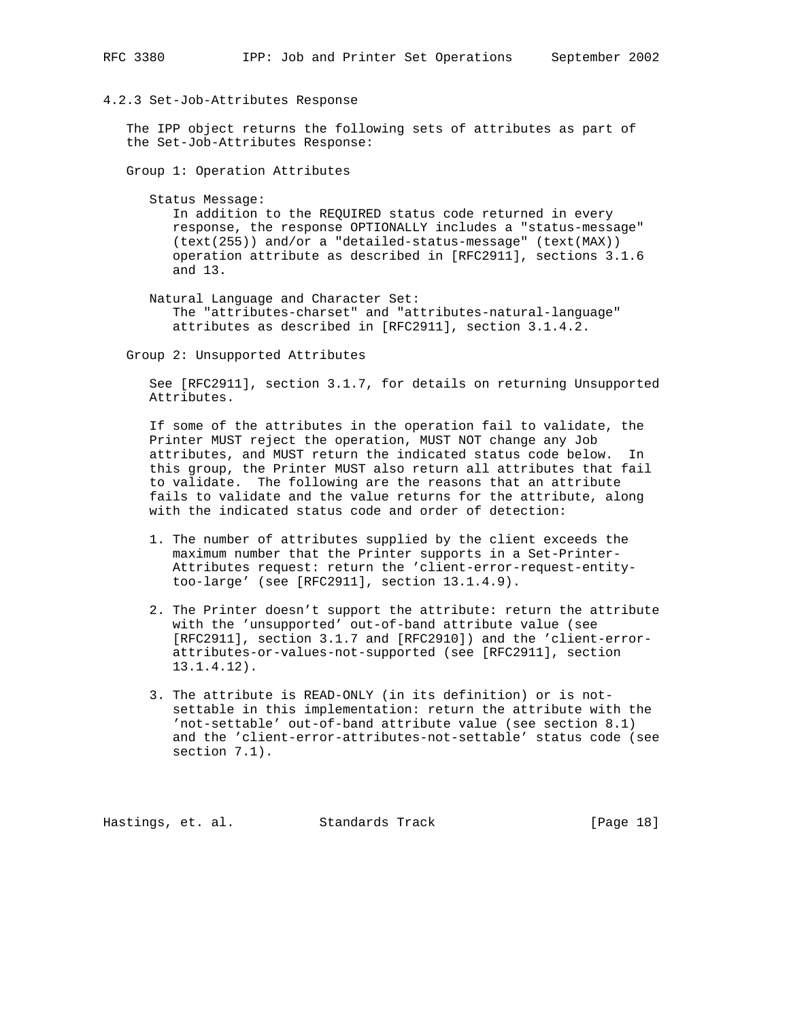#### 4.2.3 Set-Job-Attributes Response

 The IPP object returns the following sets of attributes as part of the Set-Job-Attributes Response:

Group 1: Operation Attributes

Status Message:

 In addition to the REQUIRED status code returned in every response, the response OPTIONALLY includes a "status-message" (text(255)) and/or a "detailed-status-message" (text(MAX)) operation attribute as described in [RFC2911], sections 3.1.6 and 13.

 Natural Language and Character Set: The "attributes-charset" and "attributes-natural-language" attributes as described in [RFC2911], section 3.1.4.2.

Group 2: Unsupported Attributes

 See [RFC2911], section 3.1.7, for details on returning Unsupported Attributes.

 If some of the attributes in the operation fail to validate, the Printer MUST reject the operation, MUST NOT change any Job attributes, and MUST return the indicated status code below. In this group, the Printer MUST also return all attributes that fail to validate. The following are the reasons that an attribute fails to validate and the value returns for the attribute, along with the indicated status code and order of detection:

- 1. The number of attributes supplied by the client exceeds the maximum number that the Printer supports in a Set-Printer- Attributes request: return the 'client-error-request-entity too-large' (see [RFC2911], section 13.1.4.9).
- 2. The Printer doesn't support the attribute: return the attribute with the 'unsupported' out-of-band attribute value (see [RFC2911], section 3.1.7 and [RFC2910]) and the 'client-error attributes-or-values-not-supported (see [RFC2911], section 13.1.4.12).
- 3. The attribute is READ-ONLY (in its definition) or is not settable in this implementation: return the attribute with the 'not-settable' out-of-band attribute value (see section 8.1) and the 'client-error-attributes-not-settable' status code (see section 7.1).

Hastings, et. al. Standards Track [Page 18]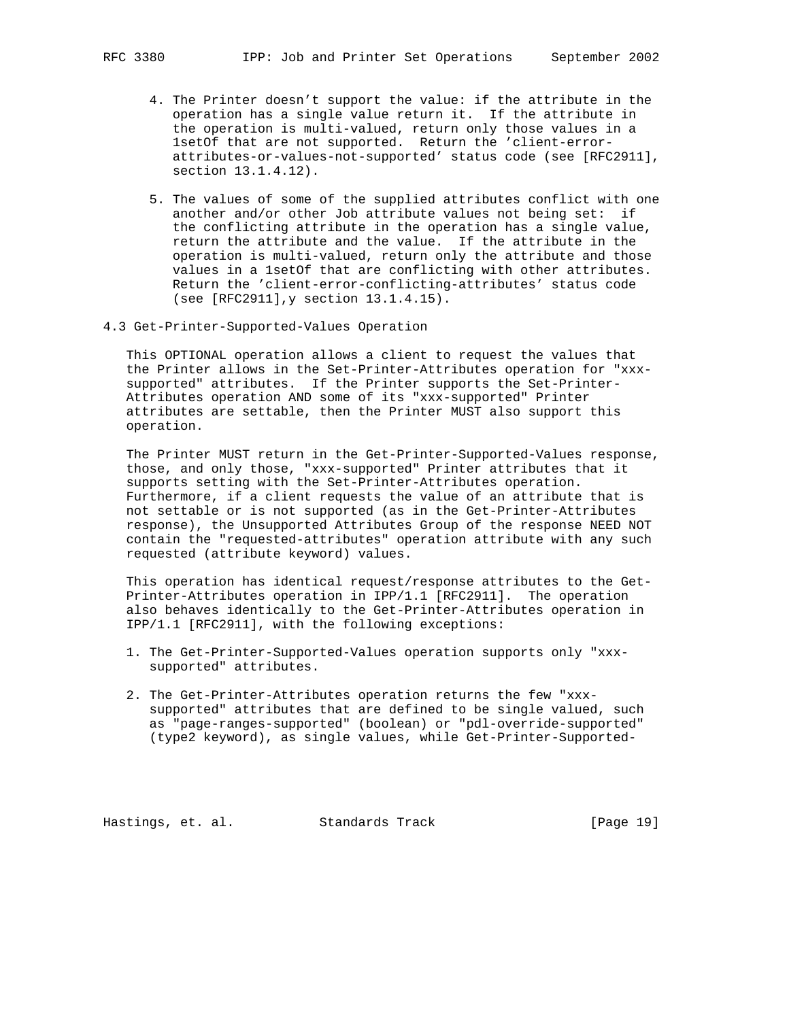- - 4. The Printer doesn't support the value: if the attribute in the operation has a single value return it. If the attribute in the operation is multi-valued, return only those values in a 1setOf that are not supported. Return the 'client-error attributes-or-values-not-supported' status code (see [RFC2911], section 13.1.4.12).
	- 5. The values of some of the supplied attributes conflict with one another and/or other Job attribute values not being set: if the conflicting attribute in the operation has a single value, return the attribute and the value. If the attribute in the operation is multi-valued, return only the attribute and those values in a 1setOf that are conflicting with other attributes. Return the 'client-error-conflicting-attributes' status code (see [RFC2911],y section 13.1.4.15).
- 4.3 Get-Printer-Supported-Values Operation

 This OPTIONAL operation allows a client to request the values that the Printer allows in the Set-Printer-Attributes operation for "xxx supported" attributes. If the Printer supports the Set-Printer- Attributes operation AND some of its "xxx-supported" Printer attributes are settable, then the Printer MUST also support this operation.

 The Printer MUST return in the Get-Printer-Supported-Values response, those, and only those, "xxx-supported" Printer attributes that it supports setting with the Set-Printer-Attributes operation. Furthermore, if a client requests the value of an attribute that is not settable or is not supported (as in the Get-Printer-Attributes response), the Unsupported Attributes Group of the response NEED NOT contain the "requested-attributes" operation attribute with any such requested (attribute keyword) values.

 This operation has identical request/response attributes to the Get- Printer-Attributes operation in IPP/1.1 [RFC2911]. The operation also behaves identically to the Get-Printer-Attributes operation in IPP/1.1 [RFC2911], with the following exceptions:

- 1. The Get-Printer-Supported-Values operation supports only "xxx supported" attributes.
- 2. The Get-Printer-Attributes operation returns the few "xxx supported" attributes that are defined to be single valued, such as "page-ranges-supported" (boolean) or "pdl-override-supported" (type2 keyword), as single values, while Get-Printer-Supported-

Hastings, et. al. Standards Track [Page 19]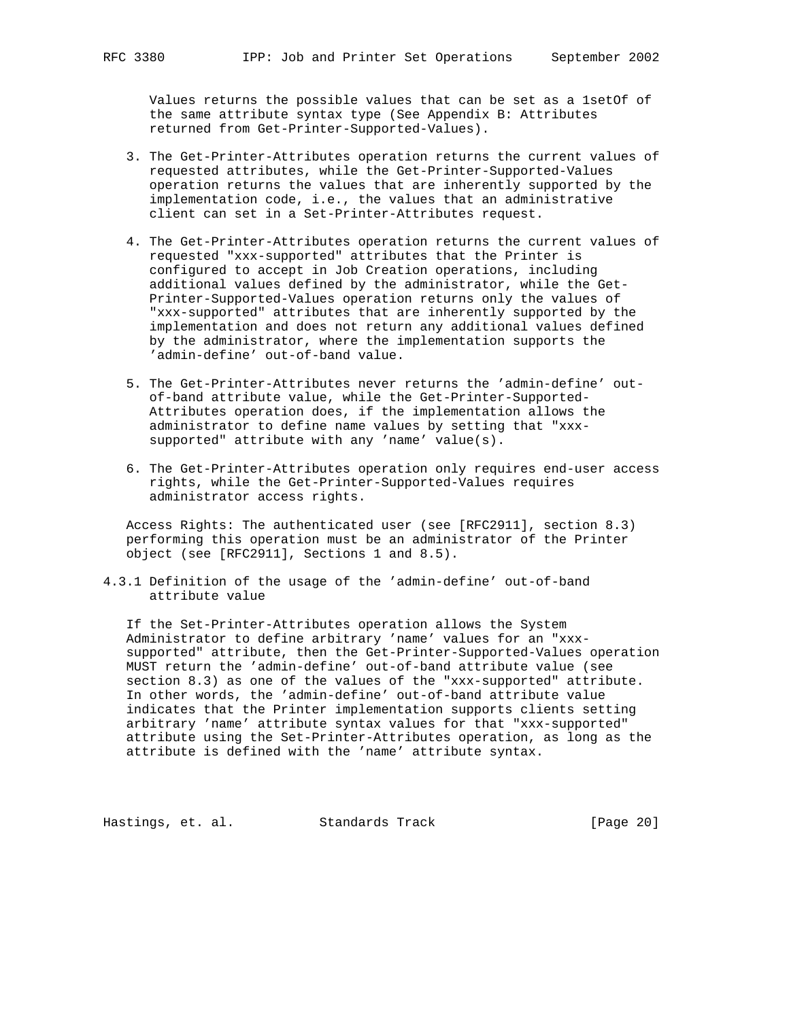Values returns the possible values that can be set as a 1setOf of the same attribute syntax type (See Appendix B: Attributes returned from Get-Printer-Supported-Values).

- 3. The Get-Printer-Attributes operation returns the current values of requested attributes, while the Get-Printer-Supported-Values operation returns the values that are inherently supported by the implementation code, i.e., the values that an administrative client can set in a Set-Printer-Attributes request.
- 4. The Get-Printer-Attributes operation returns the current values of requested "xxx-supported" attributes that the Printer is configured to accept in Job Creation operations, including additional values defined by the administrator, while the Get- Printer-Supported-Values operation returns only the values of "xxx-supported" attributes that are inherently supported by the implementation and does not return any additional values defined by the administrator, where the implementation supports the 'admin-define' out-of-band value.
- 5. The Get-Printer-Attributes never returns the 'admin-define' out of-band attribute value, while the Get-Printer-Supported- Attributes operation does, if the implementation allows the administrator to define name values by setting that "xxx supported" attribute with any 'name' value(s).
- 6. The Get-Printer-Attributes operation only requires end-user access rights, while the Get-Printer-Supported-Values requires administrator access rights.

 Access Rights: The authenticated user (see [RFC2911], section 8.3) performing this operation must be an administrator of the Printer object (see [RFC2911], Sections 1 and 8.5).

4.3.1 Definition of the usage of the 'admin-define' out-of-band attribute value

 If the Set-Printer-Attributes operation allows the System Administrator to define arbitrary 'name' values for an "xxx supported" attribute, then the Get-Printer-Supported-Values operation MUST return the 'admin-define' out-of-band attribute value (see section 8.3) as one of the values of the "xxx-supported" attribute. In other words, the 'admin-define' out-of-band attribute value indicates that the Printer implementation supports clients setting arbitrary 'name' attribute syntax values for that "xxx-supported" attribute using the Set-Printer-Attributes operation, as long as the attribute is defined with the 'name' attribute syntax.

Hastings, et. al. Standards Track [Page 20]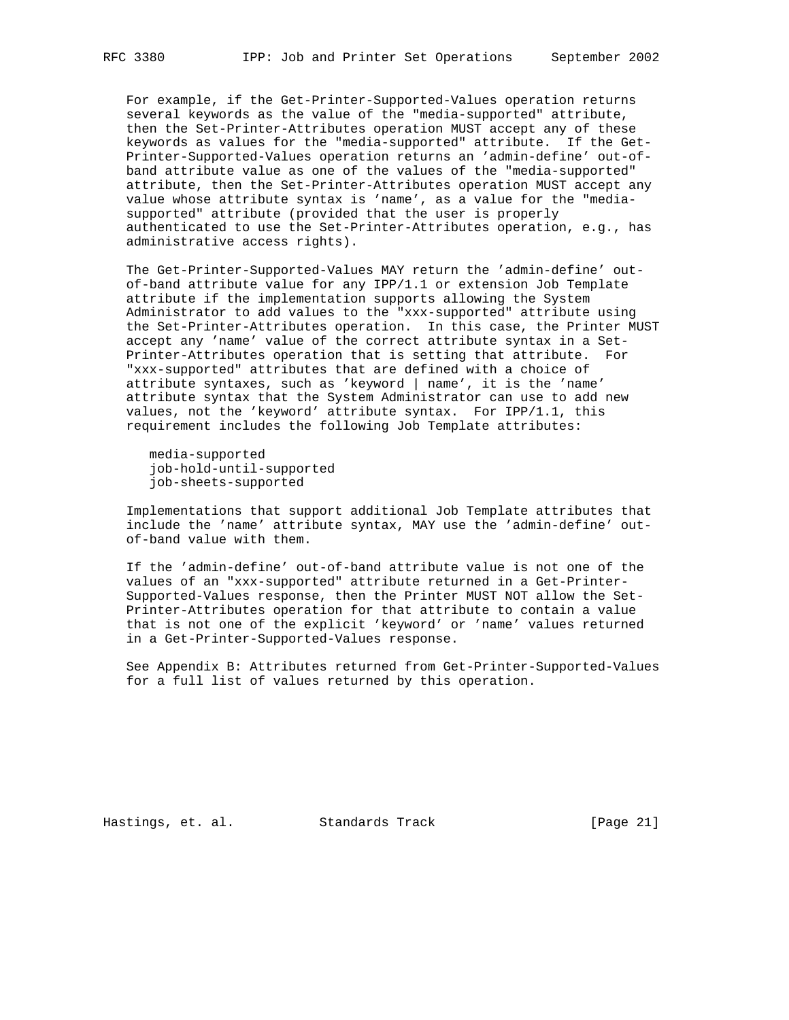For example, if the Get-Printer-Supported-Values operation returns several keywords as the value of the "media-supported" attribute, then the Set-Printer-Attributes operation MUST accept any of these keywords as values for the "media-supported" attribute. If the Get- Printer-Supported-Values operation returns an 'admin-define' out-of band attribute value as one of the values of the "media-supported" attribute, then the Set-Printer-Attributes operation MUST accept any value whose attribute syntax is 'name', as a value for the "media supported" attribute (provided that the user is properly authenticated to use the Set-Printer-Attributes operation, e.g., has administrative access rights).

 The Get-Printer-Supported-Values MAY return the 'admin-define' out of-band attribute value for any IPP/1.1 or extension Job Template attribute if the implementation supports allowing the System Administrator to add values to the "xxx-supported" attribute using the Set-Printer-Attributes operation. In this case, the Printer MUST accept any 'name' value of the correct attribute syntax in a Set- Printer-Attributes operation that is setting that attribute. For "xxx-supported" attributes that are defined with a choice of attribute syntaxes, such as 'keyword | name', it is the 'name' attribute syntax that the System Administrator can use to add new values, not the 'keyword' attribute syntax. For IPP/1.1, this requirement includes the following Job Template attributes:

 media-supported job-hold-until-supported job-sheets-supported

 Implementations that support additional Job Template attributes that include the 'name' attribute syntax, MAY use the 'admin-define' out of-band value with them.

 If the 'admin-define' out-of-band attribute value is not one of the values of an "xxx-supported" attribute returned in a Get-Printer- Supported-Values response, then the Printer MUST NOT allow the Set- Printer-Attributes operation for that attribute to contain a value that is not one of the explicit 'keyword' or 'name' values returned in a Get-Printer-Supported-Values response.

 See Appendix B: Attributes returned from Get-Printer-Supported-Values for a full list of values returned by this operation.

Hastings, et. al. Standards Track [Page 21]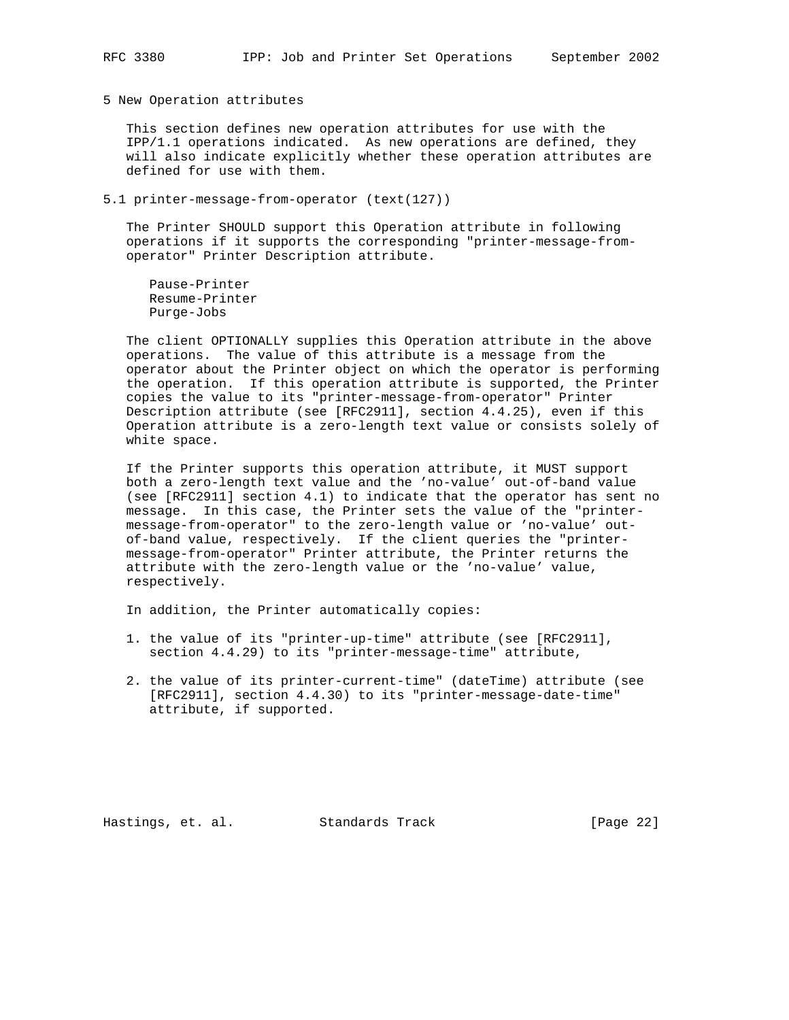5 New Operation attributes

 This section defines new operation attributes for use with the IPP/1.1 operations indicated. As new operations are defined, they will also indicate explicitly whether these operation attributes are defined for use with them.

5.1 printer-message-from-operator (text(127))

 The Printer SHOULD support this Operation attribute in following operations if it supports the corresponding "printer-message-from operator" Printer Description attribute.

 Pause-Printer Resume-Printer Purge-Jobs

 The client OPTIONALLY supplies this Operation attribute in the above operations. The value of this attribute is a message from the operator about the Printer object on which the operator is performing the operation. If this operation attribute is supported, the Printer copies the value to its "printer-message-from-operator" Printer Description attribute (see [RFC2911], section 4.4.25), even if this Operation attribute is a zero-length text value or consists solely of white space.

 If the Printer supports this operation attribute, it MUST support both a zero-length text value and the 'no-value' out-of-band value (see [RFC2911] section 4.1) to indicate that the operator has sent no message. In this case, the Printer sets the value of the "printer message-from-operator" to the zero-length value or 'no-value' out of-band value, respectively. If the client queries the "printer message-from-operator" Printer attribute, the Printer returns the attribute with the zero-length value or the 'no-value' value, respectively.

In addition, the Printer automatically copies:

- 1. the value of its "printer-up-time" attribute (see [RFC2911], section 4.4.29) to its "printer-message-time" attribute,
- 2. the value of its printer-current-time" (dateTime) attribute (see [RFC2911], section 4.4.30) to its "printer-message-date-time" attribute, if supported.

Hastings, et. al. Standards Track [Page 22]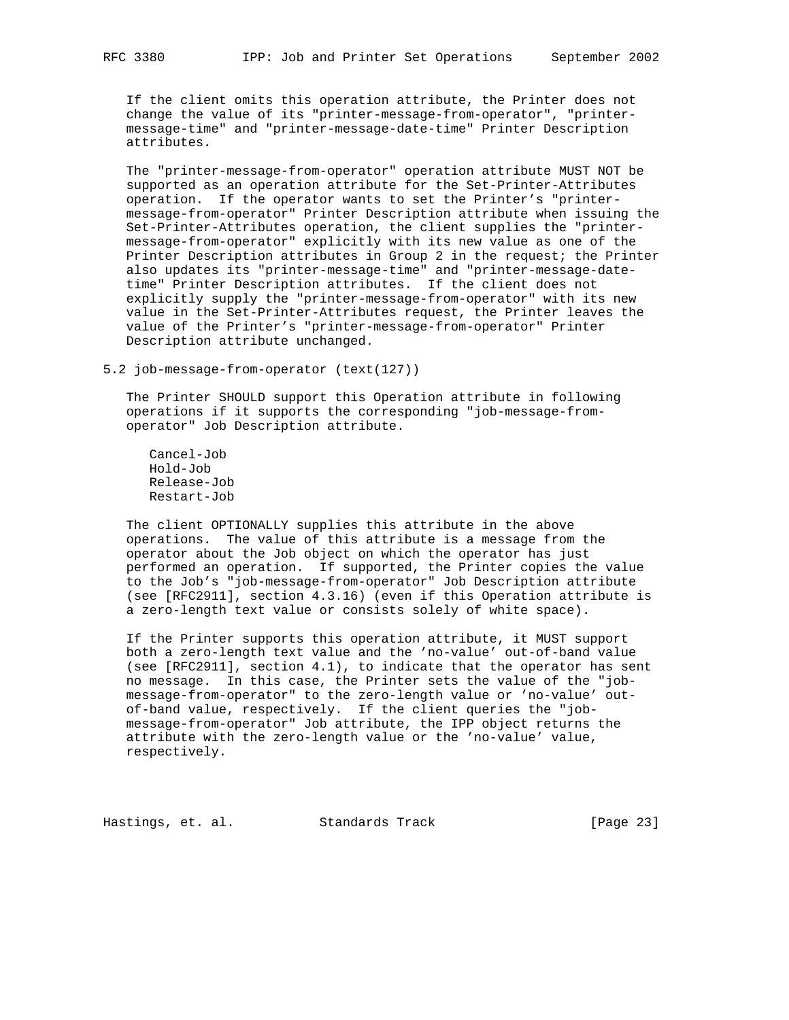If the client omits this operation attribute, the Printer does not change the value of its "printer-message-from-operator", "printer message-time" and "printer-message-date-time" Printer Description attributes.

 The "printer-message-from-operator" operation attribute MUST NOT be supported as an operation attribute for the Set-Printer-Attributes operation. If the operator wants to set the Printer's "printer message-from-operator" Printer Description attribute when issuing the Set-Printer-Attributes operation, the client supplies the "printer message-from-operator" explicitly with its new value as one of the Printer Description attributes in Group 2 in the request; the Printer also updates its "printer-message-time" and "printer-message-date time" Printer Description attributes. If the client does not explicitly supply the "printer-message-from-operator" with its new value in the Set-Printer-Attributes request, the Printer leaves the value of the Printer's "printer-message-from-operator" Printer Description attribute unchanged.

5.2 job-message-from-operator (text(127))

 The Printer SHOULD support this Operation attribute in following operations if it supports the corresponding "job-message-from operator" Job Description attribute.

 Cancel-Job Hold-Job Release-Job Restart-Job

 The client OPTIONALLY supplies this attribute in the above operations. The value of this attribute is a message from the operator about the Job object on which the operator has just performed an operation. If supported, the Printer copies the value to the Job's "job-message-from-operator" Job Description attribute (see [RFC2911], section 4.3.16) (even if this Operation attribute is a zero-length text value or consists solely of white space).

 If the Printer supports this operation attribute, it MUST support both a zero-length text value and the 'no-value' out-of-band value (see [RFC2911], section 4.1), to indicate that the operator has sent no message. In this case, the Printer sets the value of the "job message-from-operator" to the zero-length value or 'no-value' out of-band value, respectively. If the client queries the "job message-from-operator" Job attribute, the IPP object returns the attribute with the zero-length value or the 'no-value' value, respectively.

Hastings, et. al. Standards Track [Page 23]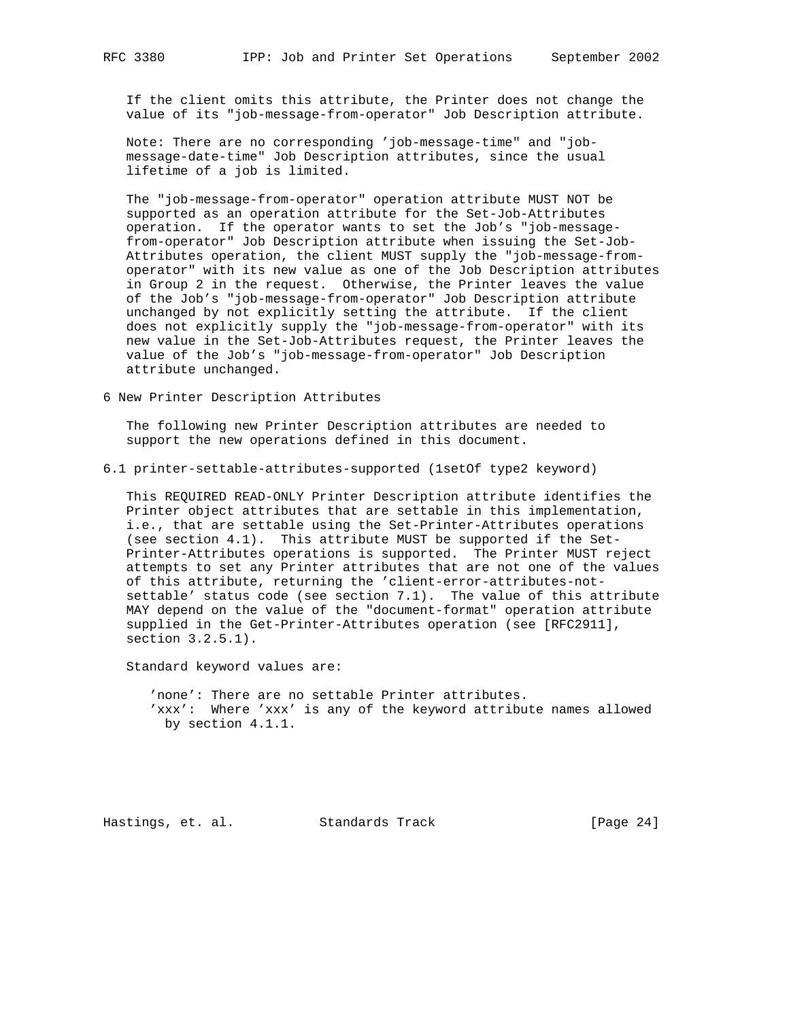If the client omits this attribute, the Printer does not change the value of its "job-message-from-operator" Job Description attribute.

 Note: There are no corresponding 'job-message-time" and "job message-date-time" Job Description attributes, since the usual lifetime of a job is limited.

 The "job-message-from-operator" operation attribute MUST NOT be supported as an operation attribute for the Set-Job-Attributes operation. If the operator wants to set the Job's "job-message from-operator" Job Description attribute when issuing the Set-Job- Attributes operation, the client MUST supply the "job-message-from operator" with its new value as one of the Job Description attributes in Group 2 in the request. Otherwise, the Printer leaves the value of the Job's "job-message-from-operator" Job Description attribute unchanged by not explicitly setting the attribute. If the client does not explicitly supply the "job-message-from-operator" with its new value in the Set-Job-Attributes request, the Printer leaves the value of the Job's "job-message-from-operator" Job Description attribute unchanged.

6 New Printer Description Attributes

 The following new Printer Description attributes are needed to support the new operations defined in this document.

6.1 printer-settable-attributes-supported (1setOf type2 keyword)

 This REQUIRED READ-ONLY Printer Description attribute identifies the Printer object attributes that are settable in this implementation, i.e., that are settable using the Set-Printer-Attributes operations (see section 4.1). This attribute MUST be supported if the Set- Printer-Attributes operations is supported. The Printer MUST reject attempts to set any Printer attributes that are not one of the values of this attribute, returning the 'client-error-attributes-not settable' status code (see section 7.1). The value of this attribute MAY depend on the value of the "document-format" operation attribute supplied in the Get-Printer-Attributes operation (see [RFC2911], section 3.2.5.1).

Standard keyword values are:

 'none': There are no settable Printer attributes. 'xxx': Where 'xxx' is any of the keyword attribute names allowed by section 4.1.1.

Hastings, et. al. Standards Track [Page 24]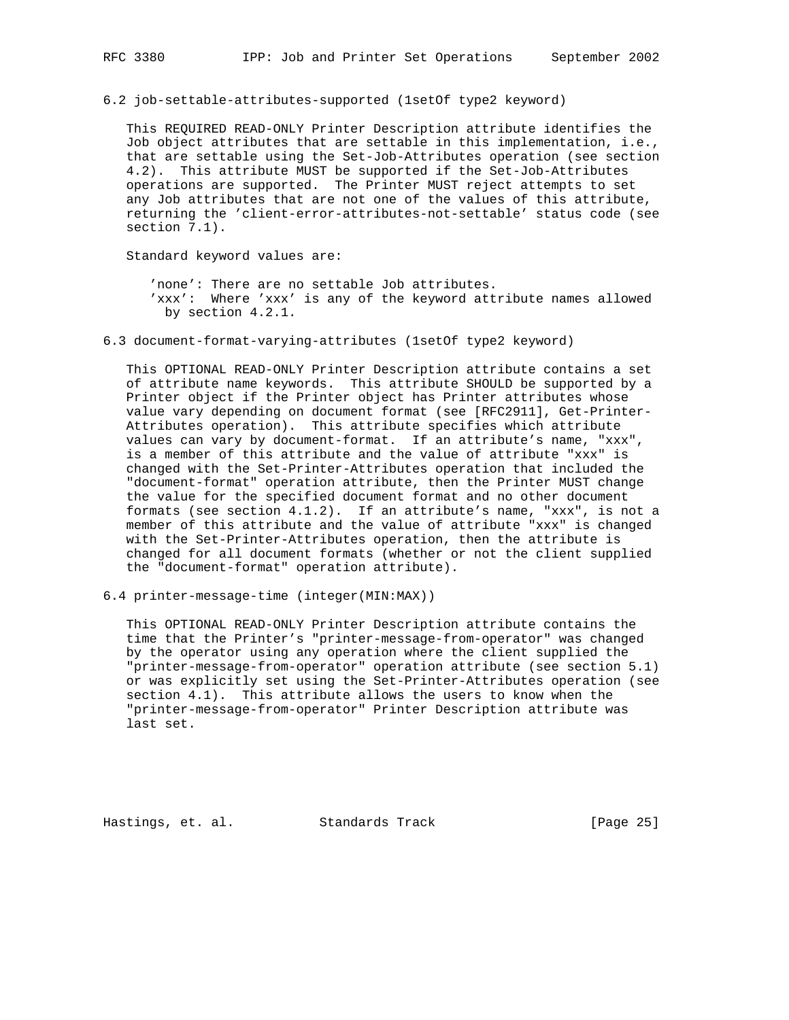6.2 job-settable-attributes-supported (1setOf type2 keyword)

 This REQUIRED READ-ONLY Printer Description attribute identifies the Job object attributes that are settable in this implementation, i.e., that are settable using the Set-Job-Attributes operation (see section 4.2). This attribute MUST be supported if the Set-Job-Attributes operations are supported. The Printer MUST reject attempts to set any Job attributes that are not one of the values of this attribute, returning the 'client-error-attributes-not-settable' status code (see section 7.1).

Standard keyword values are:

 'none': There are no settable Job attributes. 'xxx': Where 'xxx' is any of the keyword attribute names allowed by section 4.2.1.

6.3 document-format-varying-attributes (1setOf type2 keyword)

 This OPTIONAL READ-ONLY Printer Description attribute contains a set of attribute name keywords. This attribute SHOULD be supported by a Printer object if the Printer object has Printer attributes whose value vary depending on document format (see [RFC2911], Get-Printer- Attributes operation). This attribute specifies which attribute values can vary by document-format. If an attribute's name, "xxx", is a member of this attribute and the value of attribute "xxx" is changed with the Set-Printer-Attributes operation that included the "document-format" operation attribute, then the Printer MUST change the value for the specified document format and no other document formats (see section 4.1.2). If an attribute's name, "xxx", is not a member of this attribute and the value of attribute "xxx" is changed with the Set-Printer-Attributes operation, then the attribute is changed for all document formats (whether or not the client supplied the "document-format" operation attribute).

6.4 printer-message-time (integer(MIN:MAX))

 This OPTIONAL READ-ONLY Printer Description attribute contains the time that the Printer's "printer-message-from-operator" was changed by the operator using any operation where the client supplied the "printer-message-from-operator" operation attribute (see section 5.1) or was explicitly set using the Set-Printer-Attributes operation (see section 4.1). This attribute allows the users to know when the "printer-message-from-operator" Printer Description attribute was last set.

Hastings, et. al. Standards Track [Page 25]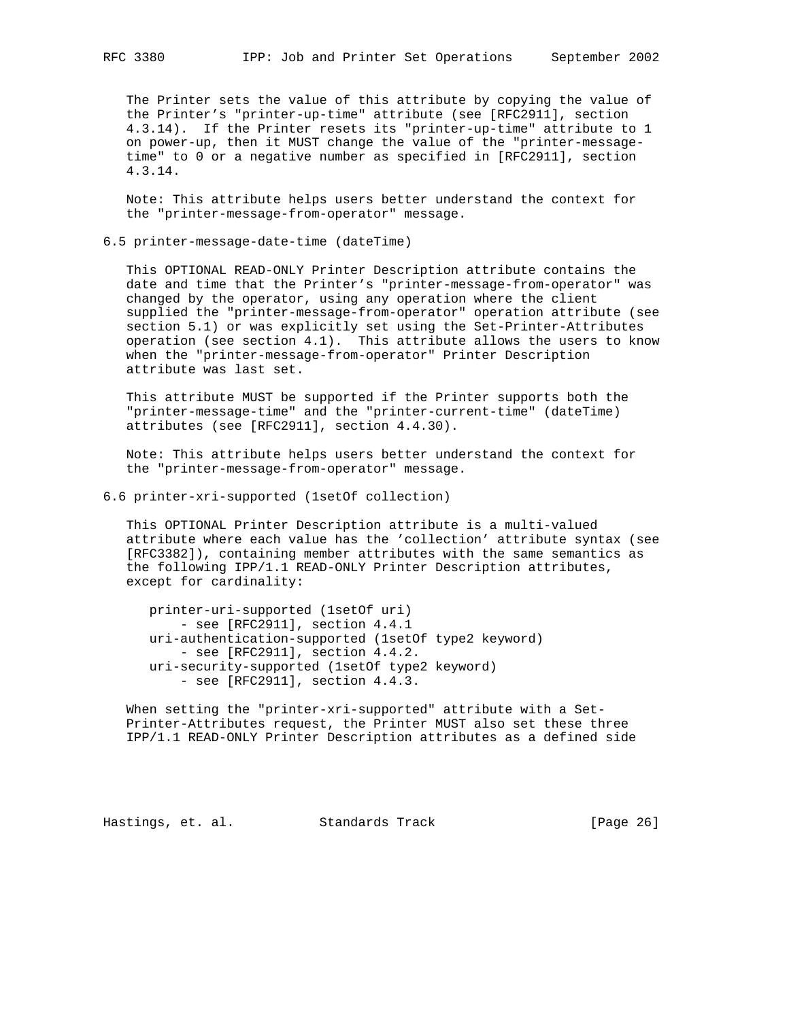The Printer sets the value of this attribute by copying the value of the Printer's "printer-up-time" attribute (see [RFC2911], section 4.3.14). If the Printer resets its "printer-up-time" attribute to 1 on power-up, then it MUST change the value of the "printer-message time" to 0 or a negative number as specified in [RFC2911], section 4.3.14.

 Note: This attribute helps users better understand the context for the "printer-message-from-operator" message.

6.5 printer-message-date-time (dateTime)

 This OPTIONAL READ-ONLY Printer Description attribute contains the date and time that the Printer's "printer-message-from-operator" was changed by the operator, using any operation where the client supplied the "printer-message-from-operator" operation attribute (see section 5.1) or was explicitly set using the Set-Printer-Attributes operation (see section 4.1). This attribute allows the users to know when the "printer-message-from-operator" Printer Description attribute was last set.

 This attribute MUST be supported if the Printer supports both the "printer-message-time" and the "printer-current-time" (dateTime) attributes (see [RFC2911], section 4.4.30).

 Note: This attribute helps users better understand the context for the "printer-message-from-operator" message.

6.6 printer-xri-supported (1setOf collection)

 This OPTIONAL Printer Description attribute is a multi-valued attribute where each value has the 'collection' attribute syntax (see [RFC3382]), containing member attributes with the same semantics as the following IPP/1.1 READ-ONLY Printer Description attributes, except for cardinality:

 printer-uri-supported (1setOf uri) - see [RFC2911], section 4.4.1 uri-authentication-supported (1setOf type2 keyword) - see [RFC2911], section 4.4.2. uri-security-supported (1setOf type2 keyword) - see [RFC2911], section 4.4.3.

 When setting the "printer-xri-supported" attribute with a Set- Printer-Attributes request, the Printer MUST also set these three IPP/1.1 READ-ONLY Printer Description attributes as a defined side

Hastings, et. al. Standards Track [Page 26]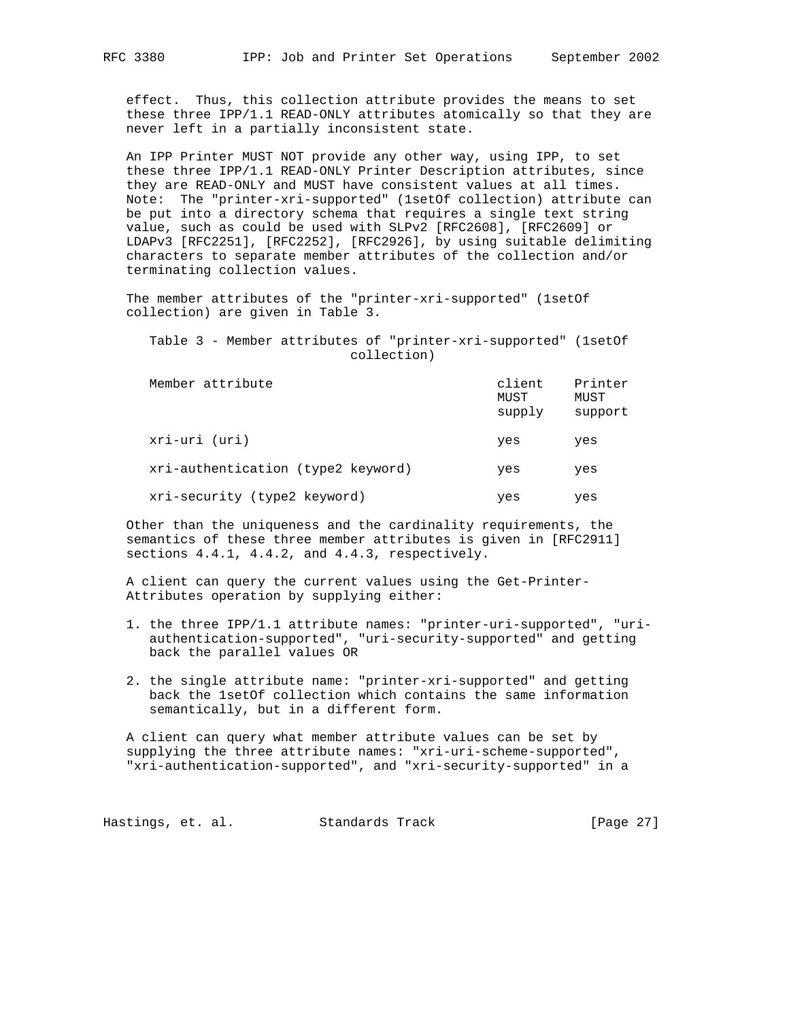effect. Thus, this collection attribute provides the means to set these three IPP/1.1 READ-ONLY attributes atomically so that they are never left in a partially inconsistent state.

 An IPP Printer MUST NOT provide any other way, using IPP, to set these three IPP/1.1 READ-ONLY Printer Description attributes, since they are READ-ONLY and MUST have consistent values at all times. Note: The "printer-xri-supported" (1setOf collection) attribute can be put into a directory schema that requires a single text string value, such as could be used with SLPv2 [RFC2608], [RFC2609] or LDAPv3 [RFC2251], [RFC2252], [RFC2926], by using suitable delimiting characters to separate member attributes of the collection and/or terminating collection values.

 The member attributes of the "printer-xri-supported" (1setOf collection) are given in Table 3.

 Table 3 - Member attributes of "printer-xri-supported" (1setOf collection)

| Member attribute                   | client<br>MUST<br>supply | Printer<br>MUST<br>support |
|------------------------------------|--------------------------|----------------------------|
| xri-uri (uri)                      | yes                      | yes                        |
| xri-authentication (type2 keyword) | yes                      | yes                        |
| xri-security (type2 keyword)       | yes                      | yes                        |

 Other than the uniqueness and the cardinality requirements, the semantics of these three member attributes is given in [RFC2911] sections 4.4.1, 4.4.2, and 4.4.3, respectively.

 A client can query the current values using the Get-Printer- Attributes operation by supplying either:

- 1. the three IPP/1.1 attribute names: "printer-uri-supported", "uri authentication-supported", "uri-security-supported" and getting back the parallel values OR
- 2. the single attribute name: "printer-xri-supported" and getting back the 1setOf collection which contains the same information semantically, but in a different form.

 A client can query what member attribute values can be set by supplying the three attribute names: "xri-uri-scheme-supported", "xri-authentication-supported", and "xri-security-supported" in a

Hastings, et. al. Standards Track [Page 27]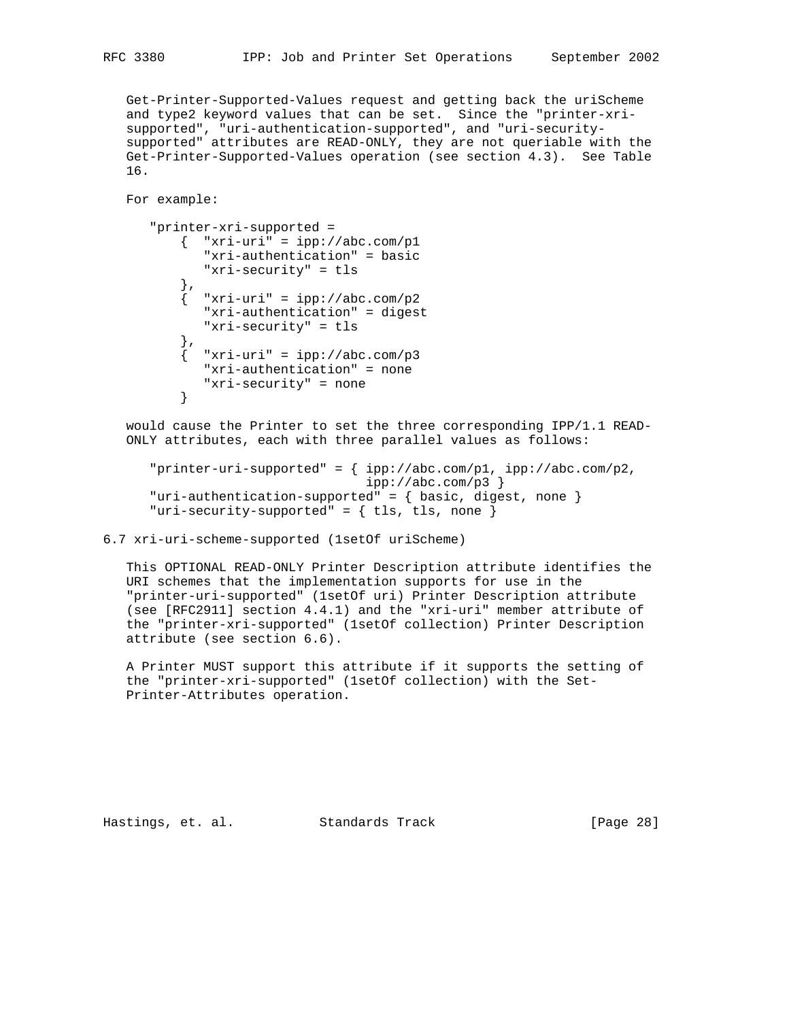Get-Printer-Supported-Values request and getting back the uriScheme and type2 keyword values that can be set. Since the "printer-xri supported", "uri-authentication-supported", and "uri-security supported" attributes are READ-ONLY, they are not queriable with the Get-Printer-Supported-Values operation (see section 4.3). See Table 16.

For example:

```
 "printer-xri-supported =
          \{ "xri-uri" = ipp://abc.com/p1
             "xri-authentication" = basic
              "xri-security" = tls
           },
            "xri-uri" = ipp://abc.com/p2" "xri-authentication" = digest
              "xri-security" = tls
           },
          \int "xri-uri" = ipp://abc.com/p3
             "xri-authentication" = none
              "xri-security" = none
 }
```
 would cause the Printer to set the three corresponding IPP/1.1 READ- ONLY attributes, each with three parallel values as follows:

```
 "printer-uri-supported" = { ipp://abc.com/p1, ipp://abc.com/p2,
                             ipp://abc.com/p3 }
 "uri-authentication-supported" = { basic, digest, none }
"uri-security-supported" = \{ tls, tls, none \}
```
6.7 xri-uri-scheme-supported (1setOf uriScheme)

 This OPTIONAL READ-ONLY Printer Description attribute identifies the URI schemes that the implementation supports for use in the "printer-uri-supported" (1setOf uri) Printer Description attribute (see [RFC2911] section 4.4.1) and the "xri-uri" member attribute of the "printer-xri-supported" (1setOf collection) Printer Description attribute (see section 6.6).

 A Printer MUST support this attribute if it supports the setting of the "printer-xri-supported" (1setOf collection) with the Set- Printer-Attributes operation.

Hastings, et. al. Standards Track [Page 28]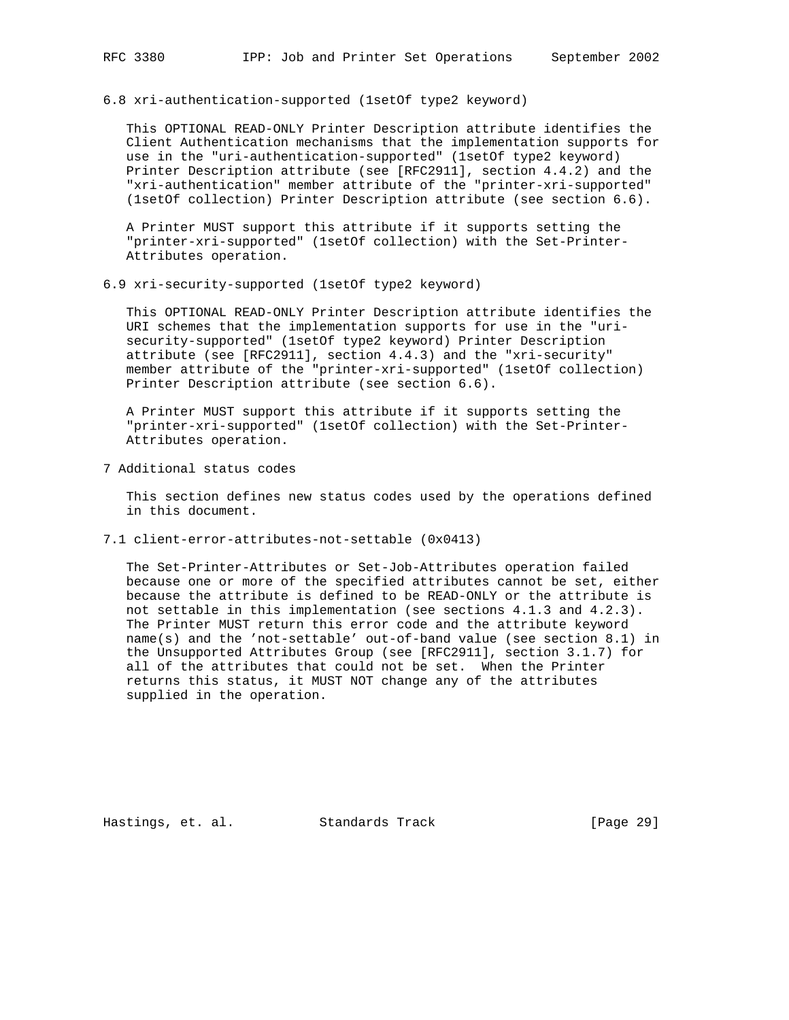6.8 xri-authentication-supported (1setOf type2 keyword)

 This OPTIONAL READ-ONLY Printer Description attribute identifies the Client Authentication mechanisms that the implementation supports for use in the "uri-authentication-supported" (1setOf type2 keyword) Printer Description attribute (see [RFC2911], section 4.4.2) and the "xri-authentication" member attribute of the "printer-xri-supported" (1setOf collection) Printer Description attribute (see section 6.6).

 A Printer MUST support this attribute if it supports setting the "printer-xri-supported" (1setOf collection) with the Set-Printer- Attributes operation.

6.9 xri-security-supported (1setOf type2 keyword)

 This OPTIONAL READ-ONLY Printer Description attribute identifies the URI schemes that the implementation supports for use in the "uri security-supported" (1setOf type2 keyword) Printer Description attribute (see [RFC2911], section 4.4.3) and the "xri-security" member attribute of the "printer-xri-supported" (1setOf collection) Printer Description attribute (see section 6.6).

 A Printer MUST support this attribute if it supports setting the "printer-xri-supported" (1setOf collection) with the Set-Printer- Attributes operation.

7 Additional status codes

 This section defines new status codes used by the operations defined in this document.

7.1 client-error-attributes-not-settable (0x0413)

 The Set-Printer-Attributes or Set-Job-Attributes operation failed because one or more of the specified attributes cannot be set, either because the attribute is defined to be READ-ONLY or the attribute is not settable in this implementation (see sections 4.1.3 and 4.2.3). The Printer MUST return this error code and the attribute keyword name(s) and the 'not-settable' out-of-band value (see section 8.1) in the Unsupported Attributes Group (see [RFC2911], section 3.1.7) for all of the attributes that could not be set. When the Printer returns this status, it MUST NOT change any of the attributes supplied in the operation.

Hastings, et. al. Standards Track [Page 29]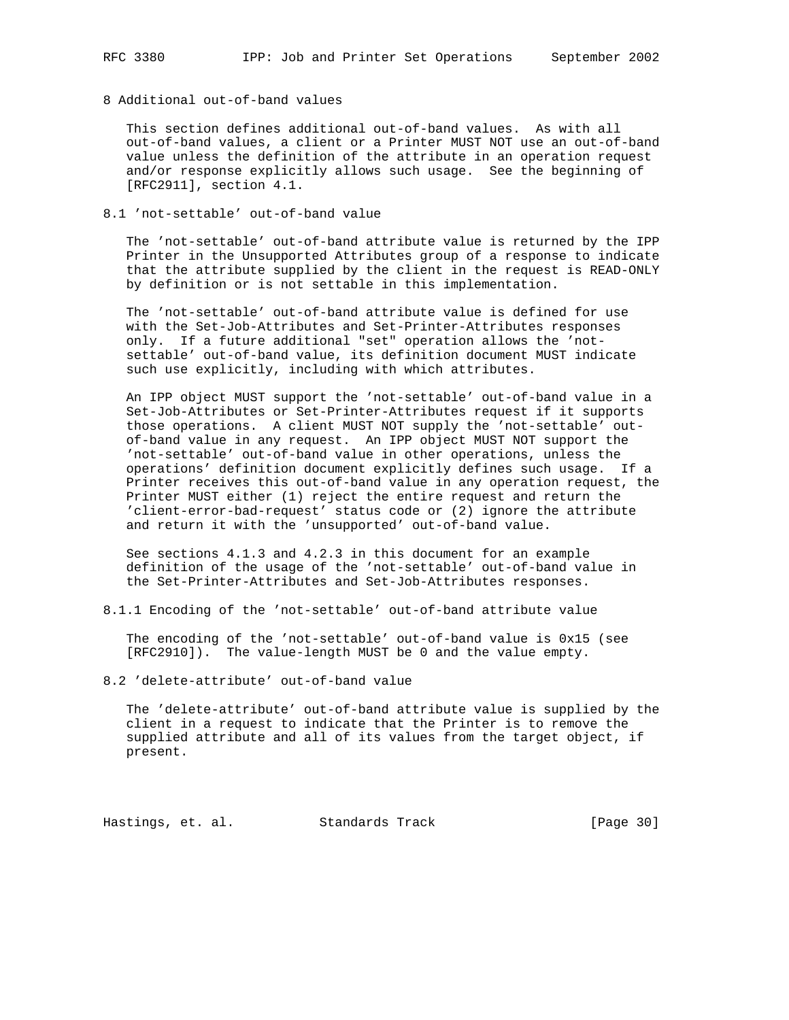8 Additional out-of-band values

 This section defines additional out-of-band values. As with all out-of-band values, a client or a Printer MUST NOT use an out-of-band value unless the definition of the attribute in an operation request and/or response explicitly allows such usage. See the beginning of [RFC2911], section 4.1.

## 8.1 'not-settable' out-of-band value

 The 'not-settable' out-of-band attribute value is returned by the IPP Printer in the Unsupported Attributes group of a response to indicate that the attribute supplied by the client in the request is READ-ONLY by definition or is not settable in this implementation.

 The 'not-settable' out-of-band attribute value is defined for use with the Set-Job-Attributes and Set-Printer-Attributes responses only. If a future additional "set" operation allows the 'not settable' out-of-band value, its definition document MUST indicate such use explicitly, including with which attributes.

 An IPP object MUST support the 'not-settable' out-of-band value in a Set-Job-Attributes or Set-Printer-Attributes request if it supports those operations. A client MUST NOT supply the 'not-settable' out of-band value in any request. An IPP object MUST NOT support the 'not-settable' out-of-band value in other operations, unless the operations' definition document explicitly defines such usage. If a Printer receives this out-of-band value in any operation request, the Printer MUST either (1) reject the entire request and return the 'client-error-bad-request' status code or (2) ignore the attribute and return it with the 'unsupported' out-of-band value.

 See sections 4.1.3 and 4.2.3 in this document for an example definition of the usage of the 'not-settable' out-of-band value in the Set-Printer-Attributes and Set-Job-Attributes responses.

8.1.1 Encoding of the 'not-settable' out-of-band attribute value

 The encoding of the 'not-settable' out-of-band value is 0x15 (see [RFC2910]). The value-length MUST be 0 and the value empty.

8.2 'delete-attribute' out-of-band value

 The 'delete-attribute' out-of-band attribute value is supplied by the client in a request to indicate that the Printer is to remove the supplied attribute and all of its values from the target object, if present.

Hastings, et. al. Standards Track [Page 30]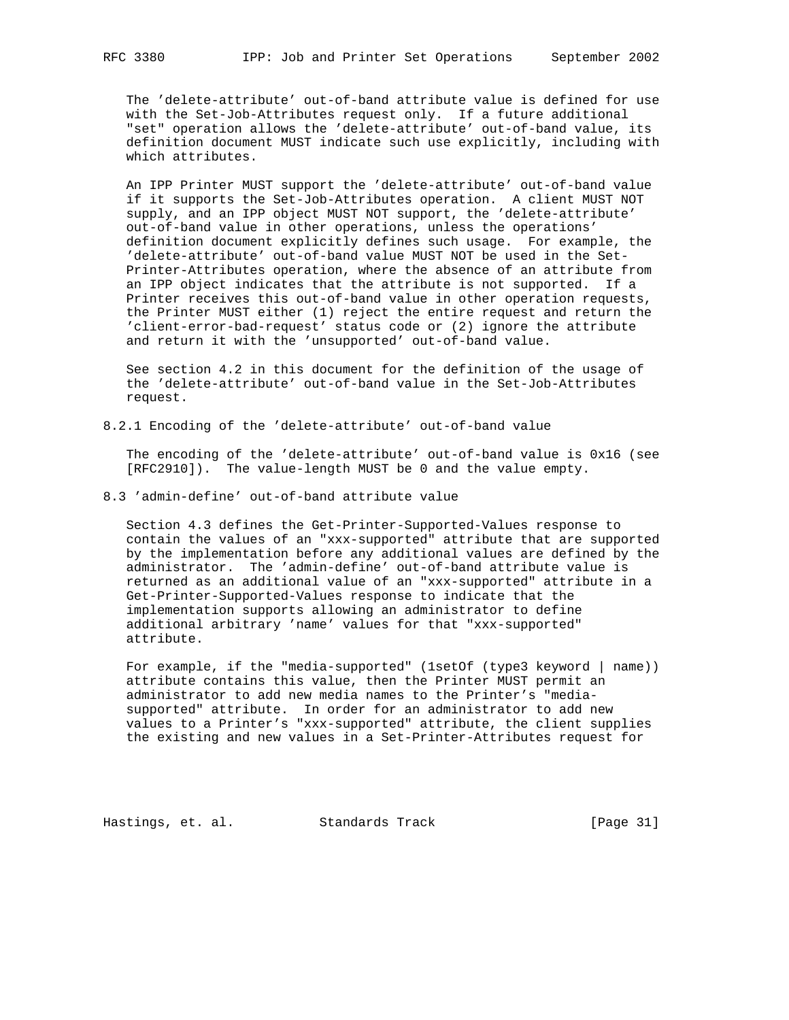The 'delete-attribute' out-of-band attribute value is defined for use with the Set-Job-Attributes request only. If a future additional "set" operation allows the 'delete-attribute' out-of-band value, its definition document MUST indicate such use explicitly, including with which attributes.

 An IPP Printer MUST support the 'delete-attribute' out-of-band value if it supports the Set-Job-Attributes operation. A client MUST NOT supply, and an IPP object MUST NOT support, the 'delete-attribute' out-of-band value in other operations, unless the operations' definition document explicitly defines such usage. For example, the 'delete-attribute' out-of-band value MUST NOT be used in the Set- Printer-Attributes operation, where the absence of an attribute from an IPP object indicates that the attribute is not supported. If a Printer receives this out-of-band value in other operation requests, the Printer MUST either (1) reject the entire request and return the 'client-error-bad-request' status code or (2) ignore the attribute and return it with the 'unsupported' out-of-band value.

 See section 4.2 in this document for the definition of the usage of the 'delete-attribute' out-of-band value in the Set-Job-Attributes request.

8.2.1 Encoding of the 'delete-attribute' out-of-band value

 The encoding of the 'delete-attribute' out-of-band value is 0x16 (see [RFC2910]). The value-length MUST be 0 and the value empty.

8.3 'admin-define' out-of-band attribute value

 Section 4.3 defines the Get-Printer-Supported-Values response to contain the values of an "xxx-supported" attribute that are supported by the implementation before any additional values are defined by the administrator. The 'admin-define' out-of-band attribute value is returned as an additional value of an "xxx-supported" attribute in a Get-Printer-Supported-Values response to indicate that the implementation supports allowing an administrator to define additional arbitrary 'name' values for that "xxx-supported" attribute.

 For example, if the "media-supported" (1setOf (type3 keyword | name)) attribute contains this value, then the Printer MUST permit an administrator to add new media names to the Printer's "media supported" attribute. In order for an administrator to add new values to a Printer's "xxx-supported" attribute, the client supplies the existing and new values in a Set-Printer-Attributes request for

Hastings, et. al. Standards Track [Page 31]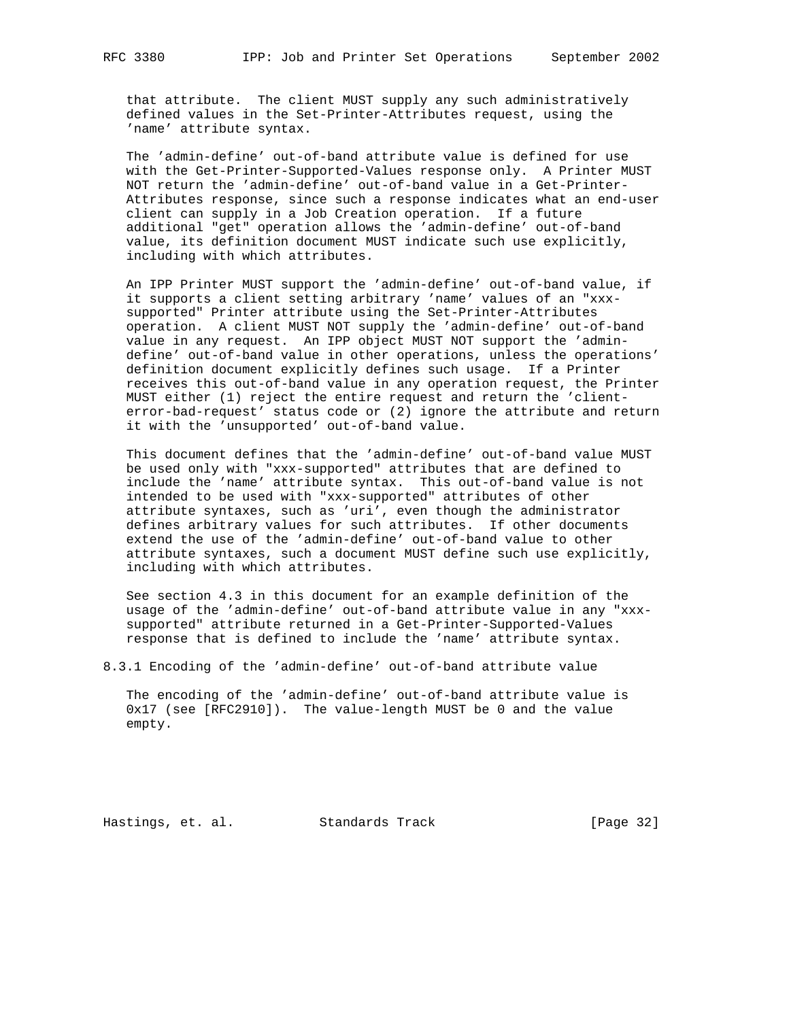that attribute. The client MUST supply any such administratively defined values in the Set-Printer-Attributes request, using the 'name' attribute syntax.

 The 'admin-define' out-of-band attribute value is defined for use with the Get-Printer-Supported-Values response only. A Printer MUST NOT return the 'admin-define' out-of-band value in a Get-Printer- Attributes response, since such a response indicates what an end-user client can supply in a Job Creation operation. If a future additional "get" operation allows the 'admin-define' out-of-band value, its definition document MUST indicate such use explicitly, including with which attributes.

 An IPP Printer MUST support the 'admin-define' out-of-band value, if it supports a client setting arbitrary 'name' values of an "xxx supported" Printer attribute using the Set-Printer-Attributes operation. A client MUST NOT supply the 'admin-define' out-of-band value in any request. An IPP object MUST NOT support the 'admin define' out-of-band value in other operations, unless the operations' definition document explicitly defines such usage. If a Printer receives this out-of-band value in any operation request, the Printer MUST either (1) reject the entire request and return the 'client error-bad-request' status code or (2) ignore the attribute and return it with the 'unsupported' out-of-band value.

 This document defines that the 'admin-define' out-of-band value MUST be used only with "xxx-supported" attributes that are defined to include the 'name' attribute syntax. This out-of-band value is not intended to be used with "xxx-supported" attributes of other attribute syntaxes, such as 'uri', even though the administrator defines arbitrary values for such attributes. If other documents extend the use of the 'admin-define' out-of-band value to other attribute syntaxes, such a document MUST define such use explicitly, including with which attributes.

 See section 4.3 in this document for an example definition of the usage of the 'admin-define' out-of-band attribute value in any "xxx supported" attribute returned in a Get-Printer-Supported-Values response that is defined to include the 'name' attribute syntax.

8.3.1 Encoding of the 'admin-define' out-of-band attribute value

 The encoding of the 'admin-define' out-of-band attribute value is 0x17 (see [RFC2910]). The value-length MUST be 0 and the value empty.

Hastings, et. al. Standards Track [Page 32]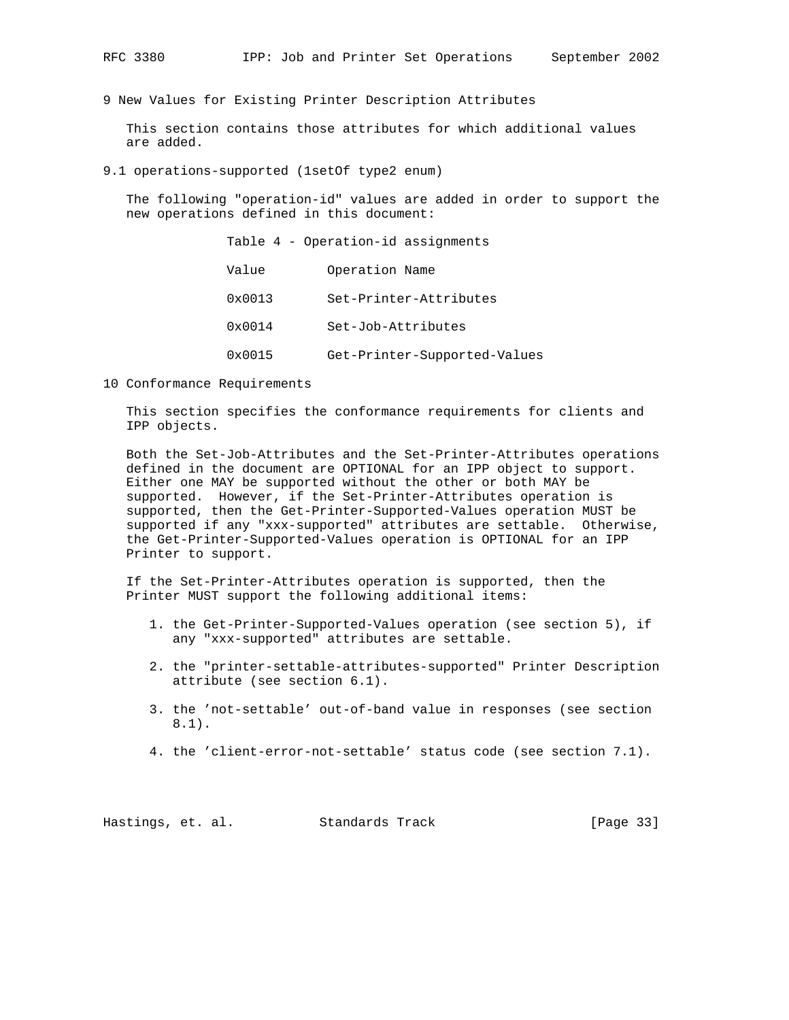9 New Values for Existing Printer Description Attributes

 This section contains those attributes for which additional values are added.

9.1 operations-supported (1setOf type2 enum)

 The following "operation-id" values are added in order to support the new operations defined in this document:

> Table 4 - Operation-id assignments Value Operation Name 0x0013 Set-Printer-Attributes 0x0014 Set-Job-Attributes 0x0015 Get-Printer-Supported-Values

10 Conformance Requirements

 This section specifies the conformance requirements for clients and IPP objects.

 Both the Set-Job-Attributes and the Set-Printer-Attributes operations defined in the document are OPTIONAL for an IPP object to support. Either one MAY be supported without the other or both MAY be supported. However, if the Set-Printer-Attributes operation is supported, then the Get-Printer-Supported-Values operation MUST be supported if any "xxx-supported" attributes are settable. Otherwise, the Get-Printer-Supported-Values operation is OPTIONAL for an IPP Printer to support.

 If the Set-Printer-Attributes operation is supported, then the Printer MUST support the following additional items:

- 1. the Get-Printer-Supported-Values operation (see section 5), if any "xxx-supported" attributes are settable.
- 2. the "printer-settable-attributes-supported" Printer Description attribute (see section 6.1).
- 3. the 'not-settable' out-of-band value in responses (see section 8.1).
- 4. the 'client-error-not-settable' status code (see section 7.1).

Hastings, et. al. Standards Track [Page 33]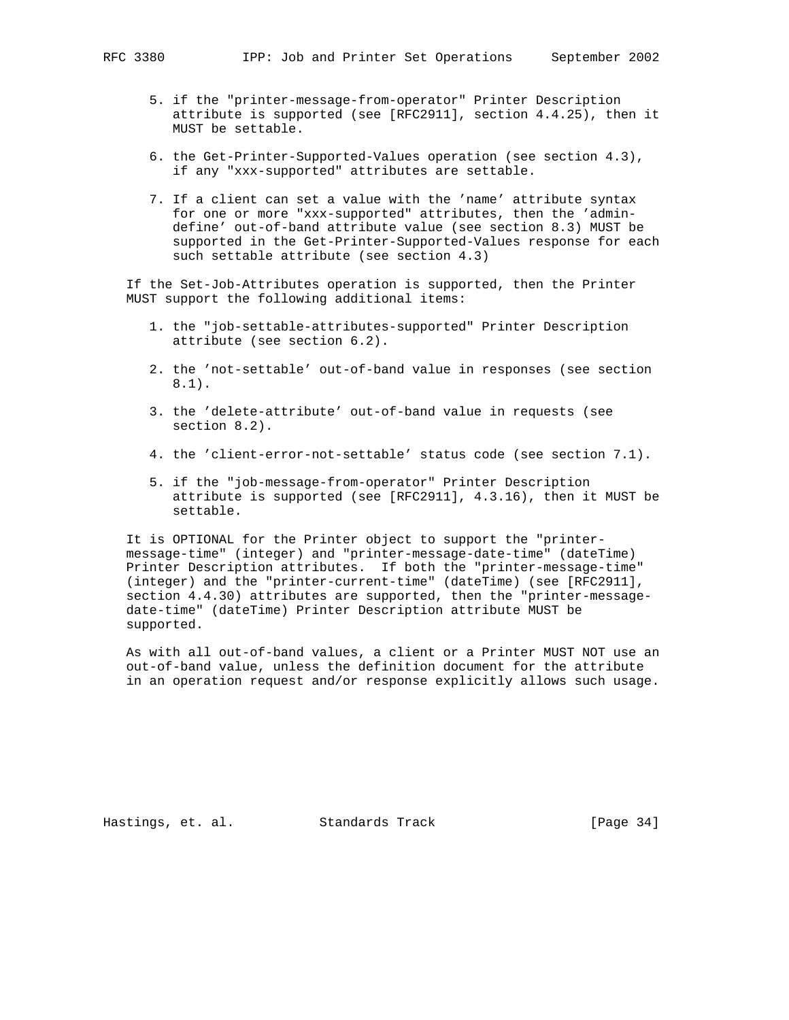- 5. if the "printer-message-from-operator" Printer Description attribute is supported (see [RFC2911], section 4.4.25), then it MUST be settable.
- 6. the Get-Printer-Supported-Values operation (see section 4.3), if any "xxx-supported" attributes are settable.
- 7. If a client can set a value with the 'name' attribute syntax for one or more "xxx-supported" attributes, then the 'admin define' out-of-band attribute value (see section 8.3) MUST be supported in the Get-Printer-Supported-Values response for each such settable attribute (see section 4.3)

 If the Set-Job-Attributes operation is supported, then the Printer MUST support the following additional items:

- 1. the "job-settable-attributes-supported" Printer Description attribute (see section 6.2).
- 2. the 'not-settable' out-of-band value in responses (see section 8.1).
- 3. the 'delete-attribute' out-of-band value in requests (see section 8.2).
- 4. the 'client-error-not-settable' status code (see section 7.1).
- 5. if the "job-message-from-operator" Printer Description attribute is supported (see [RFC2911], 4.3.16), then it MUST be settable.

 It is OPTIONAL for the Printer object to support the "printer message-time" (integer) and "printer-message-date-time" (dateTime) Printer Description attributes. If both the "printer-message-time" (integer) and the "printer-current-time" (dateTime) (see [RFC2911], section 4.4.30) attributes are supported, then the "printer-message date-time" (dateTime) Printer Description attribute MUST be supported.

 As with all out-of-band values, a client or a Printer MUST NOT use an out-of-band value, unless the definition document for the attribute in an operation request and/or response explicitly allows such usage.

Hastings, et. al. Standards Track [Page 34]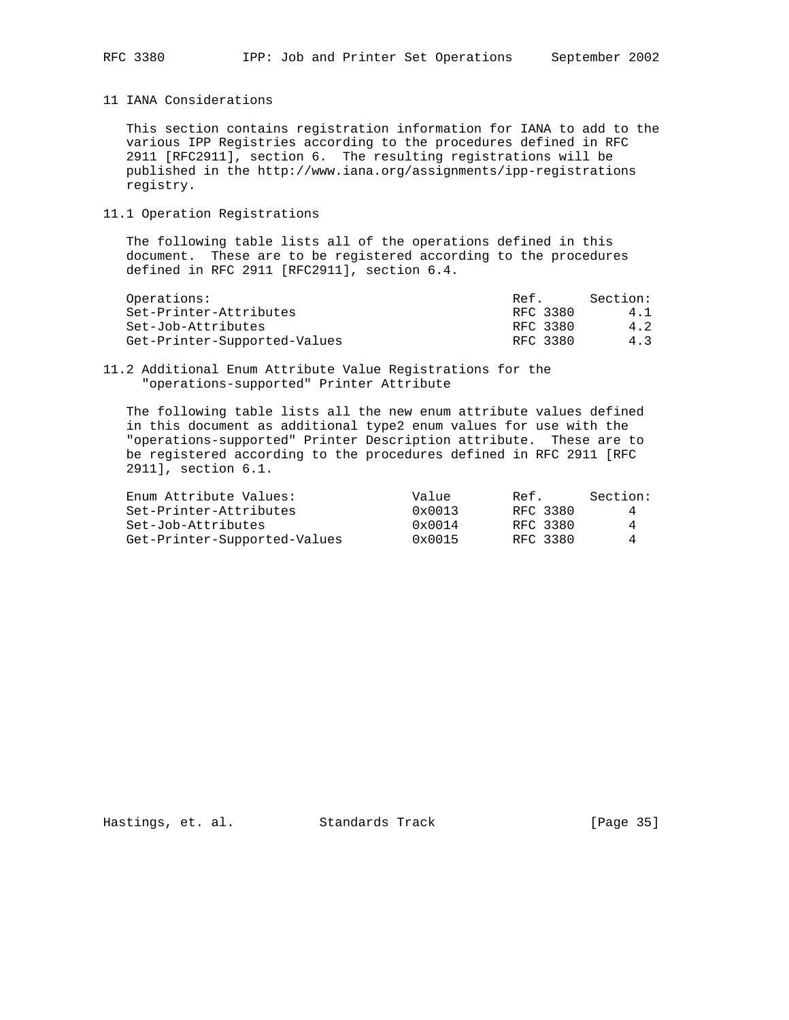11 IANA Considerations

 This section contains registration information for IANA to add to the various IPP Registries according to the procedures defined in RFC 2911 [RFC2911], section 6. The resulting registrations will be published in the http://www.iana.org/assignments/ipp-registrations registry.

## 11.1 Operation Registrations

 The following table lists all of the operations defined in this document. These are to be registered according to the procedures defined in RFC 2911 [RFC2911], section 6.4.

| Operations:                  | Ref.     | Section: |
|------------------------------|----------|----------|
| Set-Printer-Attributes       | RFC 3380 | 4.1      |
| Set-Job-Attributes           | RFC 3380 | 4.2      |
| Get-Printer-Supported-Values | RFC 3380 | 4.3      |

#### 11.2 Additional Enum Attribute Value Registrations for the "operations-supported" Printer Attribute

 The following table lists all the new enum attribute values defined in this document as additional type2 enum values for use with the "operations-supported" Printer Description attribute. These are to be registered according to the procedures defined in RFC 2911 [RFC 2911], section 6.1.

| Enum Attribute Values:       | Value           | Ref.     | Section: |
|------------------------------|-----------------|----------|----------|
| Set-Printer-Attributes       | $0 \times 0013$ | RFC 3380 |          |
| Set-Job-Attributes           | $0 \times 0014$ | RFC 3380 | 4        |
| Get-Printer-Supported-Values | $0 \times 0015$ | RFC 3380 | 4        |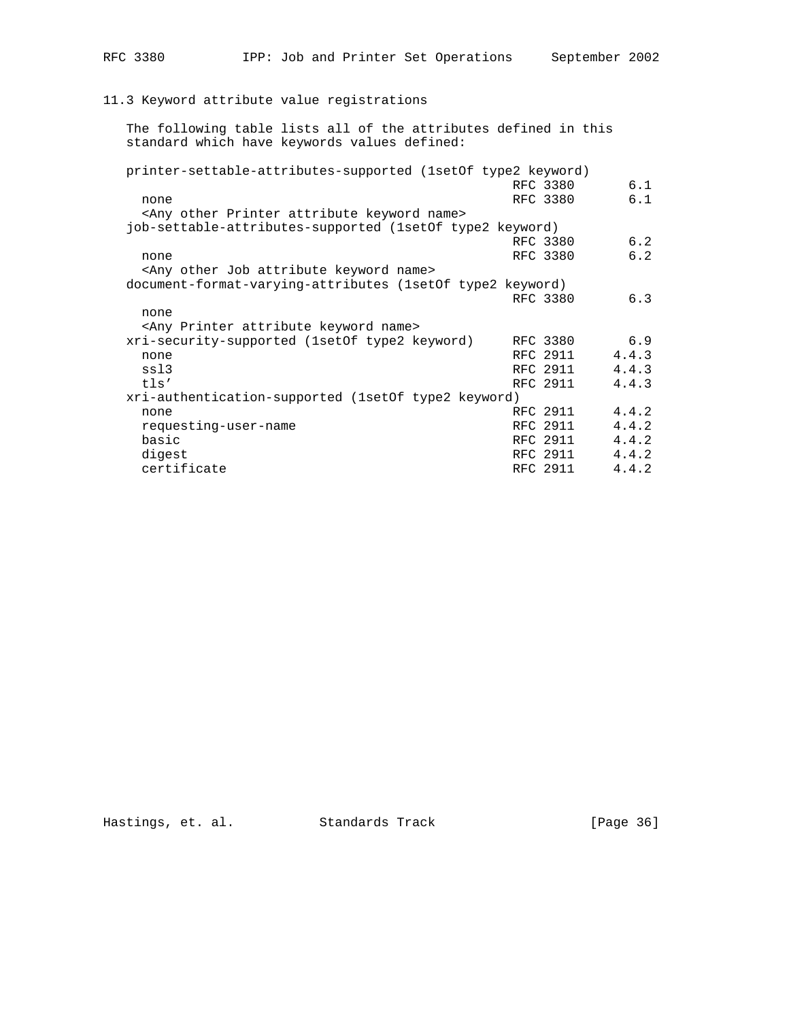## 11.3 Keyword attribute value registrations

 The following table lists all of the attributes defined in this standard which have keywords values defined:

| printer-settable-attributes-supported (1set of type 2 keyword)  |          |       |
|-----------------------------------------------------------------|----------|-------|
|                                                                 | RFC 3380 | 6.1   |
| none                                                            | RFC 3380 | 6.1   |
| <any attribute="" keyword="" name="" other="" printer=""></any> |          |       |
| job-settable-attributes-supported (1setOf type2 keyword)        |          |       |
|                                                                 | RFC 3380 | 6.2   |
| none                                                            | RFC 3380 | 6.2   |
| <any attribute="" job="" keyword="" name="" other=""></any>     |          |       |
|                                                                 |          |       |
| document-format-varying-attributes (1setOf type2 keyword)       |          |       |
|                                                                 | RFC 3380 | 6.3   |
| none                                                            |          |       |
| <any attribute="" keyword="" name="" printer=""></any>          |          |       |
| xri-security-supported (1setOf type2 keyword)                   | RFC 3380 | 6.9   |
| none                                                            | RFC 2911 | 4.4.3 |
| ss13                                                            | RFC 2911 | 4.4.3 |
| tls'                                                            | RFC 2911 | 4.4.3 |
| xri-authentication-supported (1set of type2 keyword)            |          |       |
| none                                                            | RFC 2911 | 4.4.2 |
| requesting-user-name                                            | RFC 2911 | 4.4.2 |
| basic                                                           | RFC 2911 | 4.4.2 |
| digest                                                          | RFC 2911 | 4.4.2 |
| certificate                                                     | RFC 2911 | 4.4.2 |
|                                                                 |          |       |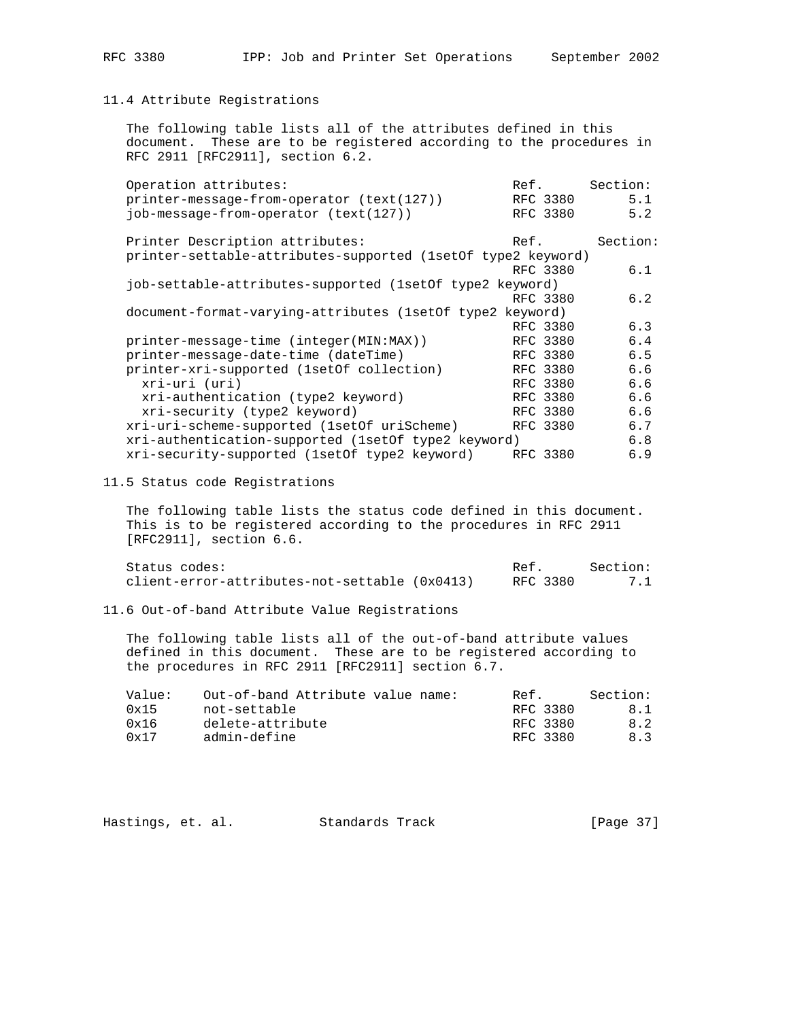## 11.4 Attribute Registrations

 The following table lists all of the attributes defined in this document. These are to be registered according to the procedures in RFC 2911 [RFC2911], section 6.2.

| Operation attributes:                                        | Ref. |          | Section: |
|--------------------------------------------------------------|------|----------|----------|
| printer-message-from-operator (text(127))                    |      | RFC 3380 | 5.1      |
| job-message-from-operator (text(127))                        |      | RFC 3380 | 5.2      |
| Printer Description attributes:                              | Ref. |          | Section: |
| printer-settable-attributes-supported (1setOf type2 keyword) |      |          |          |
|                                                              |      | RFC 3380 | 6.1      |
| job-settable-attributes-supported (1set of type2 keyword)    |      |          |          |
|                                                              |      | RFC 3380 | 6.2      |
| document-format-varying-attributes (1setOf type2 keyword)    |      |          |          |
|                                                              |      | RFC 3380 | 6.3      |
| printer-message-time (integer(MIN:MAX))                      |      | RFC 3380 | 6.4      |
| printer-message-date-time (dateTime)                         |      | RFC 3380 | 6.5      |
| printer-xri-supported (1setOf collection)                    |      | RFC 3380 | 6.6      |
| xri-uri (uri)                                                |      | RFC 3380 | 6.6      |
| xri-authentication (type2 keyword)                           |      | RFC 3380 | 6.6      |
| xri-security (type2 keyword)                                 |      | RFC 3380 | 6.6      |
| xri-uri-scheme-supported (1setOf uriScheme)                  |      | RFC 3380 | 6.7      |
| xri-authentication-supported (1set of type2 keyword)         |      |          | 6.8      |
| xri-security-supported (1set of type2 keyword)               |      | RFC 3380 | 6.9      |
|                                                              |      |          |          |

11.5 Status code Registrations

 The following table lists the status code defined in this document. This is to be registered according to the procedures in RFC 2911 [RFC2911], section 6.6.

| Status codes:                                 | Ref.     | Section: |
|-----------------------------------------------|----------|----------|
| client-error-attributes-not-settable (0x0413) | RFC 3380 | 7.1      |

11.6 Out-of-band Attribute Value Registrations

 The following table lists all of the out-of-band attribute values defined in this document. These are to be registered according to the procedures in RFC 2911 [RFC2911] section 6.7.

| Value: | Out-of-band Attribute value name: | Ref.     | Section: |
|--------|-----------------------------------|----------|----------|
| 0x15   | not-settable                      | RFC 3380 | 8.1      |
| 0x16   | delete-attribute                  | RFC 3380 | 8.2      |
| 0x17   | admin-define                      | RFC 3380 | 8.3      |

| [Page 37]<br>Hastings, et. al.<br>Standards Track |  |  |  |  |  |  |  |  |
|---------------------------------------------------|--|--|--|--|--|--|--|--|
|---------------------------------------------------|--|--|--|--|--|--|--|--|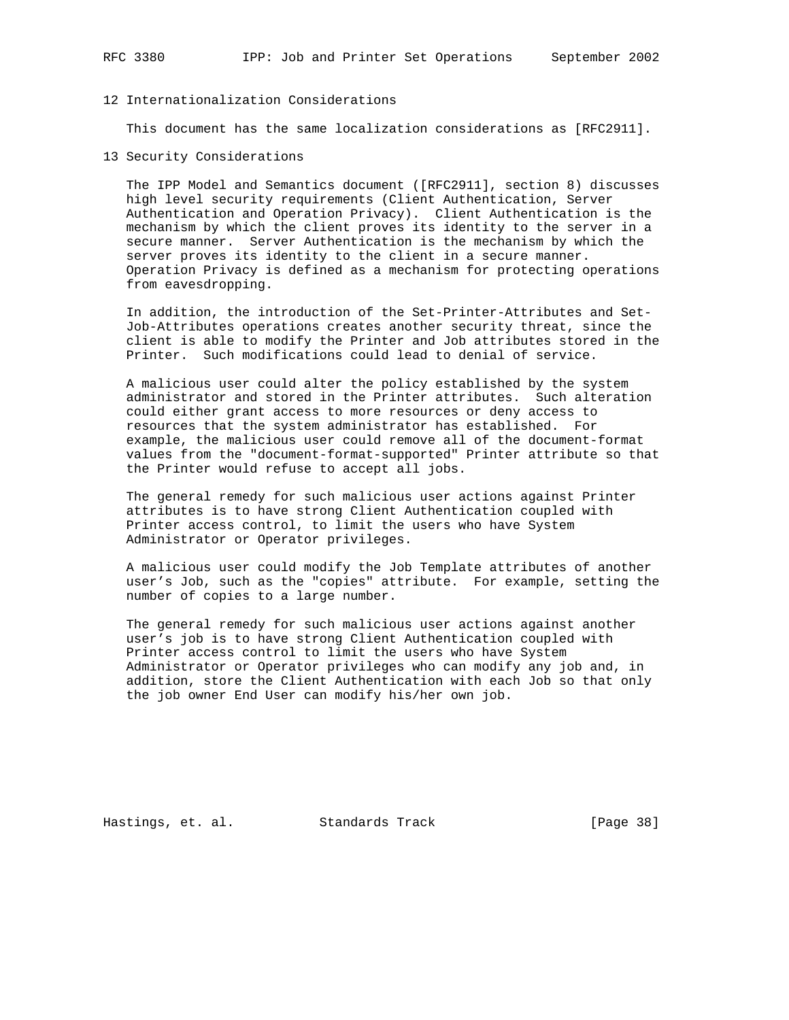## 12 Internationalization Considerations

This document has the same localization considerations as [RFC2911].

13 Security Considerations

 The IPP Model and Semantics document ([RFC2911], section 8) discusses high level security requirements (Client Authentication, Server Authentication and Operation Privacy). Client Authentication is the mechanism by which the client proves its identity to the server in a secure manner. Server Authentication is the mechanism by which the server proves its identity to the client in a secure manner. Operation Privacy is defined as a mechanism for protecting operations from eavesdropping.

 In addition, the introduction of the Set-Printer-Attributes and Set- Job-Attributes operations creates another security threat, since the client is able to modify the Printer and Job attributes stored in the Printer. Such modifications could lead to denial of service.

 A malicious user could alter the policy established by the system administrator and stored in the Printer attributes. Such alteration could either grant access to more resources or deny access to resources that the system administrator has established. For example, the malicious user could remove all of the document-format values from the "document-format-supported" Printer attribute so that the Printer would refuse to accept all jobs.

 The general remedy for such malicious user actions against Printer attributes is to have strong Client Authentication coupled with Printer access control, to limit the users who have System Administrator or Operator privileges.

 A malicious user could modify the Job Template attributes of another user's Job, such as the "copies" attribute. For example, setting the number of copies to a large number.

 The general remedy for such malicious user actions against another user's job is to have strong Client Authentication coupled with Printer access control to limit the users who have System Administrator or Operator privileges who can modify any job and, in addition, store the Client Authentication with each Job so that only the job owner End User can modify his/her own job.

Hastings, et. al. Standards Track [Page 38]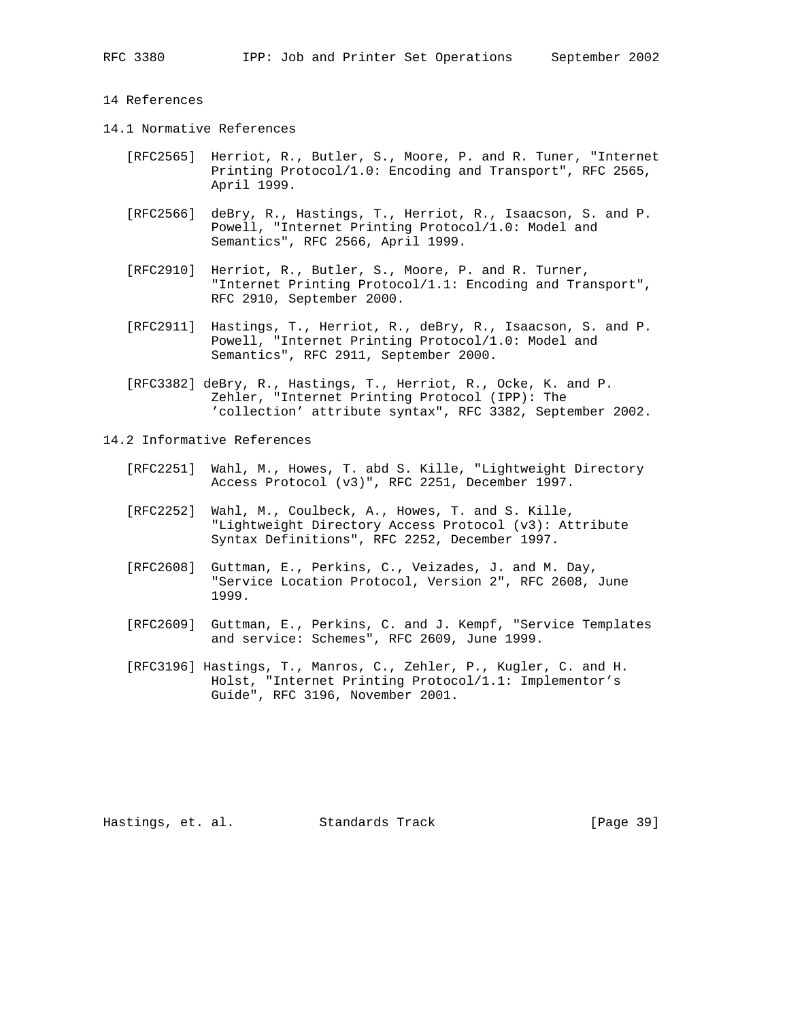#### 14 References

- 14.1 Normative References
	- [RFC2565] Herriot, R., Butler, S., Moore, P. and R. Tuner, "Internet Printing Protocol/1.0: Encoding and Transport", RFC 2565, April 1999.
	- [RFC2566] deBry, R., Hastings, T., Herriot, R., Isaacson, S. and P. Powell, "Internet Printing Protocol/1.0: Model and Semantics", RFC 2566, April 1999.
	- [RFC2910] Herriot, R., Butler, S., Moore, P. and R. Turner, "Internet Printing Protocol/1.1: Encoding and Transport", RFC 2910, September 2000.
	- [RFC2911] Hastings, T., Herriot, R., deBry, R., Isaacson, S. and P. Powell, "Internet Printing Protocol/1.0: Model and Semantics", RFC 2911, September 2000.
	- [RFC3382] deBry, R., Hastings, T., Herriot, R., Ocke, K. and P. Zehler, "Internet Printing Protocol (IPP): The 'collection' attribute syntax", RFC 3382, September 2002.
- 14.2 Informative References
	- [RFC2251] Wahl, M., Howes, T. abd S. Kille, "Lightweight Directory Access Protocol (v3)", RFC 2251, December 1997.
	- [RFC2252] Wahl, M., Coulbeck, A., Howes, T. and S. Kille, "Lightweight Directory Access Protocol (v3): Attribute Syntax Definitions", RFC 2252, December 1997.
	- [RFC2608] Guttman, E., Perkins, C., Veizades, J. and M. Day, "Service Location Protocol, Version 2", RFC 2608, June 1999.
	- [RFC2609] Guttman, E., Perkins, C. and J. Kempf, "Service Templates and service: Schemes", RFC 2609, June 1999.
	- [RFC3196] Hastings, T., Manros, C., Zehler, P., Kugler, C. and H. Holst, "Internet Printing Protocol/1.1: Implementor's Guide", RFC 3196, November 2001.

Hastings, et. al. Standards Track [Page 39]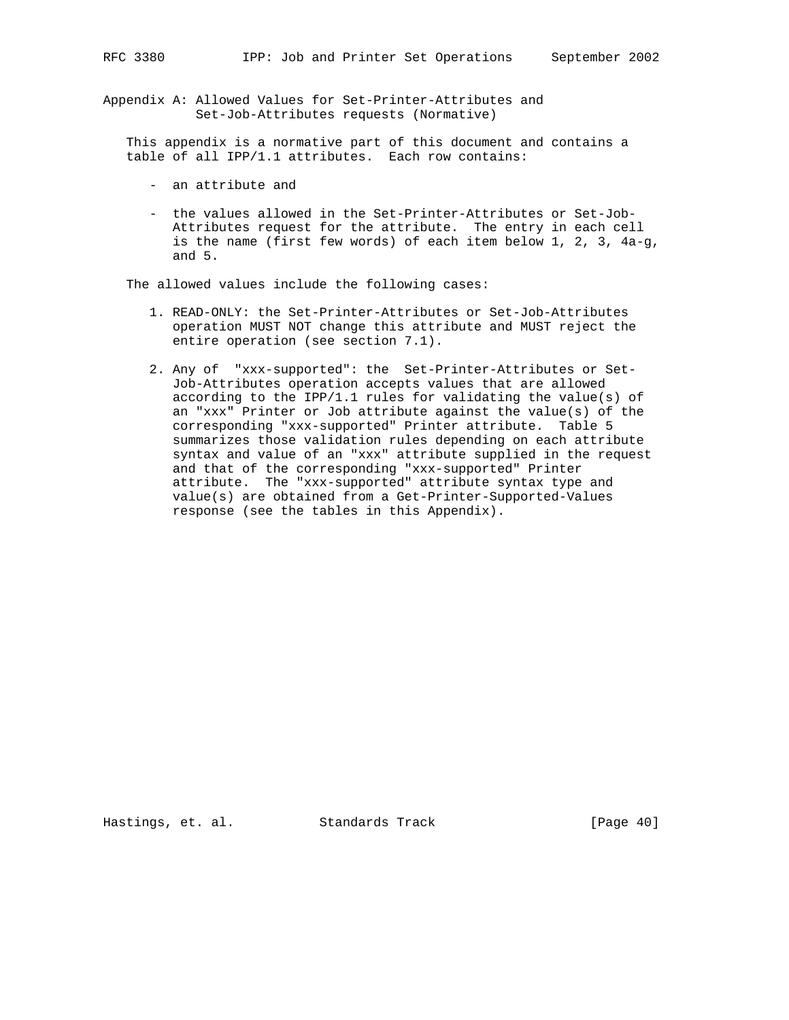Appendix A: Allowed Values for Set-Printer-Attributes and Set-Job-Attributes requests (Normative)

 This appendix is a normative part of this document and contains a table of all IPP/1.1 attributes. Each row contains:

- an attribute and
- the values allowed in the Set-Printer-Attributes or Set-Job- Attributes request for the attribute. The entry in each cell is the name (first few words) of each item below 1, 2, 3, 4a-g, and 5.

The allowed values include the following cases:

- 1. READ-ONLY: the Set-Printer-Attributes or Set-Job-Attributes operation MUST NOT change this attribute and MUST reject the entire operation (see section 7.1).
- 2. Any of "xxx-supported": the Set-Printer-Attributes or Set- Job-Attributes operation accepts values that are allowed according to the IPP/1.1 rules for validating the value(s) of an "xxx" Printer or Job attribute against the value(s) of the corresponding "xxx-supported" Printer attribute. Table 5 summarizes those validation rules depending on each attribute syntax and value of an "xxx" attribute supplied in the request and that of the corresponding "xxx-supported" Printer attribute. The "xxx-supported" attribute syntax type and value(s) are obtained from a Get-Printer-Supported-Values response (see the tables in this Appendix).

Hastings, et. al. Standards Track [Page 40]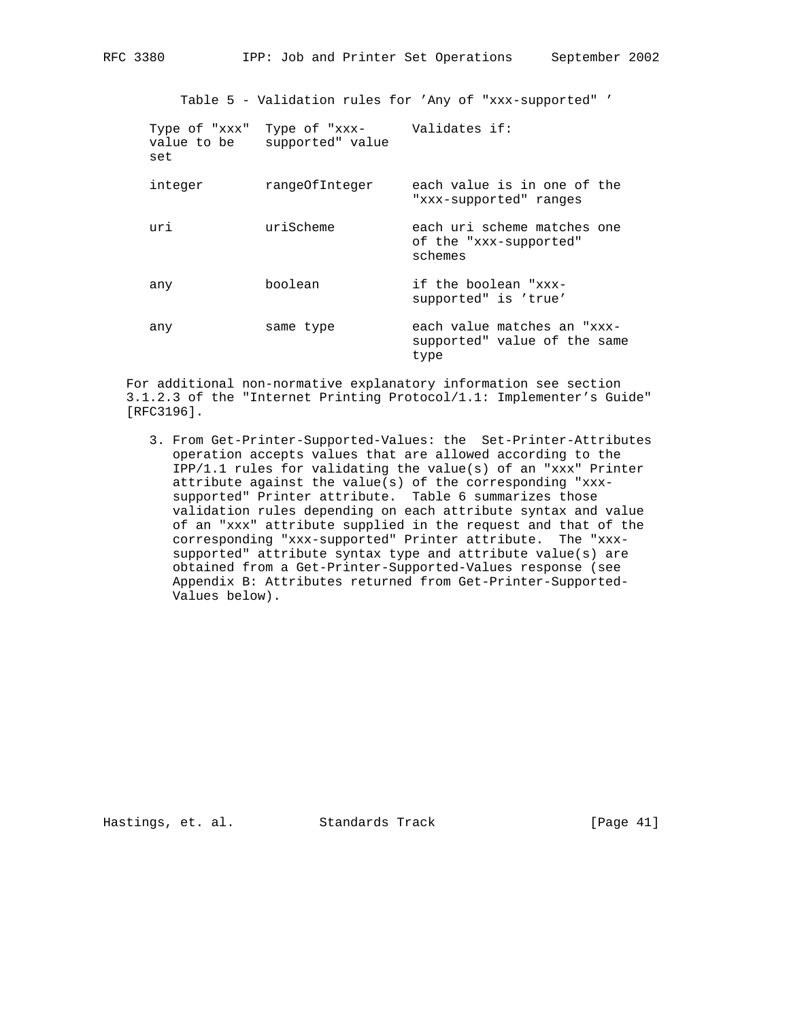Table 5 - Validation rules for 'Any of "xxx-supported" '

| Type of "xxx"<br>value to be<br>set | Type of "xxx- Validates if:<br>supported" value |                                                                     |
|-------------------------------------|-------------------------------------------------|---------------------------------------------------------------------|
| integer                             | rangeOfInteger                                  | each value is in one of the<br>"xxx-supported" ranges               |
| uri                                 | uriScheme                                       | each uri scheme matches one<br>of the "xxx-supported"<br>schemes    |
| any                                 | boolean                                         | if the boolean "xxx-<br>supported" is 'true'                        |
| any                                 | same type                                       | each value matches an "xxx-<br>supported" value of the same<br>type |

 For additional non-normative explanatory information see section 3.1.2.3 of the "Internet Printing Protocol/1.1: Implementer's Guide" [RFC3196].

 3. From Get-Printer-Supported-Values: the Set-Printer-Attributes operation accepts values that are allowed according to the IPP/1.1 rules for validating the value(s) of an "xxx" Printer attribute against the value(s) of the corresponding "xxx supported" Printer attribute. Table 6 summarizes those validation rules depending on each attribute syntax and value of an "xxx" attribute supplied in the request and that of the corresponding "xxx-supported" Printer attribute. The "xxx supported" attribute syntax type and attribute value(s) are obtained from a Get-Printer-Supported-Values response (see Appendix B: Attributes returned from Get-Printer-Supported- Values below).

Hastings, et. al. Standards Track [Page 41]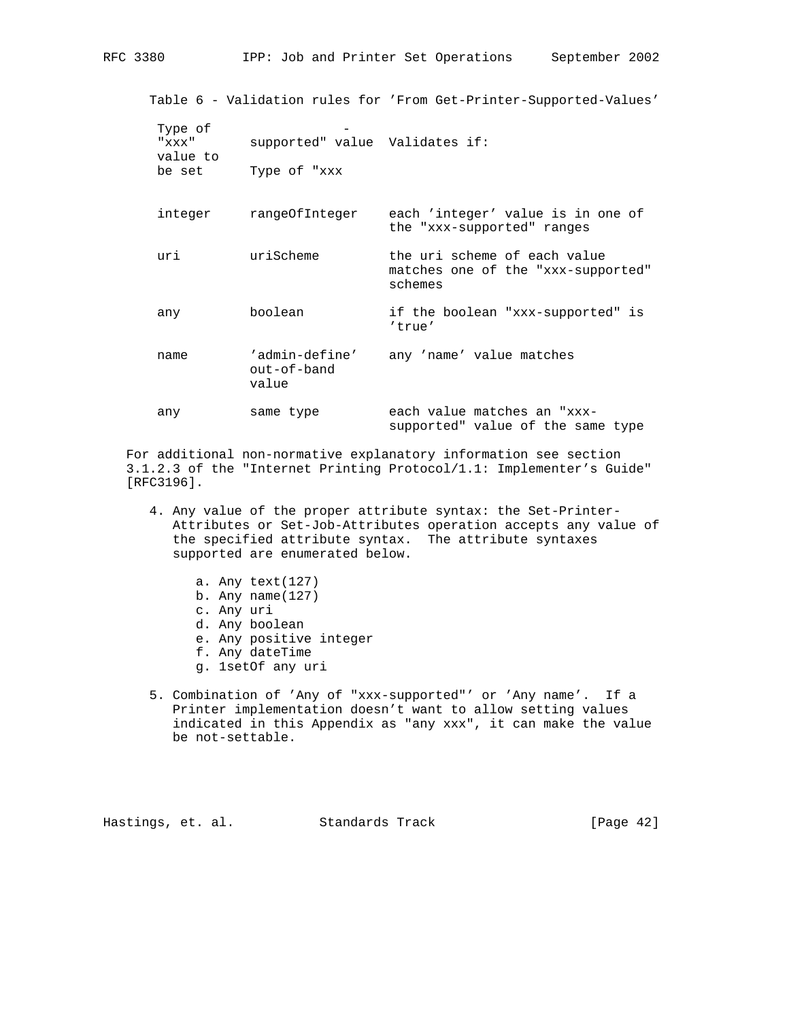Table 6 - Validation rules for 'From Get-Printer-Supported-Values' Type of "xxx" supported" value Validates if: value to be set Type of "xxx integer rangeOfInteger each 'integer' value is in one of the "xxx-supported" ranges uri uriScheme the uri scheme of each value matches one of the "xxx-supported" schemes any boolean if the boolean "xxx-supported" is 'true' name 'admin-define' any 'name' value matches out-of-band value any same type each value matches an "xxx-

 For additional non-normative explanatory information see section 3.1.2.3 of the "Internet Printing Protocol/1.1: Implementer's Guide" [RFC3196].

 4. Any value of the proper attribute syntax: the Set-Printer- Attributes or Set-Job-Attributes operation accepts any value of the specified attribute syntax. The attribute syntaxes supported are enumerated below.

supported" value of the same type

- a. Any text(127)
- b. Any name(127)
- c. Any uri
- d. Any boolean
- e. Any positive integer
- f. Any dateTime
- g. 1setOf any uri
- 5. Combination of 'Any of "xxx-supported"' or 'Any name'. If a Printer implementation doesn't want to allow setting values indicated in this Appendix as "any xxx", it can make the value be not-settable.

Hastings, et. al. Standards Track [Page 42]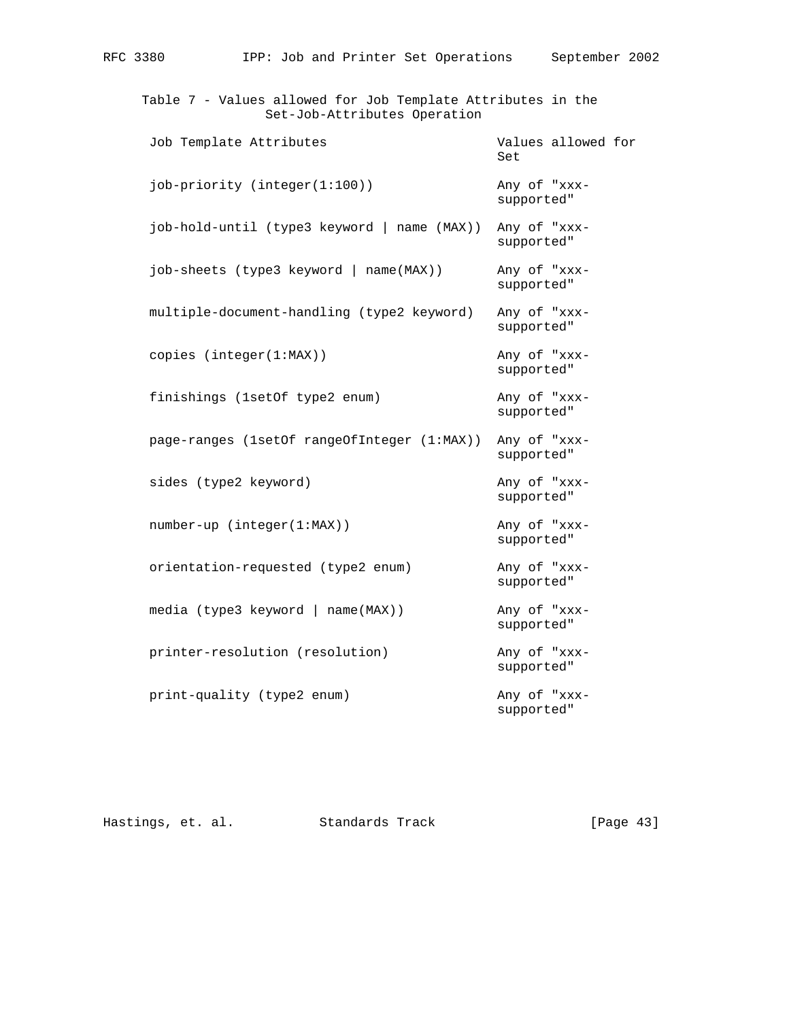| Table 7 - Values allowed for Job Template Attributes in the<br>Set-Job-Attributes Operation |                            |
|---------------------------------------------------------------------------------------------|----------------------------|
| Job Template Attributes                                                                     | Values allowed for<br>Set  |
| job-priority (integer(1:100))                                                               | Any of "xxx-<br>supported" |
| job-hold-until (type3 keyword   name (MAX))                                                 | Any of "xxx-<br>supported" |
| job-sheets (type3 keyword   name(MAX))                                                      | Any of "xxx-<br>supported" |
| multiple-document-handling (type2 keyword)                                                  | Any of "xxx-<br>supported" |
| copies $(integer(1:MAX))$                                                                   | Any of "xxx-<br>supported" |
| finishings (1setOf type2 enum)                                                              | Any of "xxx-<br>supported" |
| page-ranges (1setOf rangeOfInteger (1:MAX))                                                 | Any of "xxx-<br>supported" |
| sides (type2 keyword)                                                                       | Any of "xxx-<br>supported" |
| $number-up (integer(1:MAX))$                                                                | Any of "xxx-<br>supported" |
| orientation-requested (type2 enum)                                                          | Any of "xxx-<br>supported" |
| media (type3 keyword   name(MAX))                                                           | Any of "xxx-<br>supported" |
| printer-resolution (resolution)                                                             | Any of "xxx-<br>supported" |
| print-quality (type2 enum)                                                                  | Any of "xxx-<br>supported" |

Hastings, et. al. Standards Track [Page 43]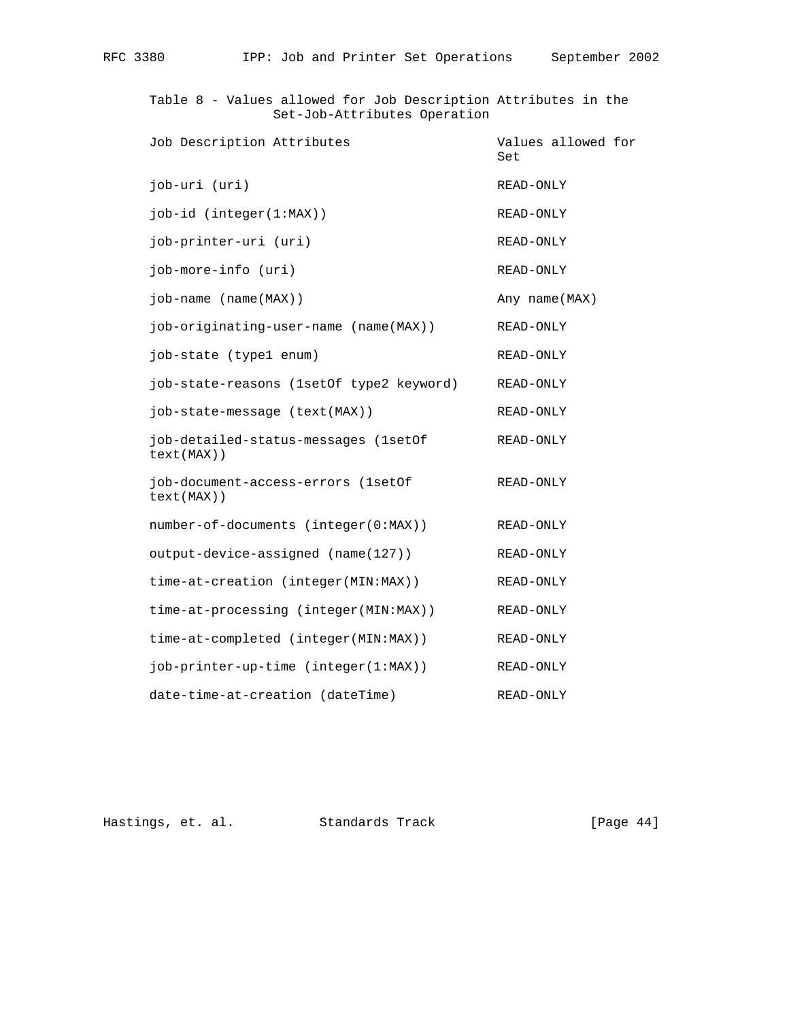Table 8 - Values allowed for Job Description Attributes in the Set-Job-Attributes Operation Job Description Attributes **Values** allowed for **Set and Set and Set and Set and Set and Set and Set and Set and Set and Set and Set and Set and Set and Set and Set and Set and Set and Set and Set and Set and Set and Set and Set and Set and Set and Set and Set and Set a**  job-uri (uri) READ-ONLY job-id (integer(1:MAX)) READ-ONLY job-printer-uri (uri) READ-ONLY job-more-info (uri) READ-ONLY job-name (name(MAX)) and the manufacture of the manufacture of  $\Delta$ ny name(MAX) job-originating-user-name (name(MAX)) READ-ONLY job-state (type1 enum) READ-ONLY job-state-reasons (1setOf type2 keyword) READ-ONLY job-state-message (text(MAX)) READ-ONLY job-detailed-status-messages (1setOf READ-ONLY text(MAX)) job-document-access-errors (1setOf READ-ONLY text(MAX)) number-of-documents (integer(0:MAX)) READ-ONLY output-device-assigned (name(127)) READ-ONLY time-at-creation (integer(MIN:MAX)) READ-ONLY time-at-processing (integer(MIN:MAX)) READ-ONLY time-at-completed (integer(MIN:MAX)) READ-ONLY job-printer-up-time (integer(1:MAX)) READ-ONLY date-time-at-creation (dateTime) READ-ONLY

Hastings, et. al. Standards Track [Page 44]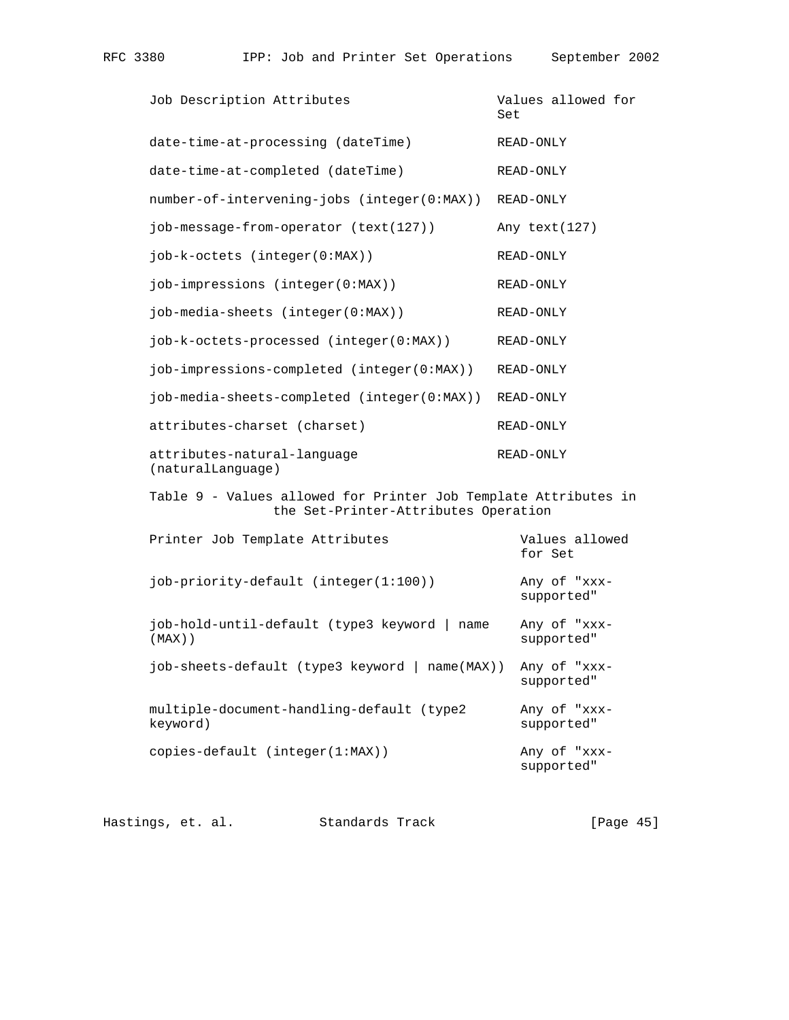| Job Description Attributes                                                                              | Set | Values allowed for         |
|---------------------------------------------------------------------------------------------------------|-----|----------------------------|
| date-time-at-processing (dateTime)                                                                      |     | READ-ONLY                  |
| date-time-at-completed (dateTime)                                                                       |     | READ-ONLY                  |
| number-of-intervening-jobs (integer(0:MAX))                                                             |     | READ-ONLY                  |
| job-message-from-operator (text(127))                                                                   |     | Any text(127)              |
| job-k-octets (integer(0:MAX))                                                                           |     | READ-ONLY                  |
| job-impressions (integer(0:MAX))                                                                        |     | READ-ONLY                  |
| job-media-sheets (integer(0:MAX))                                                                       |     | READ-ONLY                  |
| job-k-octets-processed (integer(0:MAX))                                                                 |     | READ-ONLY                  |
| job-impressions-completed (integer(0:MAX))                                                              |     | READ-ONLY                  |
| job-media-sheets-completed (integer(0:MAX))                                                             |     | READ-ONLY                  |
| attributes-charset (charset)                                                                            |     | READ-ONLY                  |
| attributes-natural-language<br>(naturalLanguage)                                                        |     | READ-ONLY                  |
| Table 9 - Values allowed for Printer Job Template Attributes in<br>the Set-Printer-Attributes Operation |     |                            |
| Printer Job Template Attributes                                                                         |     | Values allowed<br>for Set  |
| job-priority-default (integer(1:100))                                                                   |     | Any of "xxx-<br>supported" |
| job-hold-until-default (type3 keyword   name<br>$(MAX)$ )                                               |     | Any of "xxx-<br>supported" |
| job-sheets-default (type3 keyword   name(MAX)) Any of "xxx-                                             |     | supported"                 |
| multiple-document-handling-default (type2<br>keyword)                                                   |     | Any of "xxx-<br>supported" |
| copies-default (integer(1:MAX))                                                                         |     | Any of "xxx-<br>supported" |
|                                                                                                         |     |                            |

Hastings, et. al. Standards Track [Page 45]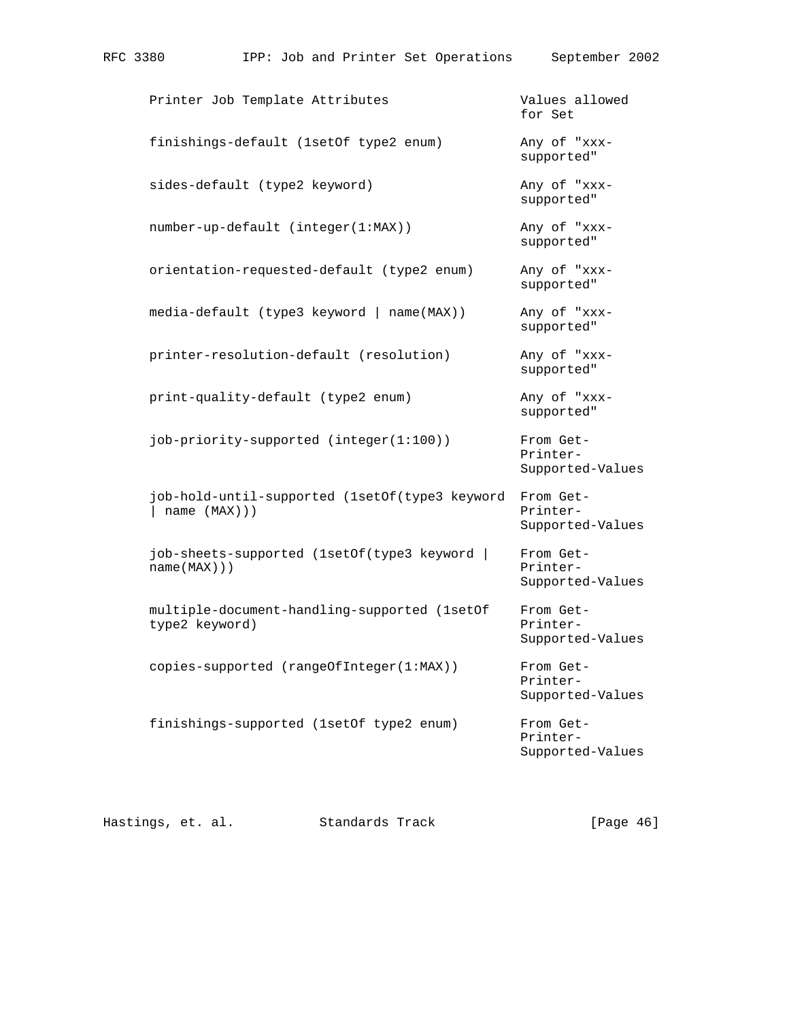| Printer Job Template Attributes             | Values allowed<br>for Set  |
|---------------------------------------------|----------------------------|
| finishings-default (1setOf type2 enum)      | Any of "xxx-<br>supported" |
| sides-default (type2 keyword)               | Any of "xxx-<br>supported" |
| $number-up-default (integer(1:MAX))$        | Any of "xxx-<br>supported" |
| orientation-requested-default (type2 enum)  | Any of "xxx-<br>supported" |
| $media-default$ (type3 keyword   name(MAX)) | Any of "xxx-<br>supported" |
| printer-resolution-default (resolution)     | Any of "xxx-<br>supported" |
| print-quality-default (type2 enum)          | Any of "xxx-               |

RFC 3380 IPP: Job and Printer Set Operations September 2002

job-priority-supported (integer(1:100)) From Get-

 job-hold-until-supported (1setOf(type3 keyword From Get- | name (MAX))) Printer- Supported-Values

 job-sheets-supported (1setOf(type3 keyword | From Get name(MAX))) Printer-

multiple-document-handling-supported (1setOf From Gettype2 keyword) example a series of the printer-

copies-supported (rangeOfInteger(1:MAX)) From Get-

finishings-supported (1setOf type2 enum) From Get-

Supported-Values

Supported-Values

supported"

Printer-

Supported-Values

 Printer- Supported-Values

 Printer- Supported-Values

Hastings, et. al. Standards Track [Page 46]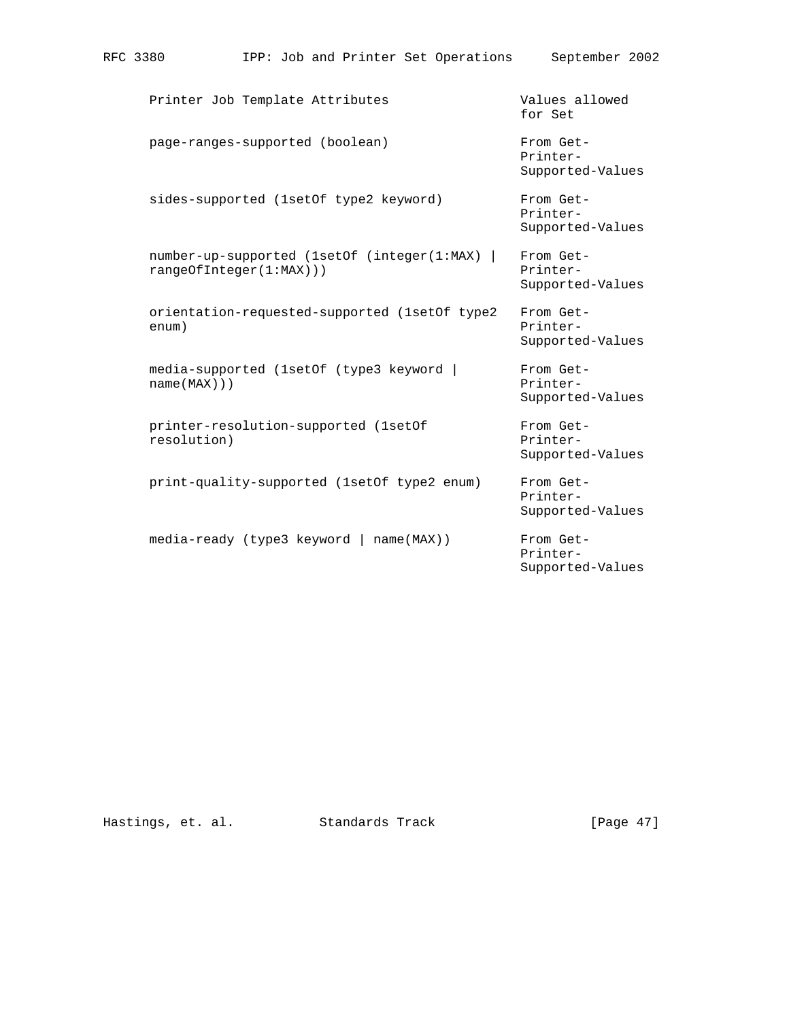| RFC 3380                                                              | IPP: Job and Printer Set Operations |  |               |  | September 2002                            |  |
|-----------------------------------------------------------------------|-------------------------------------|--|---------------|--|-------------------------------------------|--|
| Printer Job Template Attributes                                       |                                     |  |               |  | Values allowed<br>for Set                 |  |
| page-ranges-supported (boolean)                                       |                                     |  |               |  | From Get-<br>Printer-<br>Supported-Values |  |
| sides-supported (1setOf type2 keyword)                                |                                     |  |               |  | From Get-<br>Printer-<br>Supported-Values |  |
| number-up-supported (1setOf (integer(1:MAX)<br>rangeOfInteger(1:MAX)) |                                     |  |               |  | From Get-<br>Printer-<br>Supported-Values |  |
| orientation-requested-supported (lsetOf type2<br>enum)                |                                     |  |               |  | From Get-<br>Printer-<br>Supported-Values |  |
| media-supported (1setOf (type3 keyword )<br>name(MAX))                |                                     |  |               |  | From Get-<br>Printer-<br>Supported-Values |  |
| printer-resolution-supported (lsetOf<br>resolution)                   |                                     |  |               |  | From Get-<br>Printer-<br>Supported-Values |  |
| print-quality-supported (1setOf type2 enum)                           |                                     |  |               |  | From Get-<br>Printer-<br>Supported-Values |  |
| media-ready (type3 keyword                                            |                                     |  | $name(MAX)$ ) |  | From Get-<br>Printer-<br>Supported-Values |  |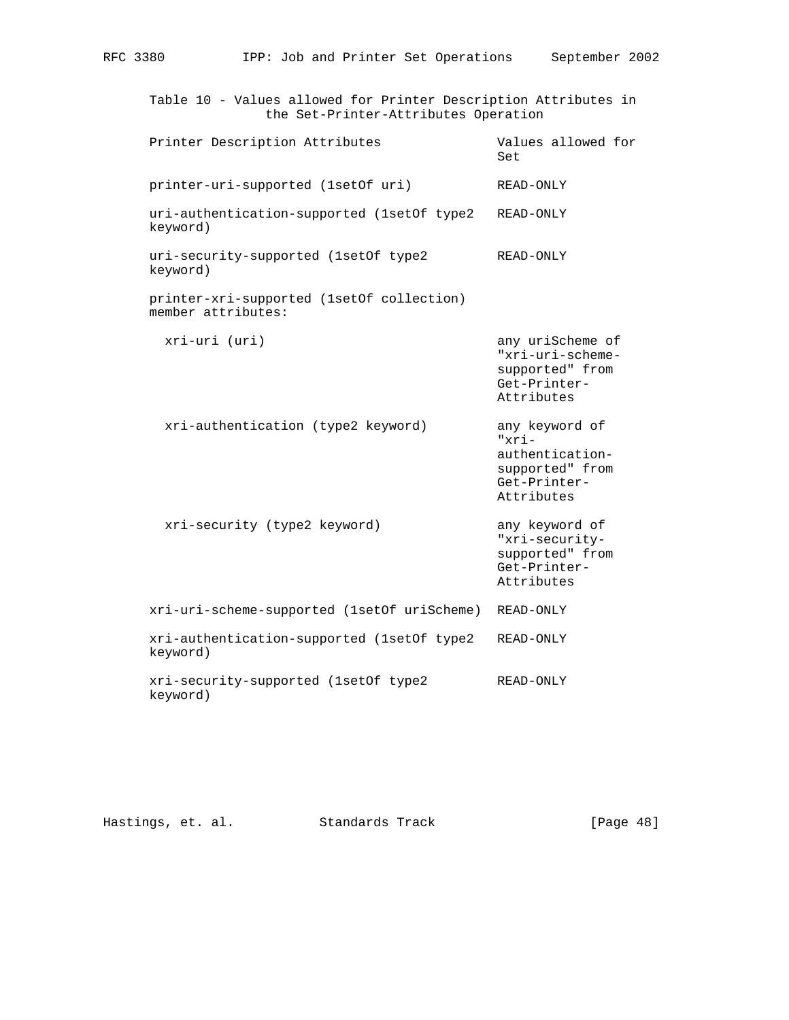| Table 10 - Values allowed for Printer Description Attributes in<br>the Set-Printer-Attributes Operation |                                                                                                |
|---------------------------------------------------------------------------------------------------------|------------------------------------------------------------------------------------------------|
| Printer Description Attributes                                                                          | Values allowed for<br>Set                                                                      |
| printer-uri-supported (1setOf uri)                                                                      | READ-ONLY                                                                                      |
| uri-authentication-supported (lsetOf type2<br>keyword)                                                  | READ-ONLY                                                                                      |
| uri-security-supported (1setOf type2<br>keyword)                                                        | READ-ONLY                                                                                      |
| printer-xri-supported (1setOf collection)<br>member attributes:                                         |                                                                                                |
| xri-uri (uri)                                                                                           | any uriScheme of<br>"xri-uri-scheme-<br>supported" from<br>Get-Printer-<br>Attributes          |
| xri-authentication (type2 keyword)                                                                      | any keyword of<br>$"xri -$<br>authentication-<br>supported" from<br>Get-Printer-<br>Attributes |
| xri-security (type2 keyword)                                                                            | any keyword of<br>"xri-security-<br>supported" from<br>Get-Printer-<br>Attributes              |
| xri-uri-scheme-supported (1setOf uriScheme) READ-ONLY                                                   |                                                                                                |
| xri-authentication-supported (lsetOf type2<br>keyword)                                                  | READ-ONLY                                                                                      |
| xri-security-supported (1setOf type2<br>keyword)                                                        | READ-ONLY                                                                                      |

Hastings, et. al. Standards Track [Page 48]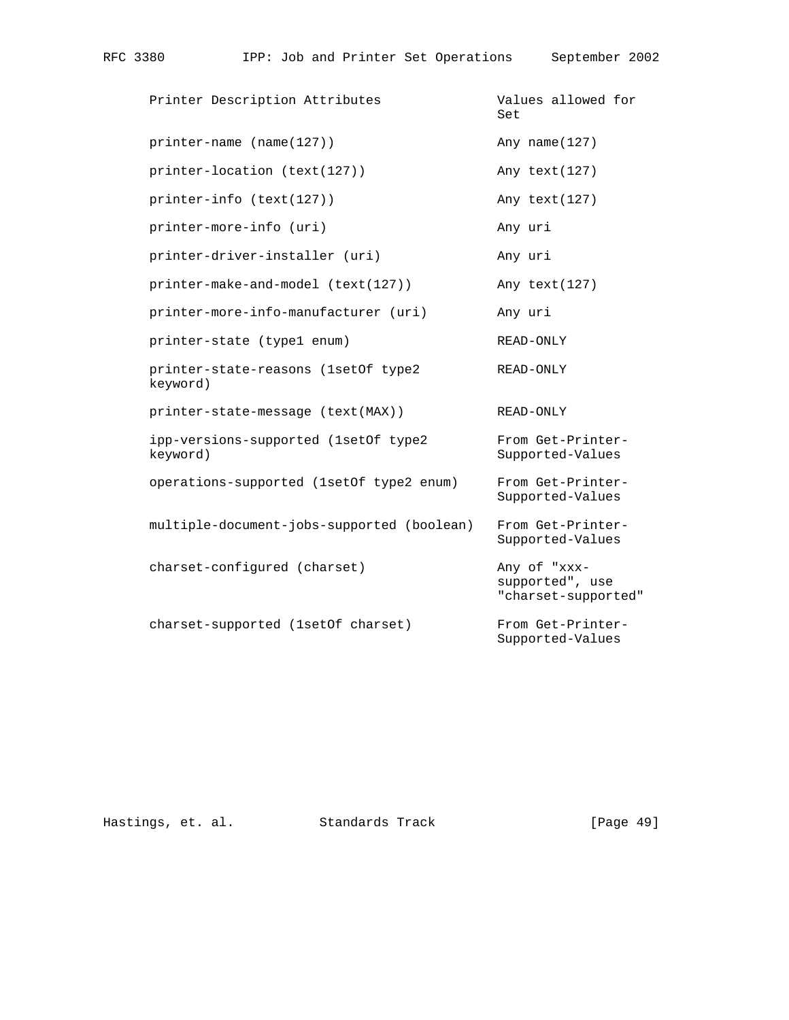| Printer Description Attributes                   | Values allowed for<br>Set                              |
|--------------------------------------------------|--------------------------------------------------------|
| $printer$ -name (name(127))                      | Any name $(127)$                                       |
| printer-location (text(127))                     | Any text (127)                                         |
| printer-info (text(127))                         | Any text (127)                                         |
| printer-more-info (uri)                          | Any uri                                                |
| printer-driver-installer (uri)                   | Any uri                                                |
| printer-make-and-model (text(127))               | Any text(127)                                          |
| printer-more-info-manufacturer (uri)             | Any uri                                                |
| printer-state (type1 enum)                       | READ-ONLY                                              |
| printer-state-reasons (1setOf type2<br>keyword)  | READ-ONLY                                              |
| printer-state-message (text(MAX))                | READ-ONLY                                              |
| ipp-versions-supported (1setOf type2<br>keyword) | From Get-Printer-<br>Supported-Values                  |
| operations-supported (1setOf type2 enum)         | From Get-Printer-<br>Supported-Values                  |
| multiple-document-jobs-supported (boolean)       | From Get-Printer-<br>Supported-Values                  |
| charset-configured (charset)                     | Any of "xxx-<br>supported", use<br>"charset-supported" |
| charset-supported (1setOf charset)               | From Get-Printer-<br>Supported-Values                  |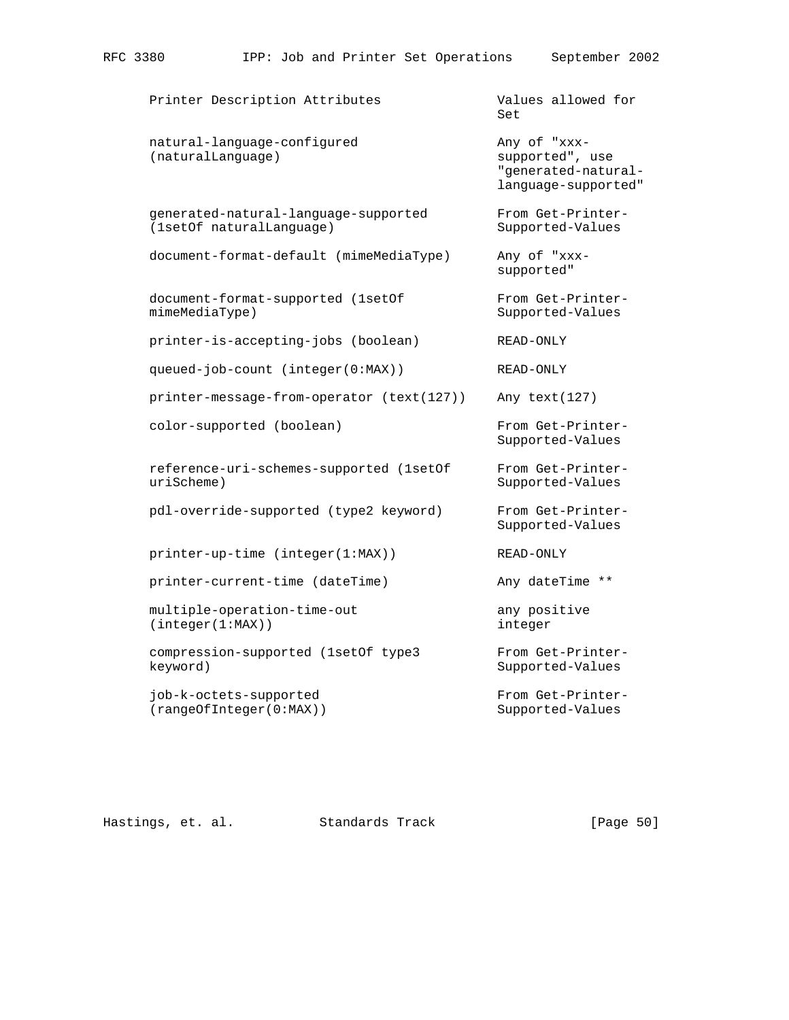Printer Description Attributes Values allowed for **Set and Set and Set and Set and Set and Set and Set and Set and Set and Set and Set and Set and Set and Set and Set and Set and Set and Set and Set and Set and Set and Set and Set and Set and Set and Set and Set and Set a** natural-language-configured Any of "xxx-(naturalLanguage) supported", use "generated-natural language-supported" generated-natural-language-supported From Get-Printer- (1setOf naturalLanguage) Supported-Values document-format-default (mimeMediaType) Any of "xxx supported" document-format-supported (1setOf From Get-PrintermimeMediaType) Supported-Values printer-is-accepting-jobs (boolean) READ-ONLY queued-job-count (integer(0:MAX)) READ-ONLY printer-message-from-operator (text(127)) Any text(127) color-supported (boolean) From Get-Printer- Supported-Values reference-uri-schemes-supported (1setOf From Get-Printer uriScheme) Supported-Values pdl-override-supported (type2 keyword) From Get-Printer- Supported-Values printer-up-time (integer(1:MAX)) READ-ONLY printer-current-time (dateTime) Any dateTime \*\* multiple-operation-time-out any positive (integer(1:MAX)) integer compression-supported (1setOf type3 From Get-Printer keyword) Supported-Values job-k-octets-supported From Get-Printer- (rangeOfInteger(0:MAX)) Supported-Values

Hastings, et. al. Standards Track [Page 50]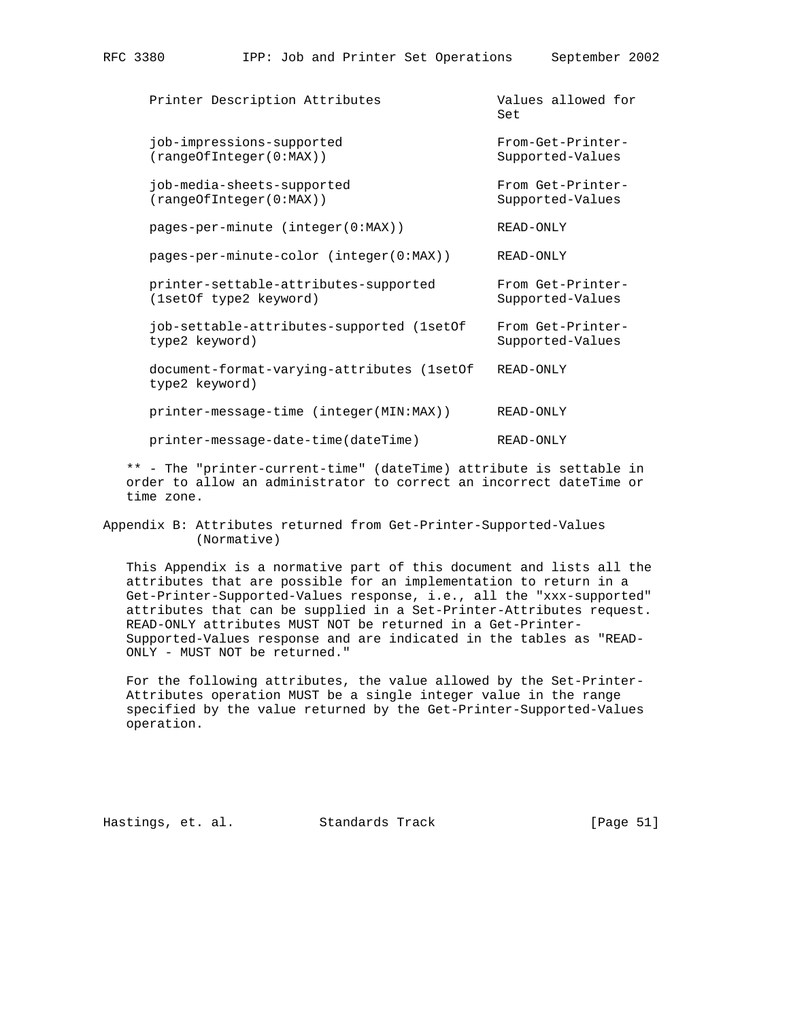Printer Description Attributes Values allowed for **Set and Set and Set and Set and Set and Set and Set and Set and Set and Set and Set and Set and Set and Set and Set and Set and Set and Set and Set and Set and Set and Set and Set and Set and Set and Set and Set and Set a** job-impressions-supported From-Get-Printer- (rangeOfInteger(0:MAX)) Supported-Values job-media-sheets-supported From Get-Printer-<br>(rangeOfInteger(0:MAX)) Supported-Values  $(rangeOfInteger(0:MAX))$  pages-per-minute (integer(0:MAX)) READ-ONLY pages-per-minute-color (integer(0:MAX)) READ-ONLY printer-settable-attributes-supported From Get-Printer- (1setOf type2 keyword) Supported-Values job-settable-attributes-supported (1setOf From Get-Printer type2 keyword) Supported-Values document-format-varying-attributes (1setOf READ-ONLY type2 keyword) printer-message-time (integer(MIN:MAX)) READ-ONLY printer-message-date-time(dateTime) READ-ONLY

 \*\* - The "printer-current-time" (dateTime) attribute is settable in order to allow an administrator to correct an incorrect dateTime or time zone.

Appendix B: Attributes returned from Get-Printer-Supported-Values (Normative)

 This Appendix is a normative part of this document and lists all the attributes that are possible for an implementation to return in a Get-Printer-Supported-Values response, i.e., all the "xxx-supported" attributes that can be supplied in a Set-Printer-Attributes request. READ-ONLY attributes MUST NOT be returned in a Get-Printer- Supported-Values response and are indicated in the tables as "READ- ONLY - MUST NOT be returned."

 For the following attributes, the value allowed by the Set-Printer- Attributes operation MUST be a single integer value in the range specified by the value returned by the Get-Printer-Supported-Values operation.

Hastings, et. al. Standards Track [Page 51]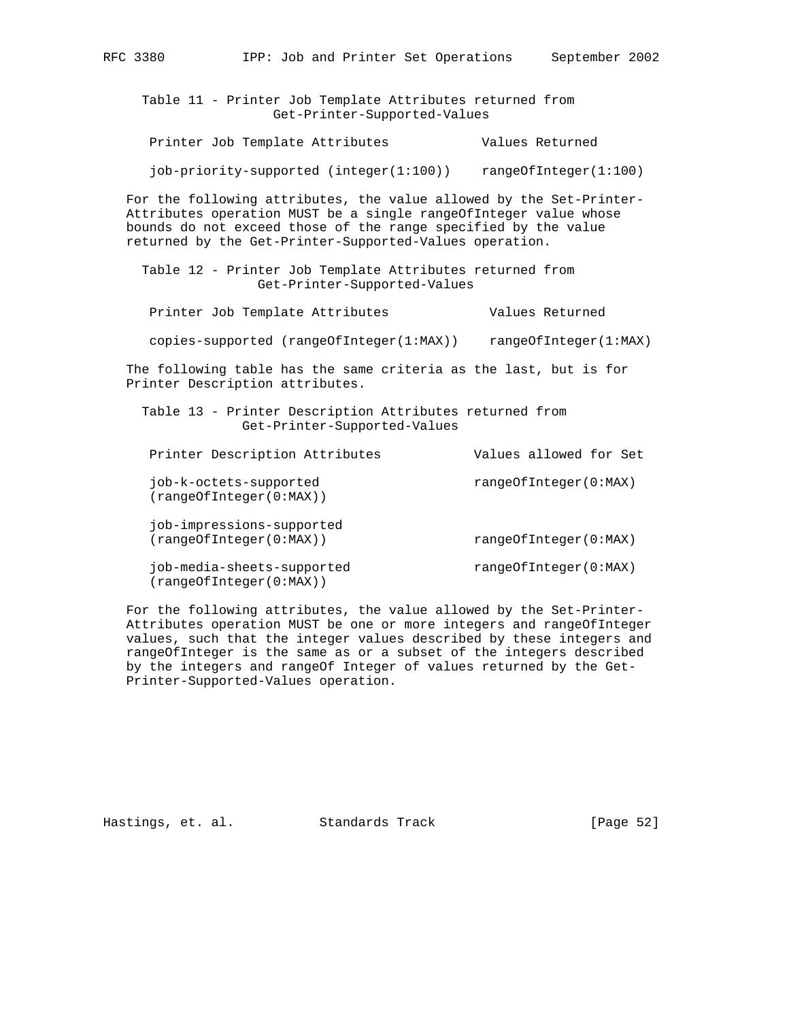| Table 11 - Printer Job Template Attributes returned from<br>Get-Printer-Supported-Values                                                                                                                                                                             |                        |  |  |  |  |  |  |
|----------------------------------------------------------------------------------------------------------------------------------------------------------------------------------------------------------------------------------------------------------------------|------------------------|--|--|--|--|--|--|
| Printer Job Template Attributes                                                                                                                                                                                                                                      | Values Returned        |  |  |  |  |  |  |
| iob-priority-supported (integer(1:100))                                                                                                                                                                                                                              | rangeOfInteger(1:100)  |  |  |  |  |  |  |
| For the following attributes, the value allowed by the Set-Printer-<br>Attributes operation MUST be a single rangeOfInteger value whose<br>bounds do not exceed those of the range specified by the value<br>returned by the Get-Printer-Supported-Values operation. |                        |  |  |  |  |  |  |
| Table 12 - Printer Job Template Attributes returned from<br>Get-Printer-Supported-Values                                                                                                                                                                             |                        |  |  |  |  |  |  |
| Printer Job Template Attributes                                                                                                                                                                                                                                      | Values Returned        |  |  |  |  |  |  |
| copies-supported (rangeOfInteger(1:MAX))                                                                                                                                                                                                                             | rangeOfInteger(1:MAX)  |  |  |  |  |  |  |
| The following table has the same criteria as the last, but is for<br>Printer Description attributes.                                                                                                                                                                 |                        |  |  |  |  |  |  |
| Table 13 - Printer Description Attributes returned from<br>Get-Printer-Supported-Values                                                                                                                                                                              |                        |  |  |  |  |  |  |
| Printer Description Attributes                                                                                                                                                                                                                                       | Values allowed for Set |  |  |  |  |  |  |
| job-k-octets-supported<br>(rangeOfInteger(0:MAX))                                                                                                                                                                                                                    | rangeOfInteger(0:MAX)  |  |  |  |  |  |  |
| job-impressions-supported<br>(rangeOfInteger(0:MAX))                                                                                                                                                                                                                 | rangeOfInteger(0:MAX)  |  |  |  |  |  |  |
| job-media-sheets-supported<br>(rangeOfInteger(0:MAX))                                                                                                                                                                                                                | rangeOfInteger(0:MAX)  |  |  |  |  |  |  |

RFC 3380 IPP: Job and Printer Set Operations September 2002

 For the following attributes, the value allowed by the Set-Printer- Attributes operation MUST be one or more integers and rangeOfInteger values, such that the integer values described by these integers and rangeOfInteger is the same as or a subset of the integers described by the integers and rangeOf Integer of values returned by the Get- Printer-Supported-Values operation.

Hastings, et. al. Standards Track [Page 52]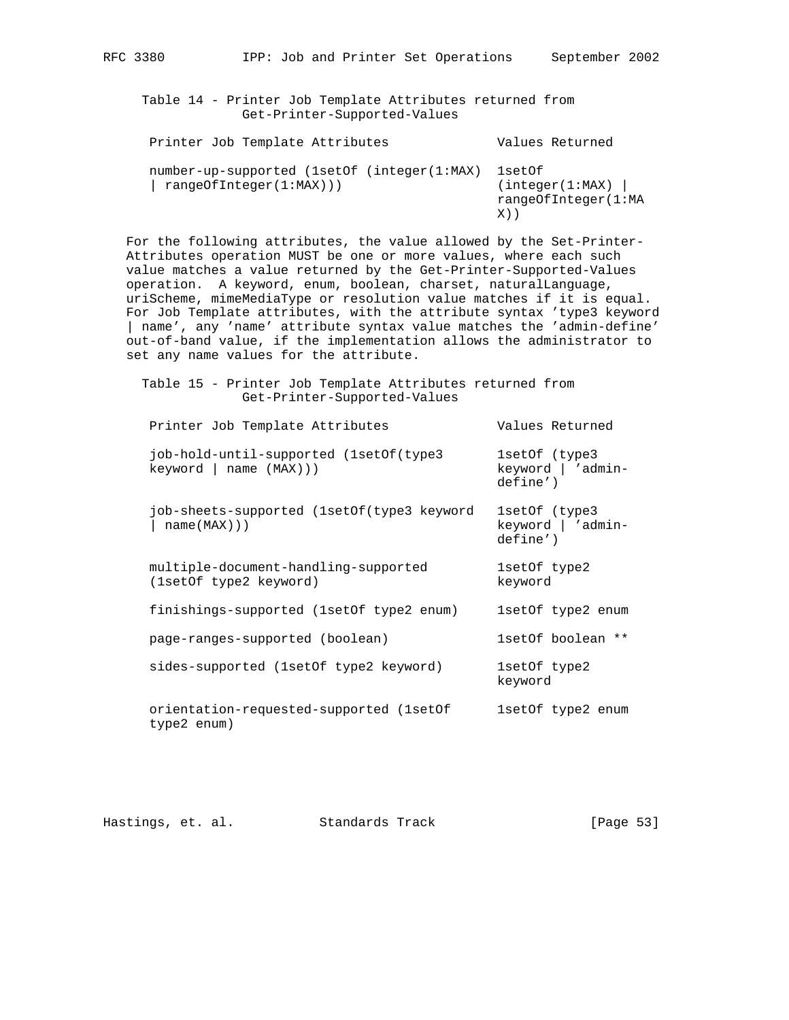Table 14 - Printer Job Template Attributes returned from Get-Printer-Supported-Values

| Printer Job Template Attributes                                        | Values Returned                                         |
|------------------------------------------------------------------------|---------------------------------------------------------|
| number-up-supported (1setOf (integer(1:MAX)<br>rangeOfInteger(1:MAX))) | lsetOf<br>(integer(1:MAX)<br>rangeOfInteger(1:MA<br>X)) |

 For the following attributes, the value allowed by the Set-Printer- Attributes operation MUST be one or more values, where each such value matches a value returned by the Get-Printer-Supported-Values operation. A keyword, enum, boolean, charset, naturalLanguage, uriScheme, mimeMediaType or resolution value matches if it is equal. For Job Template attributes, with the attribute syntax 'type3 keyword | name', any 'name' attribute syntax value matches the 'admin-define' out-of-band value, if the implementation allows the administrator to set any name values for the attribute.

 Table 15 - Printer Job Template Attributes returned from Get-Printer-Supported-Values

| Printer Job Template Attributes                                  | Values Returned                                 |
|------------------------------------------------------------------|-------------------------------------------------|
| job-hold-until-supported (1setOf(type3)<br>keyword   name (MAX)) | 1setOf (type3)<br>keyword   'admin-<br>define') |
| job-sheets-supported (lsetOf(type3 keyword<br>name(MAX))         | 1setOf (type3)<br>keyword   'admin-<br>define') |
| multiple-document-handling-supported<br>(1setOf type2 keyword)   | 1setOf type2<br>keyword                         |
| finishings-supported (1setOf type2 enum)                         | 1setOf type2 enum                               |
| page-ranges-supported (boolean)                                  | 1setOf boolean **                               |
| sides-supported (1setOf type2 keyword)                           | 1setOf type2<br>keyword                         |
| orientation-requested-supported (1setOf<br>type2 enum)           | 1setOf type2 enum                               |
|                                                                  |                                                 |

| Hastings, et. al. |  |  | Standards Track |  | [Page 53] |  |
|-------------------|--|--|-----------------|--|-----------|--|
|-------------------|--|--|-----------------|--|-----------|--|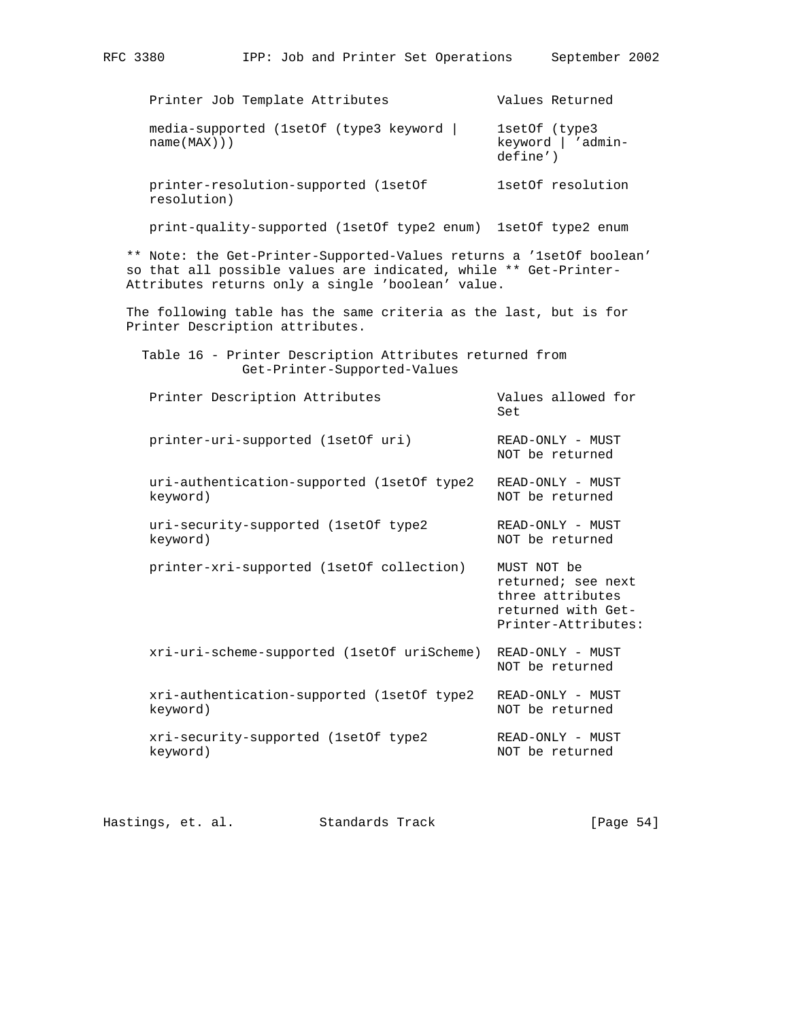Printer Job Template Attributes **Values Returned**  media-supported (1setOf (type3 keyword | 1setOf (type3 name(MAX))) keyword | 'admin define') printer-resolution-supported (1setOf 1setOf resolution resolution) print-quality-supported (1setOf type2 enum) 1setOf type2 enum \*\* Note: the Get-Printer-Supported-Values returns a '1setOf boolean' so that all possible values are indicated, while \*\* Get-Printer- Attributes returns only a single 'boolean' value. The following table has the same criteria as the last, but is for Printer Description attributes. Table 16 - Printer Description Attributes returned from Get-Printer-Supported-Values Printer Description Attributes **Values allowed** for **Set and Set and Set and Set and Set and Set and Set and Set and Set and Set and Set and Set and Set and Set and Set and Set and Set and Set and Set and Set and Set and Set and Set and Set and Set and Set and Set and Set a**  printer-uri-supported (1setOf uri) READ-ONLY - MUST NOT be returned uri-authentication-supported (1setOf type2 READ-ONLY - MUST keyword) and the returned in the returned in the returned in the returned in the returned in the returned in the returned in the returned in the returned in the returned in the returned in the returned in the returned in t uri-security-supported (1setOf type2 READ-ONLY - MUST keyword) and the returned in the returned in the returned in the returned in the returned in the returned in the returned in the returned in the returned in the returned in the returned in the returned in the returned in t printer-xri-supported (1setOf collection) MUST NOT be returned; see next three attributes returned with Get- Printer-Attributes: xri-uri-scheme-supported (1setOf uriScheme) READ-ONLY - MUST NOT be returned xri-authentication-supported (1setOf type2 READ-ONLY - MUST keyword) NOT be returned xri-security-supported (1setOf type2 READ-ONLY - MUST keyword) and the returned in the returned in the returned in the returned in the returned in the returned in the returned in the returned in the returned in the returned in the returned in the returned in the returned in t

Hastings, et. al. Standards Track [Page 54]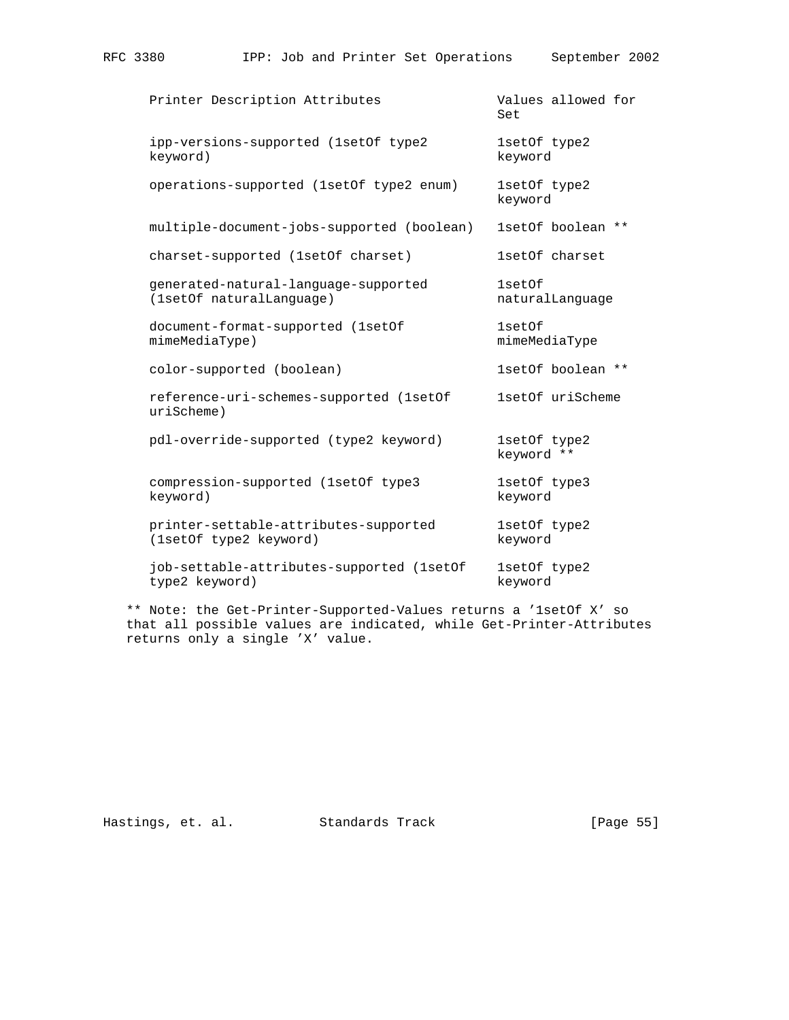| Printer Description Attributes                                   | Values allowed for<br>Set  |
|------------------------------------------------------------------|----------------------------|
| ipp-versions-supported (1setOf type2<br>keyword)                 | 1setOf type2<br>keyword    |
| operations-supported (1setOf type2 enum)                         | 1setOf type2<br>keyword    |
| multiple-document-jobs-supported (boolean)                       | 1setOf boolean **          |
| charset-supported (1setOf charset)                               | 1setOf charset             |
| generated-natural-language-supported<br>(1setOf naturalLanguage) | 1setOf<br>naturalLanguage  |
| document-format-supported (1setOf<br>mimeMediaType)              | 1setOf<br>mimeMediaType    |
| color-supported (boolean)                                        | 1setOf boolean **          |
| reference-uri-schemes-supported (1setOf<br>urischeme)            | 1setOf uriScheme           |
| pdl-override-supported (type2 keyword)                           | 1setOf type2<br>keyword ** |
| compression-supported (1set Of type 3)<br>keyword)               | 1setOf type3<br>keyword    |
| printer-settable-attributes-supported<br>(1setOf type2 keyword)  | 1setOf type2<br>keyword    |
| job-settable-attributes-supported (1setOf<br>type2 keyword)      | 1setOf type2<br>keyword    |

RFC 3380 IPP: Job and Printer Set Operations September 2002

 \*\* Note: the Get-Printer-Supported-Values returns a '1setOf X' so that all possible values are indicated, while Get-Printer-Attributes returns only a single 'X' value.

Hastings, et. al. Standards Track [Page 55]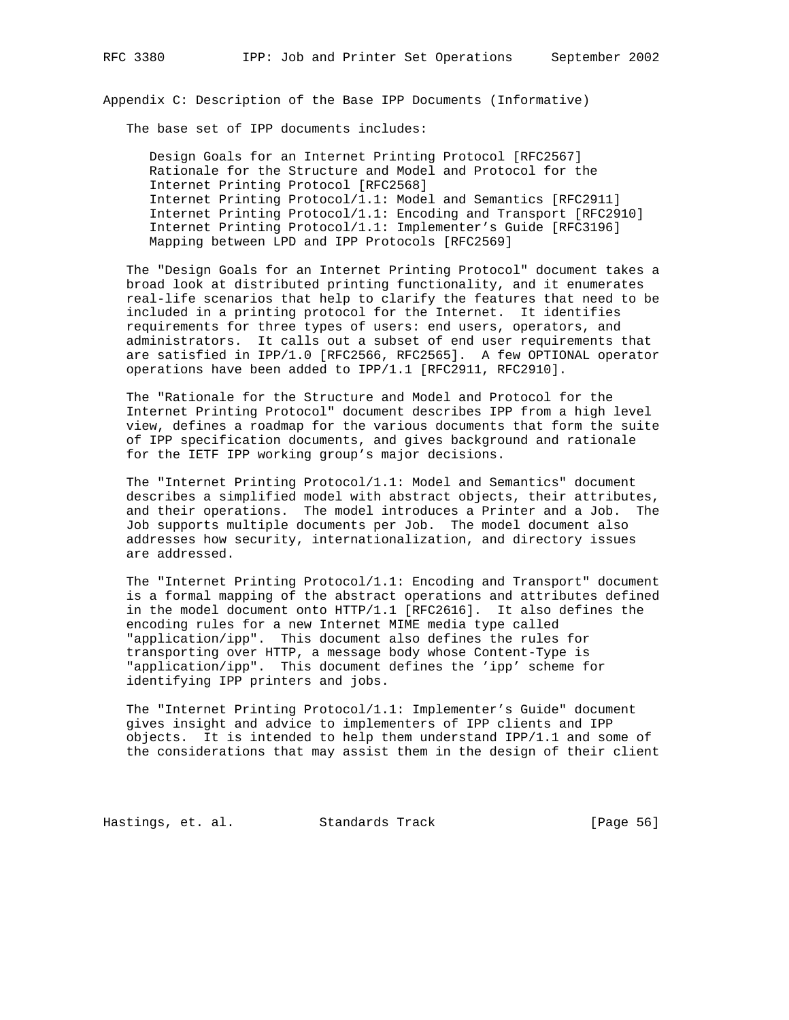Appendix C: Description of the Base IPP Documents (Informative)

The base set of IPP documents includes:

 Design Goals for an Internet Printing Protocol [RFC2567] Rationale for the Structure and Model and Protocol for the Internet Printing Protocol [RFC2568] Internet Printing Protocol/1.1: Model and Semantics [RFC2911] Internet Printing Protocol/1.1: Encoding and Transport [RFC2910] Internet Printing Protocol/1.1: Implementer's Guide [RFC3196] Mapping between LPD and IPP Protocols [RFC2569]

 The "Design Goals for an Internet Printing Protocol" document takes a broad look at distributed printing functionality, and it enumerates real-life scenarios that help to clarify the features that need to be included in a printing protocol for the Internet. It identifies requirements for three types of users: end users, operators, and administrators. It calls out a subset of end user requirements that are satisfied in IPP/1.0 [RFC2566, RFC2565]. A few OPTIONAL operator operations have been added to IPP/1.1 [RFC2911, RFC2910].

 The "Rationale for the Structure and Model and Protocol for the Internet Printing Protocol" document describes IPP from a high level view, defines a roadmap for the various documents that form the suite of IPP specification documents, and gives background and rationale for the IETF IPP working group's major decisions.

 The "Internet Printing Protocol/1.1: Model and Semantics" document describes a simplified model with abstract objects, their attributes, and their operations. The model introduces a Printer and a Job. The Job supports multiple documents per Job. The model document also addresses how security, internationalization, and directory issues are addressed.

 The "Internet Printing Protocol/1.1: Encoding and Transport" document is a formal mapping of the abstract operations and attributes defined in the model document onto HTTP/1.1 [RFC2616]. It also defines the encoding rules for a new Internet MIME media type called "application/ipp". This document also defines the rules for transporting over HTTP, a message body whose Content-Type is "application/ipp". This document defines the 'ipp' scheme for identifying IPP printers and jobs.

 The "Internet Printing Protocol/1.1: Implementer's Guide" document gives insight and advice to implementers of IPP clients and IPP objects. It is intended to help them understand IPP/1.1 and some of the considerations that may assist them in the design of their client

Hastings, et. al. Standards Track [Page 56]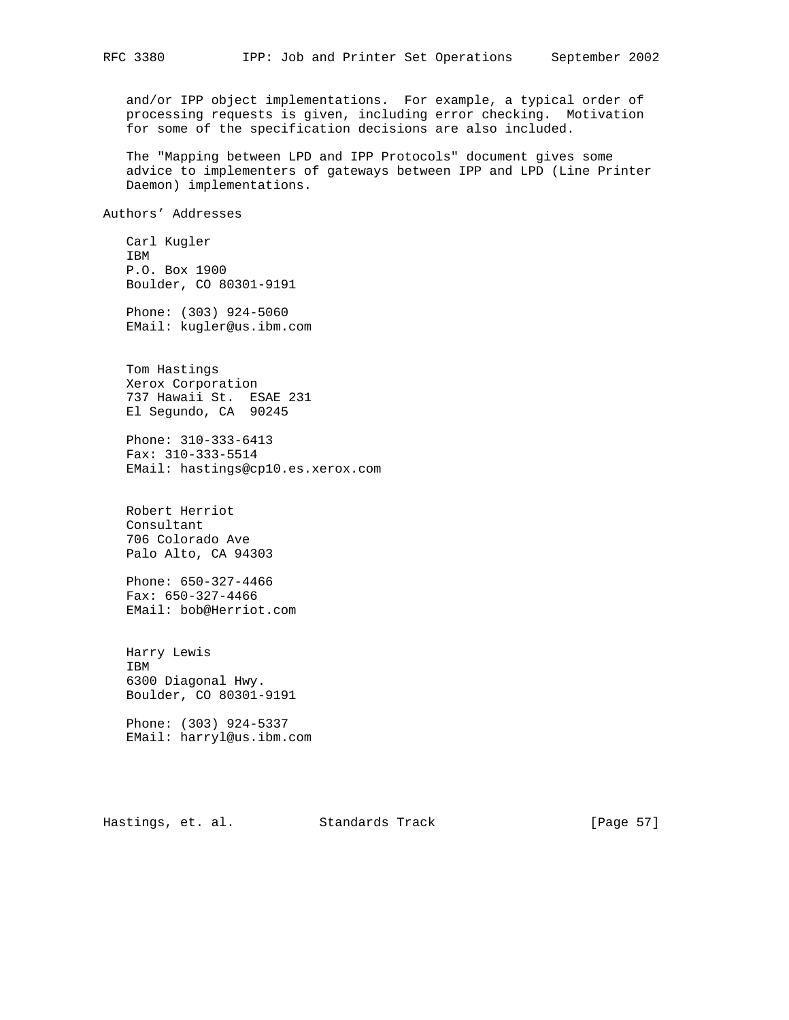and/or IPP object implementations. For example, a typical order of processing requests is given, including error checking. Motivation for some of the specification decisions are also included.

 The "Mapping between LPD and IPP Protocols" document gives some advice to implementers of gateways between IPP and LPD (Line Printer Daemon) implementations.

Authors' Addresses

 Carl Kugler IBM P.O. Box 1900 Boulder, CO 80301-9191

 Phone: (303) 924-5060 EMail: kugler@us.ibm.com

 Tom Hastings Xerox Corporation 737 Hawaii St. ESAE 231 El Segundo, CA 90245

 Phone: 310-333-6413 Fax: 310-333-5514 EMail: hastings@cp10.es.xerox.com

 Robert Herriot Consultant 706 Colorado Ave Palo Alto, CA 94303

 Phone: 650-327-4466 Fax: 650-327-4466 EMail: bob@Herriot.com

 Harry Lewis IBM 6300 Diagonal Hwy. Boulder, CO 80301-9191

 Phone: (303) 924-5337 EMail: harryl@us.ibm.com

Hastings, et. al. Standards Track [Page 57]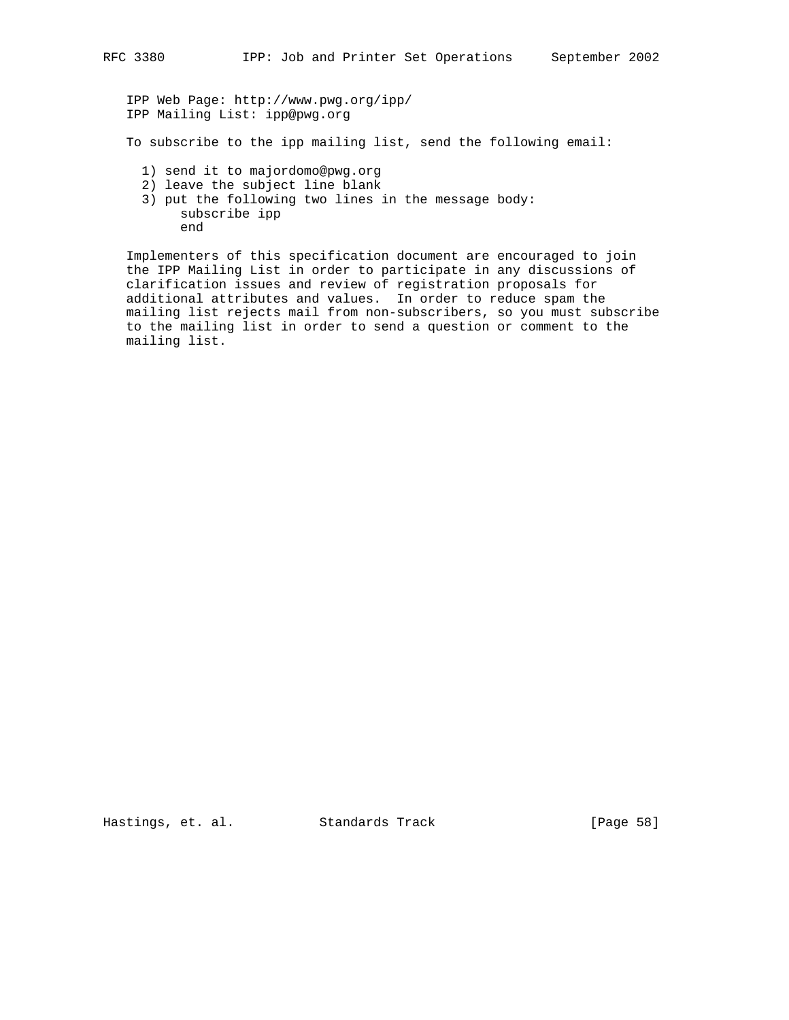IPP Web Page: http://www.pwg.org/ipp/ IPP Mailing List: ipp@pwg.org

To subscribe to the ipp mailing list, send the following email:

- 1) send it to majordomo@pwg.org
- 2) leave the subject line blank
- 3) put the following two lines in the message body: subscribe ipp end

 Implementers of this specification document are encouraged to join the IPP Mailing List in order to participate in any discussions of clarification issues and review of registration proposals for additional attributes and values. In order to reduce spam the mailing list rejects mail from non-subscribers, so you must subscribe to the mailing list in order to send a question or comment to the mailing list.

Hastings, et. al. Standards Track [Page 58]